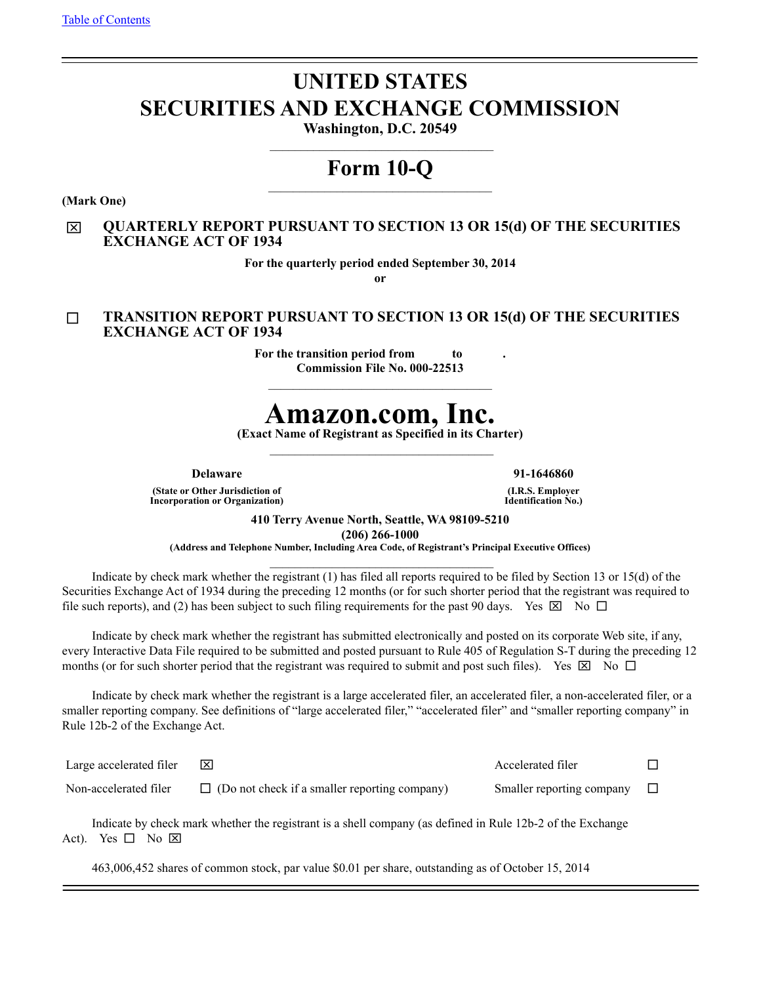# **UNITED STATES SECURITIES AND EXCHANGE COMMISSION**

**Washington, D.C. 20549**  $\mathcal{L}_\text{max}$ 

# **Form 10-Q**  $\mathcal{L}_\text{max}$  and  $\mathcal{L}_\text{max}$  and  $\mathcal{L}_\text{max}$  and  $\mathcal{L}_\text{max}$

**(Mark One)**

⊠ **QUARTERLY REPORT PURSUANT TO SECTION 13 OR 15(d) OF THE SECURITIES EXCHANGE ACT OF 1934**

**For the quarterly period ended September 30, 2014**

**or**

#### **TRANSITION REPORT PURSUANT TO SECTION 13 OR 15(d) OF THE SECURITIES** П **EXCHANGE ACT OF 1934**

For the transition period from to **Commission File No. 000-22513**

# **Amazon.com, Inc.**

**(Exact Name of Registrant as Specified in its Charter)**  $\mathcal{L}_\text{max}$ 

**(State or Other Jurisdiction of Incorporation or Organization)**

**Delaware 91-1646860**

**(I.R.S. Employer Identification No.)**

**410 Terry Avenue North, Seattle, WA 98109-5210 (206) 266-1000**

**(Address and Telephone Number, Including Area Code, of Registrant's Principal Executive Offices)**  $\frac{1}{2}$  ,  $\frac{1}{2}$  ,  $\frac{1}{2}$  ,  $\frac{1}{2}$  ,  $\frac{1}{2}$  ,  $\frac{1}{2}$  ,  $\frac{1}{2}$  ,  $\frac{1}{2}$  ,  $\frac{1}{2}$  ,  $\frac{1}{2}$  ,  $\frac{1}{2}$  ,  $\frac{1}{2}$  ,  $\frac{1}{2}$  ,  $\frac{1}{2}$  ,  $\frac{1}{2}$  ,  $\frac{1}{2}$  ,  $\frac{1}{2}$  ,  $\frac{1}{2}$  ,  $\frac{1$ 

Indicate by check mark whether the registrant (1) has filed all reports required to be filed by Section 13 or 15(d) of the Securities Exchange Act of 1934 during the preceding 12 months (or for such shorter period that the registrant was required to file such reports), and (2) has been subject to such filing requirements for the past 90 days. Yes  $\boxtimes$  No  $\Box$ 

Indicate by check mark whether the registrant has submitted electronically and posted on its corporate Web site, if any, every Interactive Data File required to be submitted and posted pursuant to Rule 405 of Regulation S-T during the preceding 12 months (or for such shorter period that the registrant was required to submit and post such files). Yes  $\boxtimes$  No  $\square$ 

Indicate by check mark whether the registrant is a large accelerated filer, an accelerated filer, a non-accelerated filer, or a smaller reporting company. See definitions of "large accelerated filer," "accelerated filer" and "smaller reporting company" in Rule 12b-2 of the Exchange Act.

| Large accelerated filer |                                                      | Accelerated filer         |        |
|-------------------------|------------------------------------------------------|---------------------------|--------|
| Non-accelerated filer   | $\Box$ (Do not check if a smaller reporting company) | Smaller reporting company | $\Box$ |

Indicate by check mark whether the registrant is a shell company (as defined in Rule 12b-2 of the Exchange Act). Yes  $\Box$  No  $\boxtimes$ 

463,006,452 shares of common stock, par value \$0.01 per share, outstanding as of October 15, 2014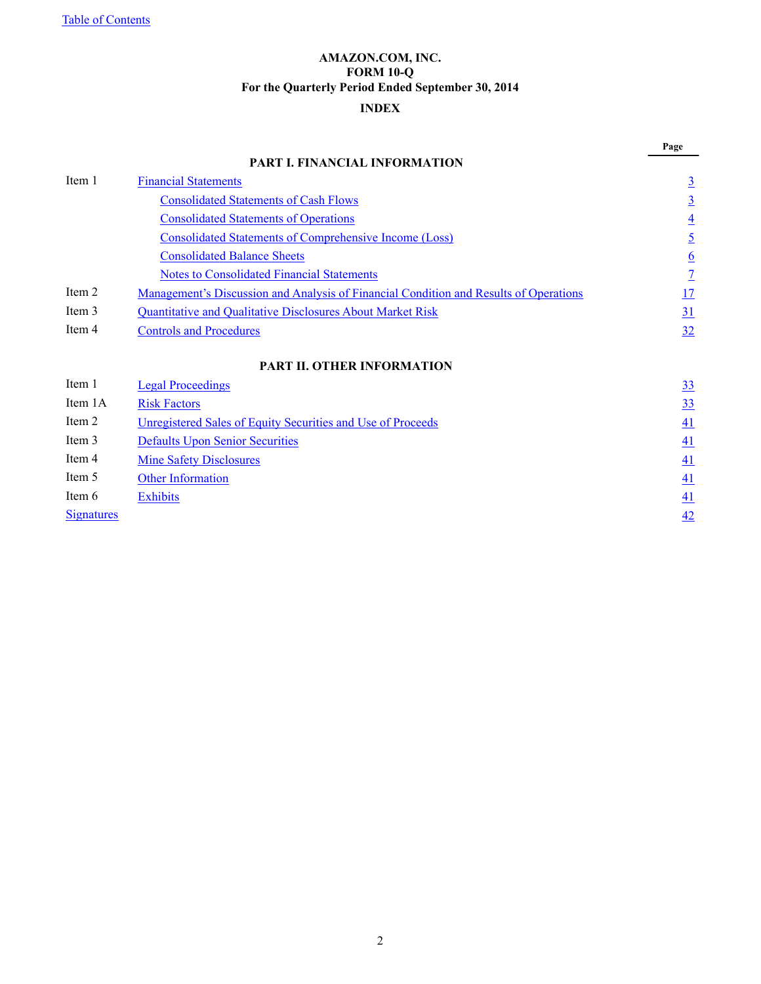# **AMAZON.COM, INC. FORM 10-Q For the Quarterly Period Ended September 30, 2014**

# **INDEX**

<span id="page-1-0"></span>

|                   |                                                                                       | Page            |
|-------------------|---------------------------------------------------------------------------------------|-----------------|
|                   | PART I. FINANCIAL INFORMATION                                                         |                 |
| Item 1            | <b>Financial Statements</b>                                                           | $\underline{3}$ |
|                   | <b>Consolidated Statements of Cash Flows</b>                                          | $\underline{3}$ |
|                   | <b>Consolidated Statements of Operations</b>                                          | $\overline{4}$  |
|                   | <b>Consolidated Statements of Comprehensive Income (Loss)</b>                         | $\overline{2}$  |
|                   | <b>Consolidated Balance Sheets</b>                                                    | $\underline{6}$ |
|                   | <b>Notes to Consolidated Financial Statements</b>                                     | $\overline{1}$  |
| Item 2            | Management's Discussion and Analysis of Financial Condition and Results of Operations | $\frac{17}{1}$  |
| Item 3            | Quantitative and Qualitative Disclosures About Market Risk                            | 31              |
| Item 4            | <b>Controls and Procedures</b>                                                        | 32              |
|                   | PART II. OTHER INFORMATION                                                            |                 |
| Item 1            | <b>Legal Proceedings</b>                                                              | 33              |
| Item 1A           | <b>Risk Factors</b>                                                                   | 33              |
| Item 2            | Unregistered Sales of Equity Securities and Use of Proceeds                           | 41              |
| Item 3            | <b>Defaults Upon Senior Securities</b>                                                | 41              |
| Item 4            | <b>Mine Safety Disclosures</b>                                                        | 41              |
| Item 5            | <b>Other Information</b>                                                              | 41              |
| Item 6            | <b>Exhibits</b>                                                                       | 41              |
| <b>Signatures</b> |                                                                                       | 42              |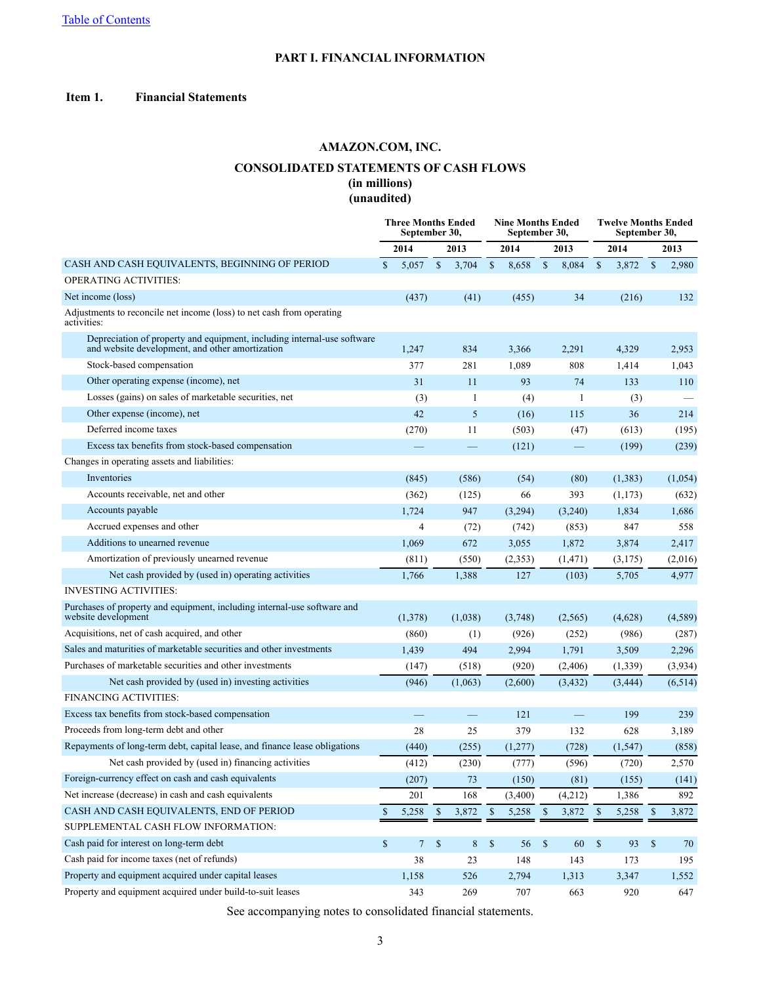# **PART I. FINANCIAL INFORMATION**

# <span id="page-2-1"></span><span id="page-2-0"></span>**Item 1. Financial Statements**

# **AMAZON.COM, INC.**

# **CONSOLIDATED STATEMENTS OF CASH FLOWS (in millions)**

# **(unaudited)**

|                                                                                                                            | <b>Three Months Ended</b><br>September 30, |                |              |         | <b>Nine Months Ended</b><br>September 30, |         |               |          | <b>Twelve Months Ended</b><br>September 30, |          |               |         |
|----------------------------------------------------------------------------------------------------------------------------|--------------------------------------------|----------------|--------------|---------|-------------------------------------------|---------|---------------|----------|---------------------------------------------|----------|---------------|---------|
|                                                                                                                            | 2014                                       |                |              | 2013    |                                           | 2014    |               | 2013     |                                             | 2014     |               | 2013    |
| CASH AND CASH EQUIVALENTS, BEGINNING OF PERIOD                                                                             | $\mathbf S$                                | 5,057          | $\mathbb S$  | 3,704   | $\mathbb S$                               | 8,658   | $\mathcal{S}$ | 8,084    | $\mathbb S$                                 | 3,872    | $\mathbb{S}$  | 2,980   |
| <b>OPERATING ACTIVITIES:</b>                                                                                               |                                            |                |              |         |                                           |         |               |          |                                             |          |               |         |
| Net income (loss)                                                                                                          |                                            | (437)          |              | (41)    |                                           | (455)   |               | 34       |                                             | (216)    |               | 132     |
| Adjustments to reconcile net income (loss) to net cash from operating<br>activities:                                       |                                            |                |              |         |                                           |         |               |          |                                             |          |               |         |
| Depreciation of property and equipment, including internal-use software<br>and website development, and other amortization |                                            | 1,247          |              | 834     |                                           | 3,366   |               | 2,291    |                                             | 4,329    |               | 2,953   |
| Stock-based compensation                                                                                                   |                                            | 377            |              | 281     |                                           | 1,089   |               | 808      |                                             | 1,414    |               | 1,043   |
| Other operating expense (income), net                                                                                      |                                            | 31             |              | 11      |                                           | 93      |               | 74       |                                             | 133      |               | 110     |
| Losses (gains) on sales of marketable securities, net                                                                      |                                            | (3)            |              | 1       |                                           | (4)     |               | 1        |                                             | (3)      |               |         |
| Other expense (income), net                                                                                                |                                            | 42             |              | 5       |                                           | (16)    |               | 115      |                                             | 36       |               | 214     |
| Deferred income taxes                                                                                                      |                                            | (270)          |              | 11      |                                           | (503)   |               | (47)     |                                             | (613)    |               | (195)   |
| Excess tax benefits from stock-based compensation                                                                          |                                            |                |              |         |                                           | (121)   |               | —        |                                             | (199)    |               | (239)   |
| Changes in operating assets and liabilities:                                                                               |                                            |                |              |         |                                           |         |               |          |                                             |          |               |         |
| Inventories                                                                                                                |                                            | (845)          |              | (586)   |                                           | (54)    |               | (80)     |                                             | (1,383)  |               | (1,054) |
| Accounts receivable, net and other                                                                                         |                                            | (362)          |              | (125)   |                                           | 66      |               | 393      |                                             | (1,173)  |               | (632)   |
| Accounts payable                                                                                                           |                                            | 1,724          |              | 947     |                                           | (3,294) |               | (3,240)  |                                             | 1,834    |               | 1,686   |
| Accrued expenses and other                                                                                                 |                                            | 4              |              | (72)    |                                           | (742)   |               | (853)    |                                             | 847      |               | 558     |
| Additions to unearned revenue                                                                                              |                                            | 1,069          |              | 672     |                                           | 3,055   |               | 1,872    |                                             | 3,874    |               | 2,417   |
| Amortization of previously unearned revenue                                                                                |                                            | (811)          |              | (550)   |                                           | (2,353) |               | (1, 471) |                                             | (3,175)  |               | (2,016) |
| Net cash provided by (used in) operating activities                                                                        |                                            | 1,766          |              | 1,388   |                                           | 127     |               | (103)    |                                             | 5,705    |               | 4,977   |
| <b>INVESTING ACTIVITIES:</b>                                                                                               |                                            |                |              |         |                                           |         |               |          |                                             |          |               |         |
| Purchases of property and equipment, including internal-use software and<br>website development                            |                                            | (1,378)        |              | (1,038) |                                           | (3,748) |               | (2, 565) |                                             | (4,628)  |               | (4,589) |
| Acquisitions, net of cash acquired, and other                                                                              |                                            | (860)          |              | (1)     |                                           | (926)   |               | (252)    |                                             | (986)    |               | (287)   |
| Sales and maturities of marketable securities and other investments                                                        |                                            | 1,439          |              | 494     |                                           | 2,994   |               | 1,791    |                                             | 3,509    |               | 2,296   |
| Purchases of marketable securities and other investments                                                                   |                                            | (147)          |              | (518)   |                                           | (920)   |               | (2,406)  |                                             | (1, 339) |               | (3,934) |
| Net cash provided by (used in) investing activities                                                                        |                                            | (946)          |              | (1,063) |                                           | (2,600) |               | (3, 432) |                                             | (3,444)  |               | (6,514) |
| <b>FINANCING ACTIVITIES:</b>                                                                                               |                                            |                |              |         |                                           |         |               |          |                                             |          |               |         |
| Excess tax benefits from stock-based compensation                                                                          |                                            |                |              |         |                                           | 121     |               |          |                                             | 199      |               | 239     |
| Proceeds from long-term debt and other                                                                                     |                                            | 28             |              | 25      |                                           | 379     |               | 132      |                                             | 628      |               | 3,189   |
| Repayments of long-term debt, capital lease, and finance lease obligations                                                 |                                            | (440)          |              | (255)   |                                           | (1,277) |               | (728)    |                                             | (1, 547) |               | (858)   |
| Net cash provided by (used in) financing activities                                                                        |                                            | (412)          |              | (230)   |                                           | (777)   |               | (596)    |                                             | (720)    |               | 2,570   |
| Foreign-currency effect on cash and cash equivalents                                                                       |                                            | (207)          |              | 73      |                                           | (150)   |               | (81)     |                                             | (155)    |               | (141)   |
| Net increase (decrease) in cash and cash equivalents                                                                       |                                            | 201            |              | 168     |                                           | (3,400) |               | (4,212)  |                                             | 1,386    |               | 892     |
| CASH AND CASH EQUIVALENTS, END OF PERIOD                                                                                   | \$                                         | 5,258          | $\$$         | 3,872   | $\sqrt{s}$                                | 5,258   | $\mathcal{S}$ | 3,872 \$ |                                             | 5,258    | $\mathbb{S}$  | 3,872   |
| SUPPLEMENTAL CASH FLOW INFORMATION:                                                                                        |                                            |                |              |         |                                           |         |               |          |                                             |          |               |         |
| Cash paid for interest on long-term debt                                                                                   | $\mathbb{S}$                               | 7 <sup>7</sup> | $\mathbb{S}$ | $\,8\,$ | $\mathbb S$                               | 56      | $\mathbb{S}$  | 60       | $\mathbb{S}$                                | 93       | $\mathcal{S}$ | 70      |
| Cash paid for income taxes (net of refunds)                                                                                |                                            | 38             |              | 23      |                                           | 148     |               | 143      |                                             | 173      |               | 195     |
| Property and equipment acquired under capital leases                                                                       |                                            | 1,158          |              | 526     |                                           | 2,794   |               | 1,313    |                                             | 3,347    |               | 1,552   |
| Property and equipment acquired under build-to-suit leases                                                                 |                                            | 343            |              | 269     |                                           | 707     |               | 663      |                                             | 920      |               | 647     |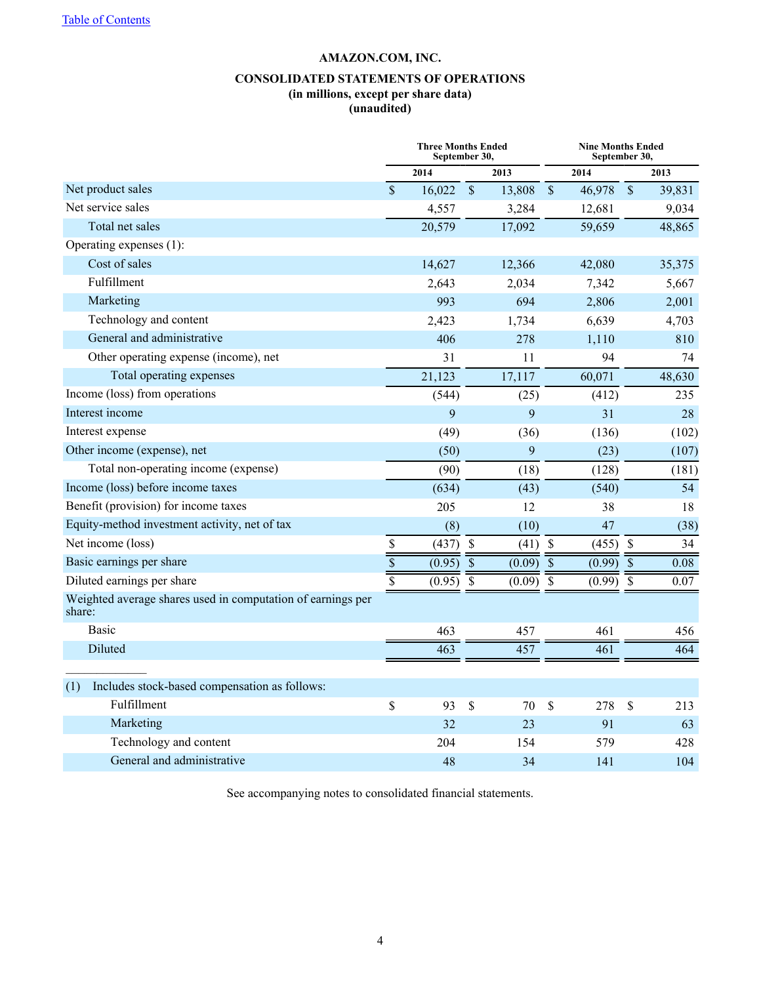# **AMAZON.COM, INC.**

# **CONSOLIDATED STATEMENTS OF OPERATIONS**

**(in millions, except per share data) (unaudited)**

<span id="page-3-0"></span>

|                                                                       | <b>Three Months Ended</b><br>September 30, |                     |               |        | <b>Nine Months Ended</b><br>September 30, |                     |                    |        |
|-----------------------------------------------------------------------|--------------------------------------------|---------------------|---------------|--------|-------------------------------------------|---------------------|--------------------|--------|
|                                                                       |                                            | 2014                |               | 2013   |                                           | 2014                |                    | 2013   |
| Net product sales                                                     | $\mathbf S$                                | 16,022              | $\mathsf{\$}$ | 13,808 | $\mathcal{S}$                             | 46,978              | $\mathbf{\hat{s}}$ | 39,831 |
| Net service sales                                                     |                                            | 4,557               |               | 3,284  |                                           | 12,681              |                    | 9,034  |
| Total net sales                                                       |                                            | 20,579              |               | 17,092 |                                           | 59,659              |                    | 48,865 |
| Operating expenses (1):                                               |                                            |                     |               |        |                                           |                     |                    |        |
| Cost of sales                                                         |                                            | 14,627              |               | 12,366 |                                           | 42,080              |                    | 35,375 |
| Fulfillment                                                           |                                            | 2,643               |               | 2,034  |                                           | 7,342               |                    | 5,667  |
| Marketing                                                             |                                            | 993                 |               | 694    |                                           | 2,806               |                    | 2,001  |
| Technology and content                                                |                                            | 2,423               |               | 1,734  |                                           | 6,639               |                    | 4,703  |
| General and administrative                                            |                                            | 406                 |               | 278    |                                           | 1,110               |                    | 810    |
| Other operating expense (income), net                                 |                                            | 31                  |               | 11     |                                           | 94                  |                    | 74     |
| Total operating expenses                                              |                                            | 21,123              |               | 17,117 |                                           | 60,071              |                    | 48,630 |
| Income (loss) from operations                                         |                                            | (544)               |               | (25)   |                                           | (412)               |                    | 235    |
| Interest income                                                       |                                            | 9                   |               | 9      |                                           | 31                  |                    | 28     |
| Interest expense                                                      |                                            | (49)                |               | (36)   |                                           | (136)               |                    | (102)  |
| Other income (expense), net                                           |                                            | (50)                |               | 9      |                                           | (23)                |                    | (107)  |
| Total non-operating income (expense)                                  |                                            | (90)                |               | (18)   |                                           | (128)               |                    | (181)  |
| Income (loss) before income taxes                                     |                                            | (634)               |               | (43)   |                                           | (540)               |                    | 54     |
| Benefit (provision) for income taxes                                  |                                            | 205                 |               | 12     |                                           | 38                  |                    | 18     |
| Equity-method investment activity, net of tax                         |                                            | (8)                 |               | (10)   |                                           | 47                  |                    | (38)   |
| Net income (loss)                                                     | \$                                         | (437)               | \$            | (41)   | $\mathcal{S}$                             | (455)               | $\mathcal{S}$      | 34     |
| Basic earnings per share                                              | $rac{1}{s}$                                | $\overline{(0.95)}$ | $\mathcal{S}$ | (0.09) | $\overline{\mathcal{S}}$                  | $\overline{(0.99)}$ | $\mathbf{\hat{s}}$ | 0.08   |
| Diluted earnings per share                                            |                                            | (0.95)              | $\mathcal{S}$ | (0.09) | $\mathcal{S}$                             | (0.99)              | $\mathcal{S}$      | 0.07   |
| Weighted average shares used in computation of earnings per<br>share: |                                            |                     |               |        |                                           |                     |                    |        |
| <b>Basic</b>                                                          |                                            | 463                 |               | 457    |                                           | 461                 |                    | 456    |
| Diluted                                                               |                                            | 463                 |               | 457    |                                           | 461                 |                    | 464    |
|                                                                       |                                            |                     |               |        |                                           |                     |                    |        |
| Includes stock-based compensation as follows:<br>(1)                  |                                            |                     |               |        |                                           |                     |                    |        |
| Fulfillment                                                           | \$                                         | 93                  | \$            | 70     | \$                                        | 278                 | S                  | 213    |
| Marketing                                                             |                                            | 32                  |               | 23     |                                           | 91                  |                    | 63     |
| Technology and content                                                |                                            | 204                 |               | 154    |                                           | 579                 |                    | 428    |
| General and administrative                                            |                                            | 48                  |               | 34     |                                           | 141                 |                    | 104    |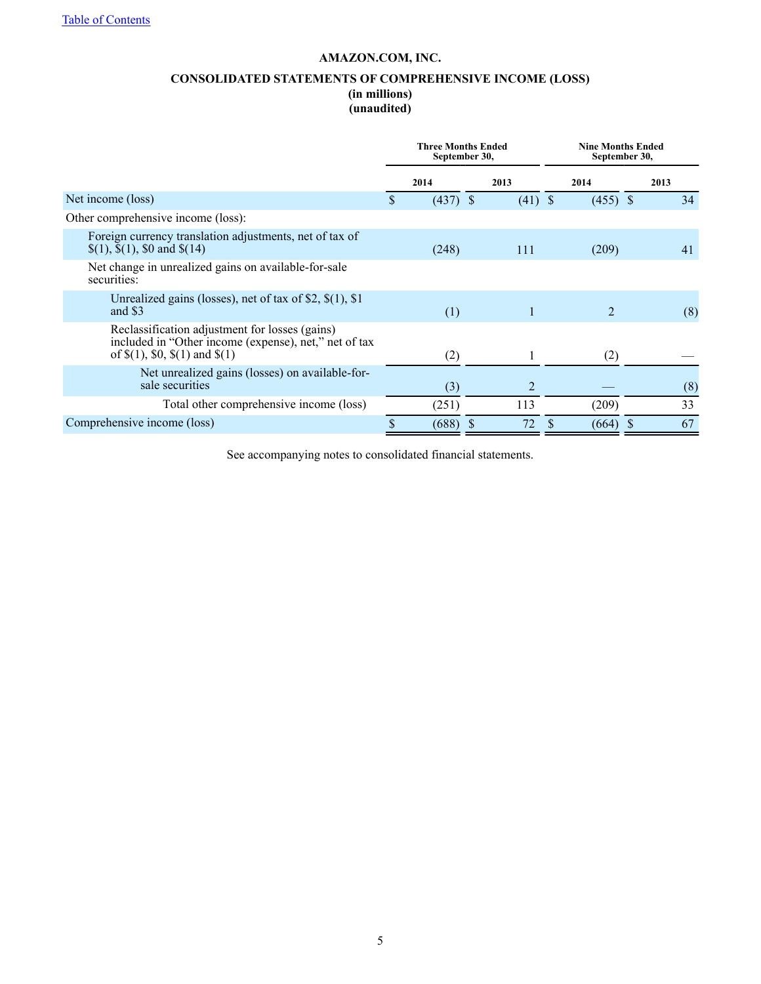<span id="page-4-0"></span>[Table of Contents](#page-1-0)

# **AMAZON.COM, INC.**

# **CONSOLIDATED STATEMENTS OF COMPREHENSIVE INCOME (LOSS)**

# **(in millions) (unaudited)**

|                                                                                                                                                     | <b>Three Months Ended</b><br>September 30, |           | <b>Nine Months Ended</b><br>September 30, |      |  |  |  |
|-----------------------------------------------------------------------------------------------------------------------------------------------------|--------------------------------------------|-----------|-------------------------------------------|------|--|--|--|
|                                                                                                                                                     | 2014                                       | 2013      | 2014                                      | 2013 |  |  |  |
| Net income (loss)                                                                                                                                   | \$<br>$(437)$ \$                           | $(41)$ \$ | $(455)$ \$                                | 34   |  |  |  |
| Other comprehensive income (loss):                                                                                                                  |                                            |           |                                           |      |  |  |  |
| Foreign currency translation adjustments, net of tax of<br>$\{(1), \, \$(1), \, \$0 \text{ and } \$(14)$                                            | (248)                                      | 111       | (209)                                     | 41   |  |  |  |
| Net change in unrealized gains on available-for-sale<br>securities:                                                                                 |                                            |           |                                           |      |  |  |  |
| Unrealized gains (losses), net of tax of \$2, $\S(1)$ , \$1<br>and \$3                                                                              | (1)                                        |           | $\overline{2}$                            | (8)  |  |  |  |
| Reclassification adjustment for losses (gains)<br>included in "Other income (expense), net," net of tax<br>of $\S(1)$ , $\S0$ , $\S(1)$ and $\S(1)$ | (2)                                        |           | (2)                                       |      |  |  |  |
| Net unrealized gains (losses) on available-for-<br>sale securities                                                                                  | (3)                                        |           |                                           | (8)  |  |  |  |
| Total other comprehensive income (loss)                                                                                                             | (251)                                      | 113       | (209)                                     | 33   |  |  |  |
| Comprehensive income (loss)                                                                                                                         | \$<br>(688)                                | S<br>72   | (664)                                     | 67   |  |  |  |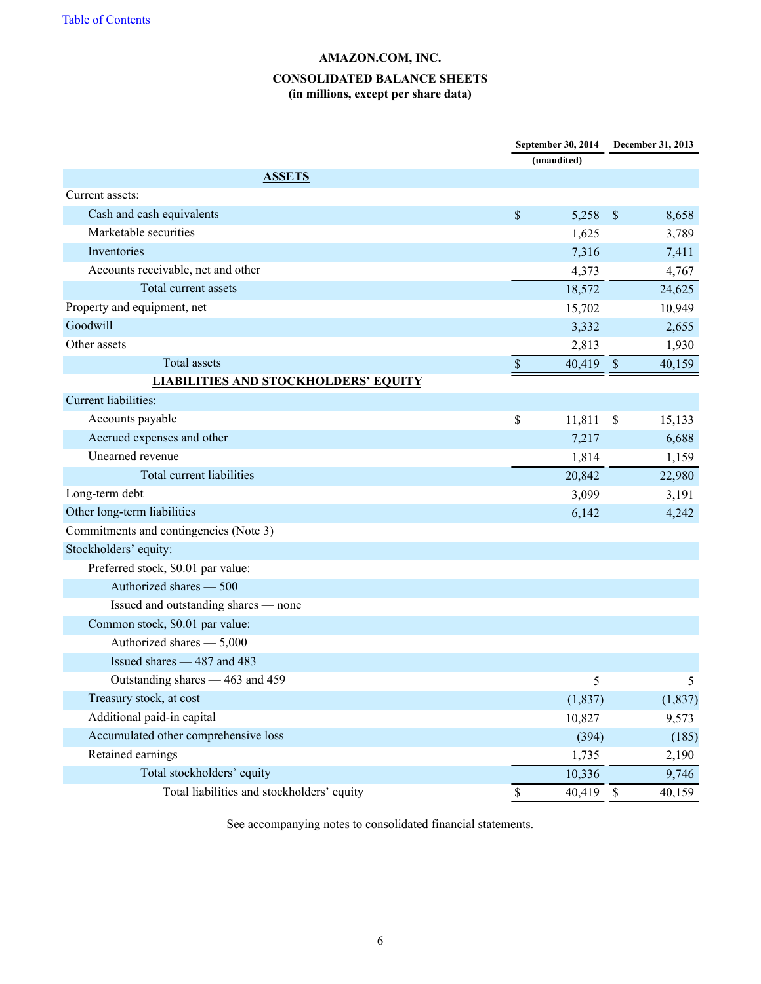# **AMAZON.COM, INC.**

# **CONSOLIDATED BALANCE SHEETS**

**(in millions, except per share data)**

<span id="page-5-0"></span>

|                                             | September 30, 2014 |          |                           | December 31, 2013 |
|---------------------------------------------|--------------------|----------|---------------------------|-------------------|
|                                             | (unaudited)        |          |                           |                   |
| <b>ASSETS</b>                               |                    |          |                           |                   |
| Current assets:                             |                    |          |                           |                   |
| Cash and cash equivalents                   | $\mathbb S$        | 5,258    | $\mathbb{S}$              | 8,658             |
| Marketable securities                       |                    | 1,625    |                           | 3,789             |
| Inventories                                 |                    | 7,316    |                           | 7,411             |
| Accounts receivable, net and other          |                    | 4,373    |                           | 4,767             |
| Total current assets                        |                    | 18,572   |                           | 24,625            |
| Property and equipment, net                 |                    | 15,702   |                           | 10,949            |
| Goodwill                                    |                    | 3,332    |                           | 2,655             |
| Other assets                                |                    | 2,813    |                           | 1,930             |
| <b>Total assets</b>                         | $\mathbb S$        | 40,419   | $\sqrt{S}$                | 40,159            |
| <b>LIABILITIES AND STOCKHOLDERS' EQUITY</b> |                    |          |                           |                   |
| Current liabilities:                        |                    |          |                           |                   |
| Accounts payable                            | \$                 | 11,811   | $\boldsymbol{\mathsf{S}}$ | 15,133            |
| Accrued expenses and other                  |                    | 7,217    |                           | 6,688             |
| Unearned revenue                            |                    | 1,814    |                           | 1,159             |
| Total current liabilities                   |                    | 20,842   |                           | 22,980            |
| Long-term debt                              |                    | 3,099    |                           | 3,191             |
| Other long-term liabilities                 |                    | 6,142    |                           | 4,242             |
| Commitments and contingencies (Note 3)      |                    |          |                           |                   |
| Stockholders' equity:                       |                    |          |                           |                   |
| Preferred stock, \$0.01 par value:          |                    |          |                           |                   |
| Authorized shares - 500                     |                    |          |                           |                   |
| Issued and outstanding shares - none        |                    |          |                           |                   |
| Common stock, \$0.01 par value:             |                    |          |                           |                   |
| Authorized shares - 5,000                   |                    |          |                           |                   |
| Issued shares - 487 and 483                 |                    |          |                           |                   |
| Outstanding shares — 463 and 459            |                    | 5        |                           | 5                 |
| Treasury stock, at cost                     |                    | (1, 837) |                           | (1, 837)          |
| Additional paid-in capital                  |                    | 10,827   |                           | 9,573             |
| Accumulated other comprehensive loss        |                    | (394)    |                           | (185)             |
| Retained earnings                           |                    | 1,735    |                           | 2,190             |
| Total stockholders' equity                  |                    | 10,336   |                           | 9,746             |
| Total liabilities and stockholders' equity  | $\mathbb S$        | 40,419   | $\mathbb{S}$              | 40,159            |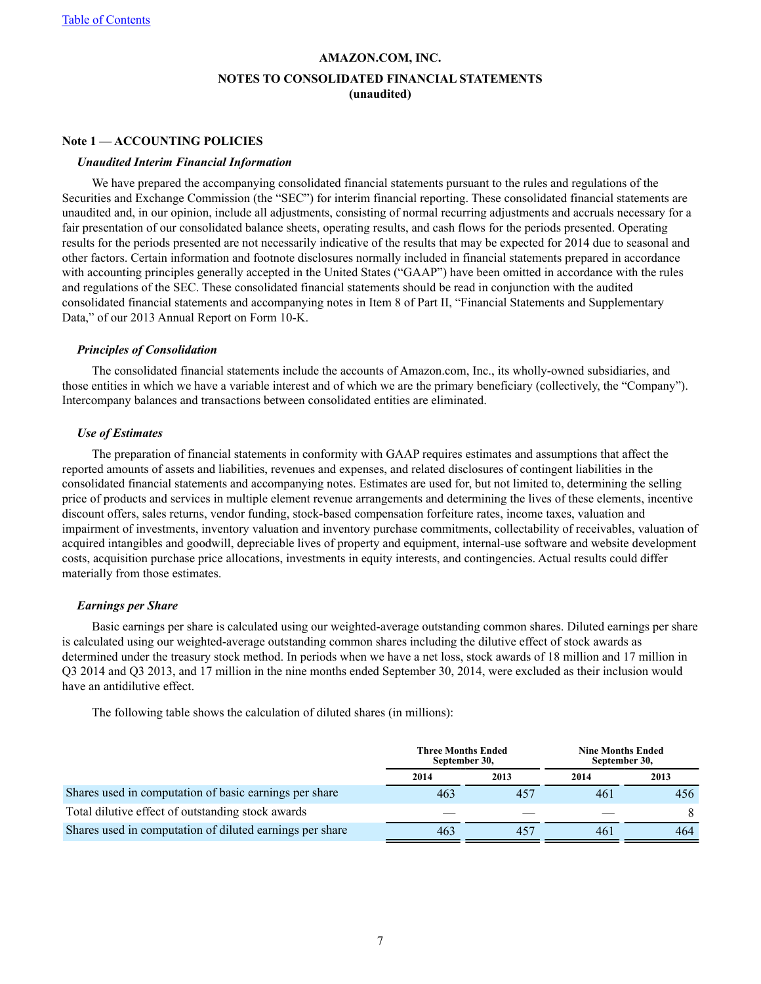# **AMAZON.COM, INC. NOTES TO CONSOLIDATED FINANCIAL STATEMENTS (unaudited)**

# <span id="page-6-0"></span>**Note 1 — ACCOUNTING POLICIES**

#### *Unaudited Interim Financial Information*

We have prepared the accompanying consolidated financial statements pursuant to the rules and regulations of the Securities and Exchange Commission (the "SEC") for interim financial reporting. These consolidated financial statements are unaudited and, in our opinion, include all adjustments, consisting of normal recurring adjustments and accruals necessary for a fair presentation of our consolidated balance sheets, operating results, and cash flows for the periods presented. Operating results for the periods presented are not necessarily indicative of the results that may be expected for 2014 due to seasonal and other factors. Certain information and footnote disclosures normally included in financial statements prepared in accordance with accounting principles generally accepted in the United States ("GAAP") have been omitted in accordance with the rules and regulations of the SEC. These consolidated financial statements should be read in conjunction with the audited consolidated financial statements and accompanying notes in Item 8 of Part II, "Financial Statements and Supplementary Data," of our 2013 Annual Report on Form 10-K.

#### *Principles of Consolidation*

The consolidated financial statements include the accounts of Amazon.com, Inc., its wholly-owned subsidiaries, and those entities in which we have a variable interest and of which we are the primary beneficiary (collectively, the "Company"). Intercompany balances and transactions between consolidated entities are eliminated.

#### *Use of Estimates*

The preparation of financial statements in conformity with GAAP requires estimates and assumptions that affect the reported amounts of assets and liabilities, revenues and expenses, and related disclosures of contingent liabilities in the consolidated financial statements and accompanying notes. Estimates are used for, but not limited to, determining the selling price of products and services in multiple element revenue arrangements and determining the lives of these elements, incentive discount offers, sales returns, vendor funding, stock-based compensation forfeiture rates, income taxes, valuation and impairment of investments, inventory valuation and inventory purchase commitments, collectability of receivables, valuation of acquired intangibles and goodwill, depreciable lives of property and equipment, internal-use software and website development costs, acquisition purchase price allocations, investments in equity interests, and contingencies. Actual results could differ materially from those estimates.

# *Earnings per Share*

Basic earnings per share is calculated using our weighted-average outstanding common shares. Diluted earnings per share is calculated using our weighted-average outstanding common shares including the dilutive effect of stock awards as determined under the treasury stock method. In periods when we have a net loss, stock awards of 18 million and 17 million in Q3 2014 and Q3 2013, and 17 million in the nine months ended September 30, 2014, were excluded as their inclusion would have an antidilutive effect.

The following table shows the calculation of diluted shares (in millions):

|                                                          | <b>Three Months Ended</b><br>September 30, |      | <b>Nine Months Ended</b> | September 30, |
|----------------------------------------------------------|--------------------------------------------|------|--------------------------|---------------|
|                                                          | 2014                                       | 2013 | 2014                     | 2013          |
| Shares used in computation of basic earnings per share   | 463                                        | 457  | 461                      | 456           |
| Total dilutive effect of outstanding stock awards        |                                            |      |                          | 8             |
| Shares used in computation of diluted earnings per share | 463                                        | 457  | 461                      | 464           |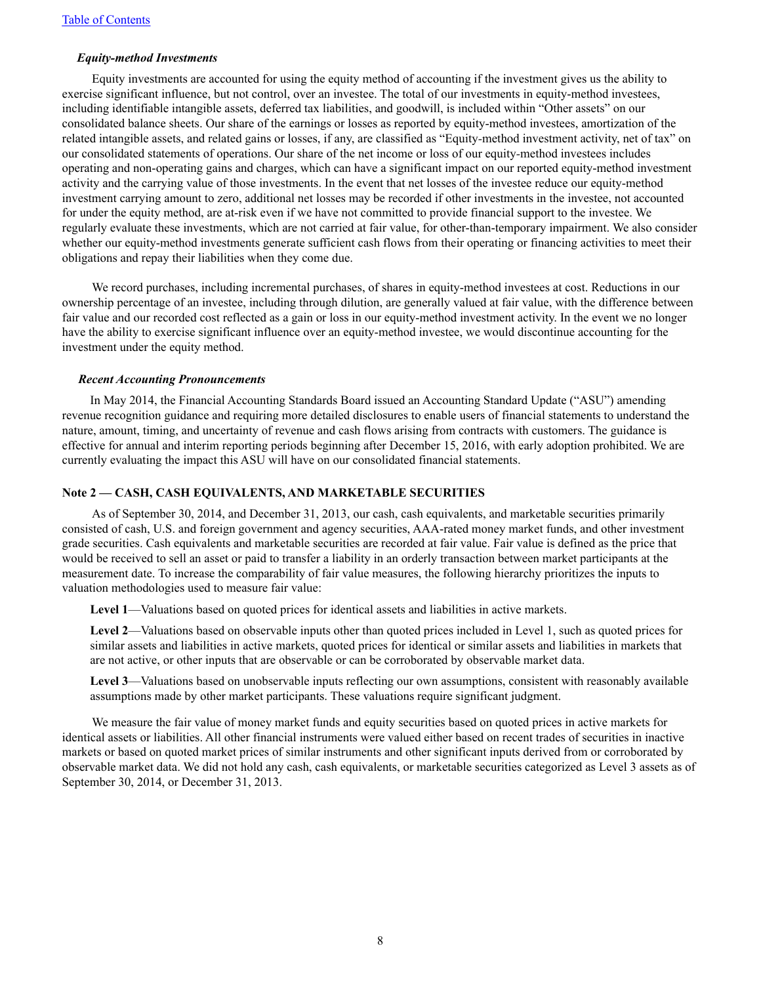# *Equity-method Investments*

Equity investments are accounted for using the equity method of accounting if the investment gives us the ability to exercise significant influence, but not control, over an investee. The total of our investments in equity-method investees, including identifiable intangible assets, deferred tax liabilities, and goodwill, is included within "Other assets" on our consolidated balance sheets. Our share of the earnings or losses as reported by equity-method investees, amortization of the related intangible assets, and related gains or losses, if any, are classified as "Equity*-*method investment activity, net of tax" on our consolidated statements of operations. Our share of the net income or loss of our equity*-*method investees includes operating and non-operating gains and charges, which can have a significant impact on our reported equity-method investment activity and the carrying value of those investments. In the event that net losses of the investee reduce our equity-method investment carrying amount to zero, additional net losses may be recorded if other investments in the investee, not accounted for under the equity method, are at-risk even if we have not committed to provide financial support to the investee. We regularly evaluate these investments, which are not carried at fair value, for other-than-temporary impairment. We also consider whether our equity-method investments generate sufficient cash flows from their operating or financing activities to meet their obligations and repay their liabilities when they come due.

We record purchases, including incremental purchases, of shares in equity-method investees at cost. Reductions in our ownership percentage of an investee, including through dilution, are generally valued at fair value, with the difference between fair value and our recorded cost reflected as a gain or loss in our equity-method investment activity. In the event we no longer have the ability to exercise significant influence over an equity-method investee, we would discontinue accounting for the investment under the equity method.

#### *Recent Accounting Pronouncements*

In May 2014, the Financial Accounting Standards Board issued an Accounting Standard Update ("ASU") amending revenue recognition guidance and requiring more detailed disclosures to enable users of financial statements to understand the nature, amount, timing, and uncertainty of revenue and cash flows arising from contracts with customers. The guidance is effective for annual and interim reporting periods beginning after December 15, 2016, with early adoption prohibited. We are currently evaluating the impact this ASU will have on our consolidated financial statements.

# **Note 2 — CASH, CASH EQUIVALENTS, AND MARKETABLE SECURITIES**

As of September 30, 2014, and December 31, 2013, our cash, cash equivalents, and marketable securities primarily consisted of cash, U.S. and foreign government and agency securities, AAA-rated money market funds, and other investment grade securities. Cash equivalents and marketable securities are recorded at fair value. Fair value is defined as the price that would be received to sell an asset or paid to transfer a liability in an orderly transaction between market participants at the measurement date. To increase the comparability of fair value measures, the following hierarchy prioritizes the inputs to valuation methodologies used to measure fair value:

**Level 1**—Valuations based on quoted prices for identical assets and liabilities in active markets.

**Level 2**—Valuations based on observable inputs other than quoted prices included in Level 1, such as quoted prices for similar assets and liabilities in active markets, quoted prices for identical or similar assets and liabilities in markets that are not active, or other inputs that are observable or can be corroborated by observable market data.

Level 3—Valuations based on unobservable inputs reflecting our own assumptions, consistent with reasonably available assumptions made by other market participants. These valuations require significant judgment.

We measure the fair value of money market funds and equity securities based on quoted prices in active markets for identical assets or liabilities. All other financial instruments were valued either based on recent trades of securities in inactive markets or based on quoted market prices of similar instruments and other significant inputs derived from or corroborated by observable market data. We did not hold any cash, cash equivalents, or marketable securities categorized as Level 3 assets as of September 30, 2014, or December 31, 2013.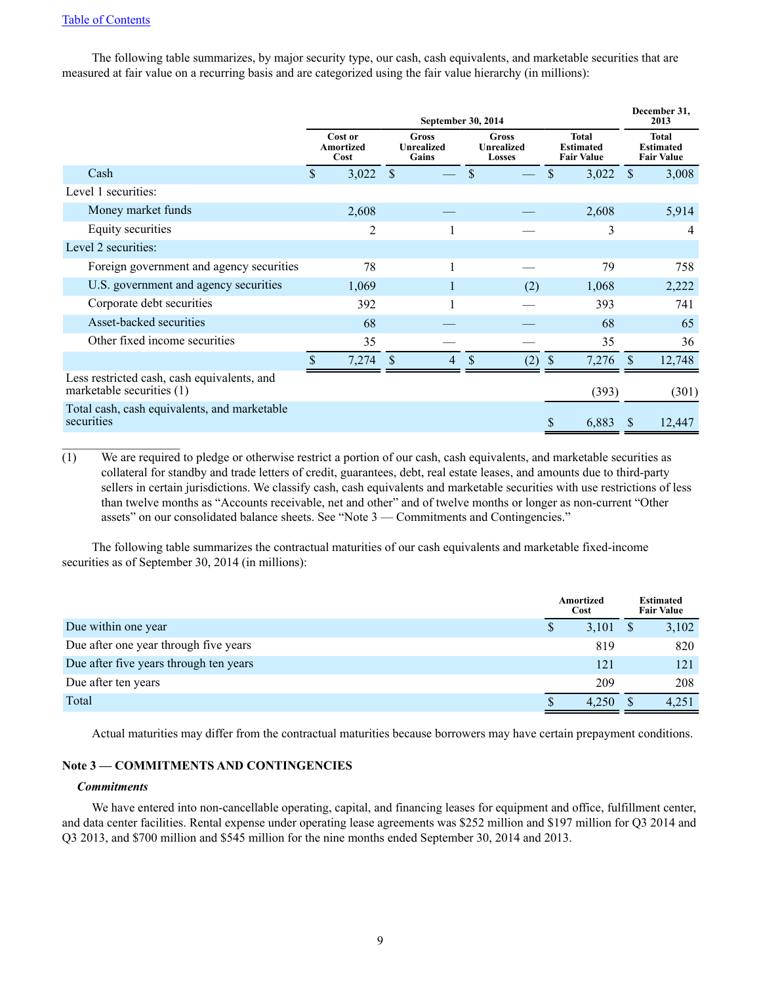The following table summarizes, by major security type, our cash, cash equivalents, and marketable securities that are measured at fair value on a recurring basis and are categorized using the fair value hierarchy (in millions):

|                                                                          | September 30, 2014                                                         |                |      |                                      |     |                                                |     |       |                                                       | December 31,<br>2013 |
|--------------------------------------------------------------------------|----------------------------------------------------------------------------|----------------|------|--------------------------------------|-----|------------------------------------------------|-----|-------|-------------------------------------------------------|----------------------|
|                                                                          | Cost or<br>Gross<br><b>Amortized</b><br><b>Unrealized</b><br>Cost<br>Gains |                |      | Gross<br><b>Unrealized</b><br>Losses |     | Total<br><b>Estimated</b><br><b>Fair Value</b> |     |       | <b>Total</b><br><b>Estimated</b><br><b>Fair Value</b> |                      |
| Cash                                                                     | \$                                                                         | 3,022          | - \$ |                                      | \$  |                                                |     | 3,022 | <sup>S</sup>                                          | 3,008                |
| Level 1 securities:                                                      |                                                                            |                |      |                                      |     |                                                |     |       |                                                       |                      |
| Money market funds                                                       |                                                                            | 2,608          |      |                                      |     |                                                |     | 2,608 |                                                       | 5,914                |
| Equity securities                                                        |                                                                            | $\overline{2}$ |      |                                      |     |                                                |     | 3     |                                                       | 4                    |
| Level 2 securities:                                                      |                                                                            |                |      |                                      |     |                                                |     |       |                                                       |                      |
| Foreign government and agency securities                                 |                                                                            | 78             |      |                                      |     |                                                |     | 79    |                                                       | 758                  |
| U.S. government and agency securities                                    |                                                                            | 1,069          |      |                                      |     | (2)                                            |     | 1,068 |                                                       | 2,222                |
| Corporate debt securities                                                |                                                                            | 392            |      |                                      |     |                                                |     | 393   |                                                       | 741                  |
| Asset-backed securities                                                  |                                                                            | 68             |      |                                      |     |                                                |     | 68    |                                                       | 65                   |
| Other fixed income securities                                            |                                                                            | 35             |      |                                      |     |                                                |     | 35    |                                                       | 36                   |
|                                                                          |                                                                            | 7,274          |      | 4                                    | \$. | (2)                                            | \$. | 7,276 |                                                       | 12,748               |
| Less restricted cash, cash equivalents, and<br>marketable securities (1) |                                                                            |                |      |                                      |     |                                                |     | (393) |                                                       | (301)                |
| Total cash, cash equivalents, and marketable<br>securities               |                                                                            |                |      |                                      |     |                                                | \$  | 6,883 | <sup>S</sup>                                          | 12,447               |

(1) We are required to pledge or otherwise restrict a portion of our cash, cash equivalents, and marketable securities as collateral for standby and trade letters of credit, guarantees, debt, real estate leases, and amounts due to third-party sellers in certain jurisdictions. We classify cash, cash equivalents and marketable securities with use restrictions of less than twelve months as "Accounts receivable, net and other" and of twelve months or longer as non-current "Other assets" on our consolidated balance sheets. See "Note 3 — Commitments and Contingencies."

The following table summarizes the contractual maturities of our cash equivalents and marketable fixed-income securities as of September 30, 2014 (in millions):

|                                        | Amortized<br>Cost |       | <b>Estimated</b><br><b>Fair Value</b> |       |  |
|----------------------------------------|-------------------|-------|---------------------------------------|-------|--|
| Due within one year                    |                   | 3,101 |                                       | 3,102 |  |
| Due after one year through five years  |                   | 819   |                                       | 820   |  |
| Due after five years through ten years |                   | 121   |                                       | 121   |  |
| Due after ten years                    |                   | 209   |                                       | 208   |  |
| Total                                  |                   | 4.250 |                                       | 4,251 |  |

Actual maturities may differ from the contractual maturities because borrowers may have certain prepayment conditions.

# **Note 3 — COMMITMENTS AND CONTINGENCIES**

#### *Commitments*

We have entered into non-cancellable operating, capital, and financing leases for equipment and office, fulfillment center, and data center facilities. Rental expense under operating lease agreements was \$252 million and \$197 million for Q3 2014 and Q3 2013, and \$700 million and \$545 million for the nine months ended September 30, 2014 and 2013.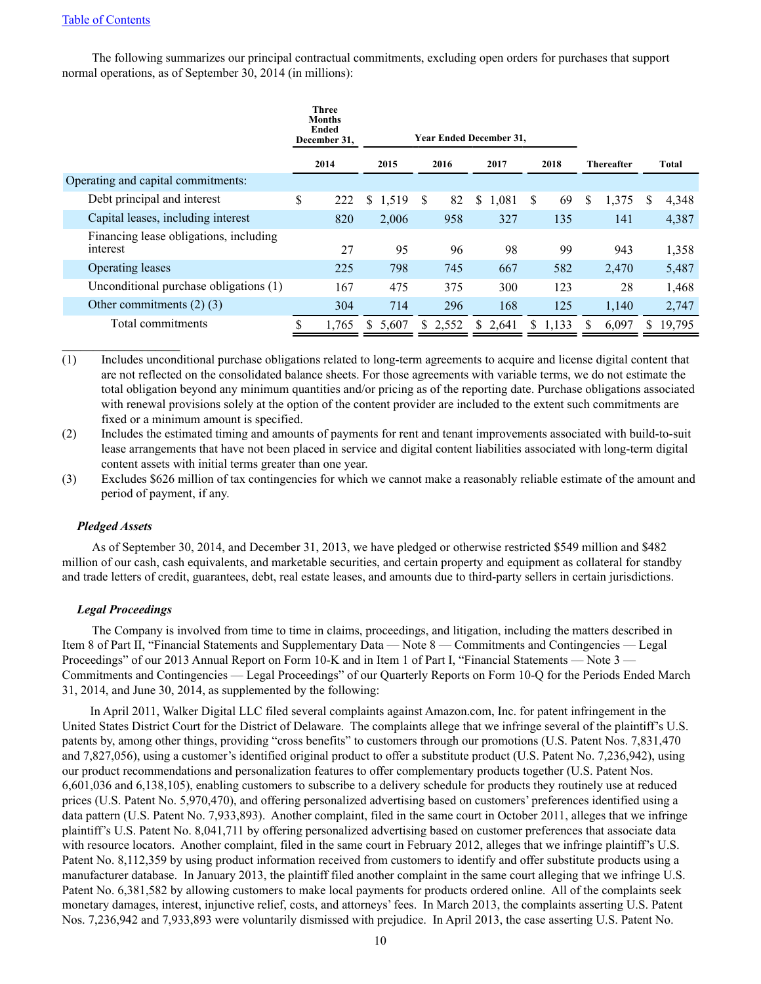The following summarizes our principal contractual commitments, excluding open orders for purchases that support normal operations, as of September 30, 2014 (in millions):

|                                                    |    | <b>Three</b><br><b>Months</b><br>Ended<br>December 31,<br>2014 | 2015        | <b>Year Ended December 31,</b><br>2016 | <b>Thereafter</b> | Total    |            |             |
|----------------------------------------------------|----|----------------------------------------------------------------|-------------|----------------------------------------|-------------------|----------|------------|-------------|
| Operating and capital commitments:                 |    |                                                                |             |                                        |                   |          |            |             |
| Debt principal and interest                        | \$ | 222                                                            | \$1,519     | -S<br>82                               | 1,081<br>S.       | \$<br>69 | 1,375<br>S | \$<br>4,348 |
| Capital leases, including interest                 |    | 820                                                            | 2.006       | 958                                    | 327               | 135      | 141        | 4,387       |
| Financing lease obligations, including<br>interest |    | 27                                                             | 95          | 96                                     | 98                | 99       | 943        | 1,358       |
| <b>Operating leases</b>                            |    | 225                                                            | 798         | 745                                    | 667               | 582      | 2,470      | 5,487       |
| Unconditional purchase obligations (1)             |    | 167                                                            | 475         | 375                                    | 300               | 123      | 28         | 1,468       |
| Other commitments $(2)$ $(3)$                      |    | 304                                                            | 714         | 296                                    | 168               | 125      | 1.140      | 2,747       |
| Total commitments                                  | S  | 1,765                                                          | 5,607<br>S. | \$2,552                                | \$2,641           | \$1,133  | 6,097      | 19,795      |

(1) Includes unconditional purchase obligations related to long-term agreements to acquire and license digital content that are not reflected on the consolidated balance sheets. For those agreements with variable terms, we do not estimate the total obligation beyond any minimum quantities and/or pricing as of the reporting date. Purchase obligations associated with renewal provisions solely at the option of the content provider are included to the extent such commitments are fixed or a minimum amount is specified.

(2) Includes the estimated timing and amounts of payments for rent and tenant improvements associated with build-to-suit lease arrangements that have not been placed in service and digital content liabilities associated with long-term digital content assets with initial terms greater than one year.

(3) Excludes \$626 million of tax contingencies for which we cannot make a reasonably reliable estimate of the amount and period of payment, if any.

# *Pledged Assets*

 $\mathcal{L}_\text{max}$ 

As of September 30, 2014, and December 31, 2013, we have pledged or otherwise restricted \$549 million and \$482 million of our cash, cash equivalents, and marketable securities, and certain property and equipment as collateral for standby and trade letters of credit, guarantees, debt, real estate leases, and amounts due to third-party sellers in certain jurisdictions.

#### *Legal Proceedings*

The Company is involved from time to time in claims, proceedings, and litigation, including the matters described in Item 8 of Part II, "Financial Statements and Supplementary Data — Note 8 — Commitments and Contingencies — Legal Proceedings" of our 2013 Annual Report on Form 10-K and in Item 1 of Part I, "Financial Statements — Note 3 — Commitments and Contingencies — Legal Proceedings" of our Quarterly Reports on Form 10-Q for the Periods Ended March 31, 2014, and June 30, 2014, as supplemented by the following:

In April 2011, Walker Digital LLC filed several complaints against Amazon.com, Inc. for patent infringement in the United States District Court for the District of Delaware. The complaints allege that we infringe several of the plaintiff's U.S. patents by, among other things, providing "cross benefits" to customers through our promotions (U.S. Patent Nos. 7,831,470 and 7,827,056), using a customer's identified original product to offer a substitute product (U.S. Patent No. 7,236,942), using our product recommendations and personalization features to offer complementary products together (U.S. Patent Nos. 6,601,036 and 6,138,105), enabling customers to subscribe to a delivery schedule for products they routinely use at reduced prices (U.S. Patent No. 5,970,470), and offering personalized advertising based on customers' preferences identified using a data pattern (U.S. Patent No. 7,933,893). Another complaint, filed in the same court in October 2011, alleges that we infringe plaintiff's U.S. Patent No. 8,041,711 by offering personalized advertising based on customer preferences that associate data with resource locators. Another complaint, filed in the same court in February 2012, alleges that we infringe plaintiff's U.S. Patent No. 8,112,359 by using product information received from customers to identify and offer substitute products using a manufacturer database. In January 2013, the plaintiff filed another complaint in the same court alleging that we infringe U.S. Patent No. 6,381,582 by allowing customers to make local payments for products ordered online. All of the complaints seek monetary damages, interest, injunctive relief, costs, and attorneys' fees. In March 2013, the complaints asserting U.S. Patent Nos. 7,236,942 and 7,933,893 were voluntarily dismissed with prejudice. In April 2013, the case asserting U.S. Patent No.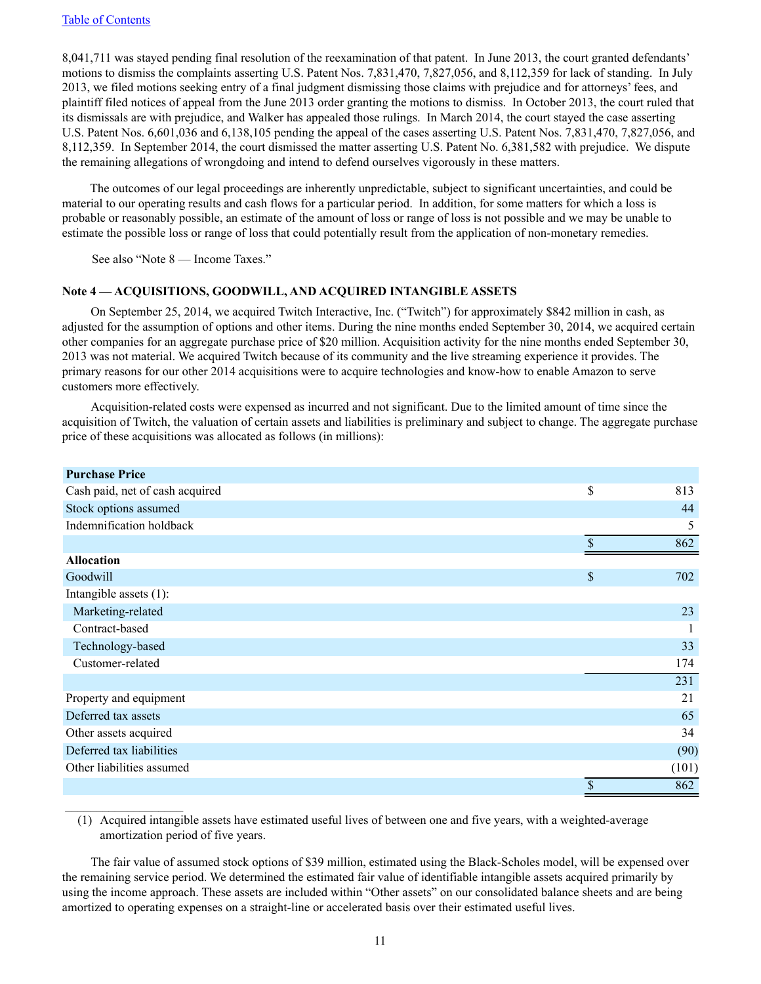8,041,711 was stayed pending final resolution of the reexamination of that patent. In June 2013, the court granted defendants' motions to dismiss the complaints asserting U.S. Patent Nos. 7,831,470, 7,827,056, and 8,112,359 for lack of standing. In July 2013, we filed motions seeking entry of a final judgment dismissing those claims with prejudice and for attorneys' fees, and plaintiff filed notices of appeal from the June 2013 order granting the motions to dismiss. In October 2013, the court ruled that its dismissals are with prejudice, and Walker has appealed those rulings. In March 2014, the court stayed the case asserting U.S. Patent Nos. 6,601,036 and 6,138,105 pending the appeal of the cases asserting U.S. Patent Nos. 7,831,470, 7,827,056, and 8,112,359. In September 2014, the court dismissed the matter asserting U.S. Patent No. 6,381,582 with prejudice. We dispute the remaining allegations of wrongdoing and intend to defend ourselves vigorously in these matters.

The outcomes of our legal proceedings are inherently unpredictable, subject to significant uncertainties, and could be material to our operating results and cash flows for a particular period. In addition, for some matters for which a loss is probable or reasonably possible, an estimate of the amount of loss or range of loss is not possible and we may be unable to estimate the possible loss or range of loss that could potentially result from the application of non-monetary remedies.

See also "Note 8 — Income Taxes."

#### **Note 4 — ACQUISITIONS, GOODWILL, AND ACQUIRED INTANGIBLE ASSETS**

On September 25, 2014, we acquired Twitch Interactive, Inc. ("Twitch") for approximately \$842 million in cash, as adjusted for the assumption of options and other items. During the nine months ended September 30, 2014, we acquired certain other companies for an aggregate purchase price of \$20 million. Acquisition activity for the nine months ended September 30, 2013 was not material. We acquired Twitch because of its community and the live streaming experience it provides. The primary reasons for our other 2014 acquisitions were to acquire technologies and know-how to enable Amazon to serve customers more effectively.

Acquisition-related costs were expensed as incurred and not significant. Due to the limited amount of time since the acquisition of Twitch, the valuation of certain assets and liabilities is preliminary and subject to change. The aggregate purchase price of these acquisitions was allocated as follows (in millions):

| <b>Purchase Price</b>           |           |
|---------------------------------|-----------|
| Cash paid, net of cash acquired | \$<br>813 |
| Stock options assumed           | 44        |
| Indemnification holdback        | 5         |
|                                 | \$<br>862 |
| <b>Allocation</b>               |           |
| Goodwill                        | \$<br>702 |
| Intangible assets $(1)$ :       |           |
| Marketing-related               | 23        |
| Contract-based                  |           |
| Technology-based                | 33        |
| Customer-related                | 174       |
|                                 | 231       |
| Property and equipment          | 21        |
| Deferred tax assets             | 65        |
| Other assets acquired           | 34        |
| Deferred tax liabilities        | (90)      |
| Other liabilities assumed       | (101)     |
|                                 | \$<br>862 |

(1) Acquired intangible assets have estimated useful lives of between one and five years, with a weighted-average amortization period of five years.

The fair value of assumed stock options of \$39 million, estimated using the Black-Scholes model, will be expensed over the remaining service period. We determined the estimated fair value of identifiable intangible assets acquired primarily by using the income approach. These assets are included within "Other assets" on our consolidated balance sheets and are being amortized to operating expenses on a straight-line or accelerated basis over their estimated useful lives.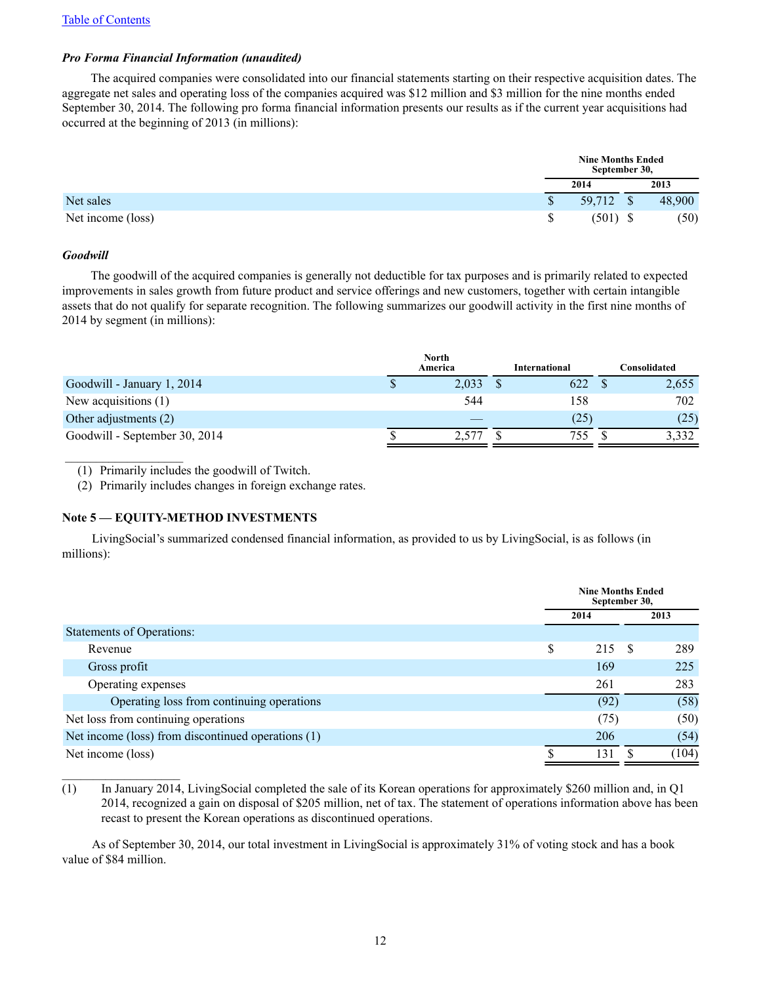# *Pro Forma Financial Information (unaudited)*

The acquired companies were consolidated into our financial statements starting on their respective acquisition dates. The aggregate net sales and operating loss of the companies acquired was \$12 million and \$3 million for the nine months ended September 30, 2014. The following pro forma financial information presents our results as if the current year acquisitions had occurred at the beginning of 2013 (in millions):

|                   | <b>Nine Months Ended</b><br>September 30, |          |        |
|-------------------|-------------------------------------------|----------|--------|
|                   | 2014                                      |          | 2013   |
| Net sales         | 59.712                                    | <b>S</b> | 48,900 |
| Net income (loss) | $(501)$ \$                                |          | (50)   |

# *Goodwill*

The goodwill of the acquired companies is generally not deductible for tax purposes and is primarily related to expected improvements in sales growth from future product and service offerings and new customers, together with certain intangible assets that do not qualify for separate recognition. The following summarizes our goodwill activity in the first nine months of 2014 by segment (in millions):

|                               | <b>North</b><br>America | International | Consolidated |
|-------------------------------|-------------------------|---------------|--------------|
| Goodwill - January 1, 2014    | 2,033                   | 622           | 2,655        |
| New acquisitions $(1)$        | 544                     | 158           | 702          |
| Other adjustments (2)         |                         | (25)          | (25)         |
| Goodwill - September 30, 2014 |                         | 755           | 3.332        |

(1) Primarily includes the goodwill of Twitch.

(2) Primarily includes changes in foreign exchange rates.

# **Note 5 — EQUITY-METHOD INVESTMENTS**

LivingSocial's summarized condensed financial information, as provided to us by LivingSocial, is as follows (in millions):

|                                                    |   | <b>Nine Months Ended</b><br>September 30, |            |  |  |  |  |  |
|----------------------------------------------------|---|-------------------------------------------|------------|--|--|--|--|--|
|                                                    |   | 2014                                      | 2013       |  |  |  |  |  |
| Statements of Operations:                          |   |                                           |            |  |  |  |  |  |
| Revenue                                            | S | 215                                       | 289<br>- S |  |  |  |  |  |
| Gross profit                                       |   | 169                                       | 225        |  |  |  |  |  |
| Operating expenses                                 |   | 261                                       | 283        |  |  |  |  |  |
| Operating loss from continuing operations          |   | (92)                                      | (58)       |  |  |  |  |  |
| Net loss from continuing operations                |   | (75)                                      | (50)       |  |  |  |  |  |
| Net income (loss) from discontinued operations (1) |   | 206                                       | (54)       |  |  |  |  |  |
| Net income (loss)                                  |   | 131                                       | (104)      |  |  |  |  |  |

(1) In January 2014, LivingSocial completed the sale of its Korean operations for approximately \$260 million and, in Q1 2014, recognized a gain on disposal of \$205 million, net of tax. The statement of operations information above has been recast to present the Korean operations as discontinued operations.

As of September 30, 2014, our total investment in LivingSocial is approximately 31% of voting stock and has a book value of \$84 million.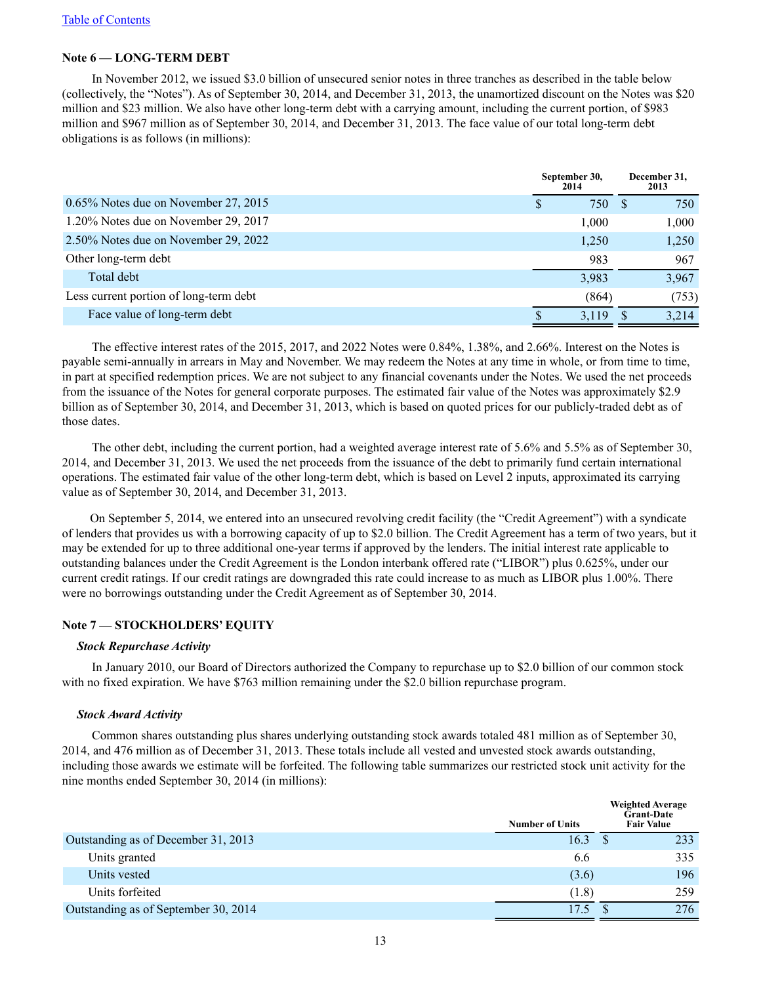# **Note 6 — LONG-TERM DEBT**

In November 2012, we issued \$3.0 billion of unsecured senior notes in three tranches as described in the table below (collectively, the "Notes"). As of September 30, 2014, and December 31, 2013, the unamortized discount on the Notes was \$20 million and \$23 million. We also have other long-term debt with a carrying amount, including the current portion, of \$983 million and \$967 million as of September 30, 2014, and December 31, 2013. The face value of our total long-term debt obligations is as follows (in millions):

|                                        | September 30,<br>2014 |       | December 31,<br>2013 |
|----------------------------------------|-----------------------|-------|----------------------|
| 0.65% Notes due on November 27, 2015   | S                     | 750   | 750                  |
| 1.20% Notes due on November 29, 2017   |                       | 1,000 | 1,000                |
| 2.50% Notes due on November 29, 2022   |                       | 1,250 | 1,250                |
| Other long-term debt                   |                       | 983   | 967                  |
| Total debt                             |                       | 3,983 | 3,967                |
| Less current portion of long-term debt |                       | (864) | (753)                |
| Face value of long-term debt           |                       | 3.119 | 3,214                |

The effective interest rates of the 2015, 2017, and 2022 Notes were 0.84%, 1.38%, and 2.66%. Interest on the Notes is payable semi-annually in arrears in May and November. We may redeem the Notes at any time in whole, or from time to time, in part at specified redemption prices. We are not subject to any financial covenants under the Notes. We used the net proceeds from the issuance of the Notes for general corporate purposes. The estimated fair value of the Notes was approximately \$2.9 billion as of September 30, 2014, and December 31, 2013, which is based on quoted prices for our publicly-traded debt as of those dates.

The other debt, including the current portion, had a weighted average interest rate of 5.6% and 5.5% as of September 30, 2014, and December 31, 2013. We used the net proceeds from the issuance of the debt to primarily fund certain international operations. The estimated fair value of the other long-term debt, which is based on Level 2 inputs, approximated its carrying value as of September 30, 2014, and December 31, 2013.

On September 5, 2014, we entered into an unsecured revolving credit facility (the "Credit Agreement") with a syndicate of lenders that provides us with a borrowing capacity of up to \$2.0 billion. The Credit Agreement has a term of two years, but it may be extended for up to three additional one-year terms if approved by the lenders. The initial interest rate applicable to outstanding balances under the Credit Agreement is the London interbank offered rate ("LIBOR") plus 0.625%, under our current credit ratings. If our credit ratings are downgraded this rate could increase to as much as LIBOR plus 1.00%. There were no borrowings outstanding under the Credit Agreement as of September 30, 2014.

# **Note 7 — STOCKHOLDERS' EQUITY**

#### *Stock Repurchase Activity*

In January 2010, our Board of Directors authorized the Company to repurchase up to \$2.0 billion of our common stock with no fixed expiration. We have \$763 million remaining under the \$2.0 billion repurchase program.

#### *Stock Award Activity*

Common shares outstanding plus shares underlying outstanding stock awards totaled 481 million as of September 30, 2014, and 476 million as of December 31, 2013. These totals include all vested and unvested stock awards outstanding, including those awards we estimate will be forfeited. The following table summarizes our restricted stock unit activity for the nine months ended September 30, 2014 (in millions):

|                                      | <b>Number of Units</b> | <b>Weighted Average</b><br><b>Grant-Date</b><br><b>Fair Value</b> |
|--------------------------------------|------------------------|-------------------------------------------------------------------|
| Outstanding as of December 31, 2013  | 16.3                   | 233                                                               |
| Units granted                        | 6.6                    | 335                                                               |
| Units vested                         | (3.6)                  | 196                                                               |
| Units forfeited                      | (1.8)                  | 259                                                               |
| Outstanding as of September 30, 2014 | 17.5                   | 276                                                               |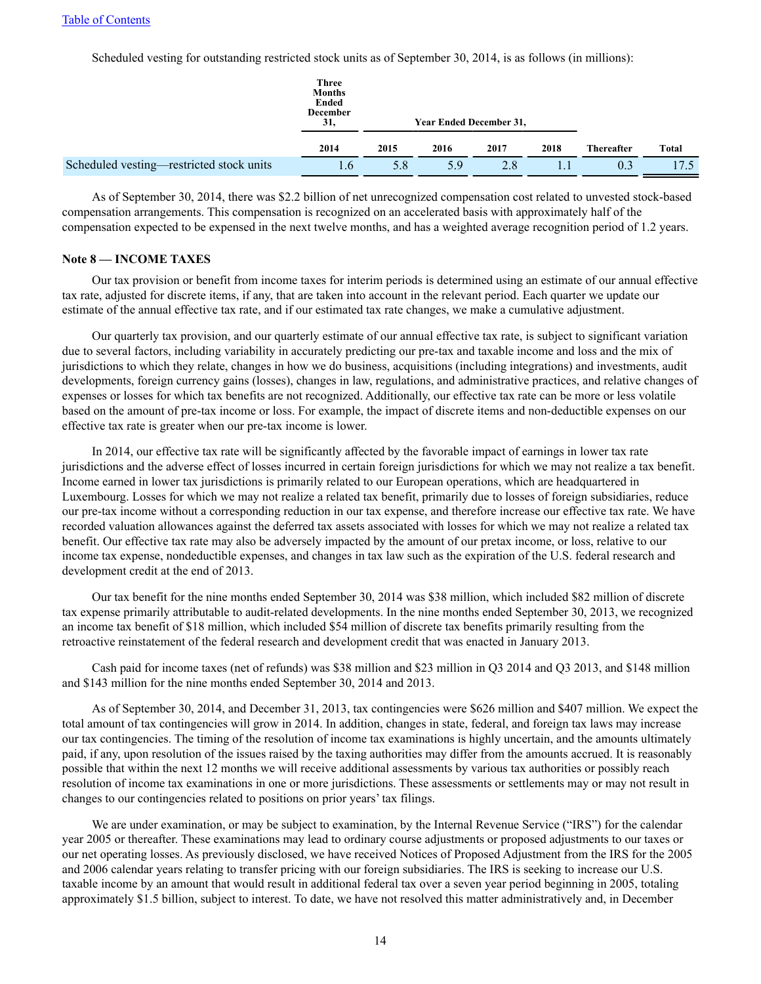Scheduled vesting for outstanding restricted stock units as of September 30, 2014, is as follows (in millions):

|                                          | <b>Three</b><br><b>Months</b><br>Ended<br><b>December</b><br>31, |      |      | <b>Year Ended December 31,</b> |      |                   |       |
|------------------------------------------|------------------------------------------------------------------|------|------|--------------------------------|------|-------------------|-------|
|                                          | 2014                                                             | 2015 | 2016 | 2017                           | 2018 | <b>Thereafter</b> | Total |
| Scheduled vesting-restricted stock units | l.b                                                              | 5.8  | 5.9  | 2.8                            |      | 0.3               |       |

As of September 30, 2014, there was \$2.2 billion of net unrecognized compensation cost related to unvested stock-based compensation arrangements. This compensation is recognized on an accelerated basis with approximately half of the compensation expected to be expensed in the next twelve months, and has a weighted average recognition period of 1.2 years.

# **Note 8 — INCOME TAXES**

Our tax provision or benefit from income taxes for interim periods is determined using an estimate of our annual effective tax rate, adjusted for discrete items, if any, that are taken into account in the relevant period. Each quarter we update our estimate of the annual effective tax rate, and if our estimated tax rate changes, we make a cumulative adjustment.

Our quarterly tax provision, and our quarterly estimate of our annual effective tax rate, is subject to significant variation due to several factors, including variability in accurately predicting our pre-tax and taxable income and loss and the mix of jurisdictions to which they relate, changes in how we do business, acquisitions (including integrations) and investments, audit developments, foreign currency gains (losses), changes in law, regulations, and administrative practices, and relative changes of expenses or losses for which tax benefits are not recognized. Additionally, our effective tax rate can be more or less volatile based on the amount of pre-tax income or loss. For example, the impact of discrete items and non-deductible expenses on our effective tax rate is greater when our pre-tax income is lower.

In 2014, our effective tax rate will be significantly affected by the favorable impact of earnings in lower tax rate jurisdictions and the adverse effect of losses incurred in certain foreign jurisdictions for which we may not realize a tax benefit. Income earned in lower tax jurisdictions is primarily related to our European operations, which are headquartered in Luxembourg. Losses for which we may not realize a related tax benefit, primarily due to losses of foreign subsidiaries, reduce our pre-tax income without a corresponding reduction in our tax expense, and therefore increase our effective tax rate. We have recorded valuation allowances against the deferred tax assets associated with losses for which we may not realize a related tax benefit. Our effective tax rate may also be adversely impacted by the amount of our pretax income, or loss, relative to our income tax expense, nondeductible expenses, and changes in tax law such as the expiration of the U.S. federal research and development credit at the end of 2013.

Our tax benefit for the nine months ended September 30, 2014 was \$38 million, which included \$82 million of discrete tax expense primarily attributable to audit-related developments. In the nine months ended September 30, 2013, we recognized an income tax benefit of \$18 million, which included \$54 million of discrete tax benefits primarily resulting from the retroactive reinstatement of the federal research and development credit that was enacted in January 2013.

Cash paid for income taxes (net of refunds) was \$38 million and \$23 million in Q3 2014 and Q3 2013, and \$148 million and \$143 million for the nine months ended September 30, 2014 and 2013.

As of September 30, 2014, and December 31, 2013, tax contingencies were \$626 million and \$407 million. We expect the total amount of tax contingencies will grow in 2014. In addition, changes in state, federal, and foreign tax laws may increase our tax contingencies. The timing of the resolution of income tax examinations is highly uncertain, and the amounts ultimately paid, if any, upon resolution of the issues raised by the taxing authorities may differ from the amounts accrued. It is reasonably possible that within the next 12 months we will receive additional assessments by various tax authorities or possibly reach resolution of income tax examinations in one or more jurisdictions. These assessments or settlements may or may not result in changes to our contingencies related to positions on prior years' tax filings.

We are under examination, or may be subject to examination, by the Internal Revenue Service ("IRS") for the calendar year 2005 or thereafter. These examinations may lead to ordinary course adjustments or proposed adjustments to our taxes or our net operating losses. As previously disclosed, we have received Notices of Proposed Adjustment from the IRS for the 2005 and 2006 calendar years relating to transfer pricing with our foreign subsidiaries. The IRS is seeking to increase our U.S. taxable income by an amount that would result in additional federal tax over a seven year period beginning in 2005, totaling approximately \$1.5 billion, subject to interest. To date, we have not resolved this matter administratively and, in December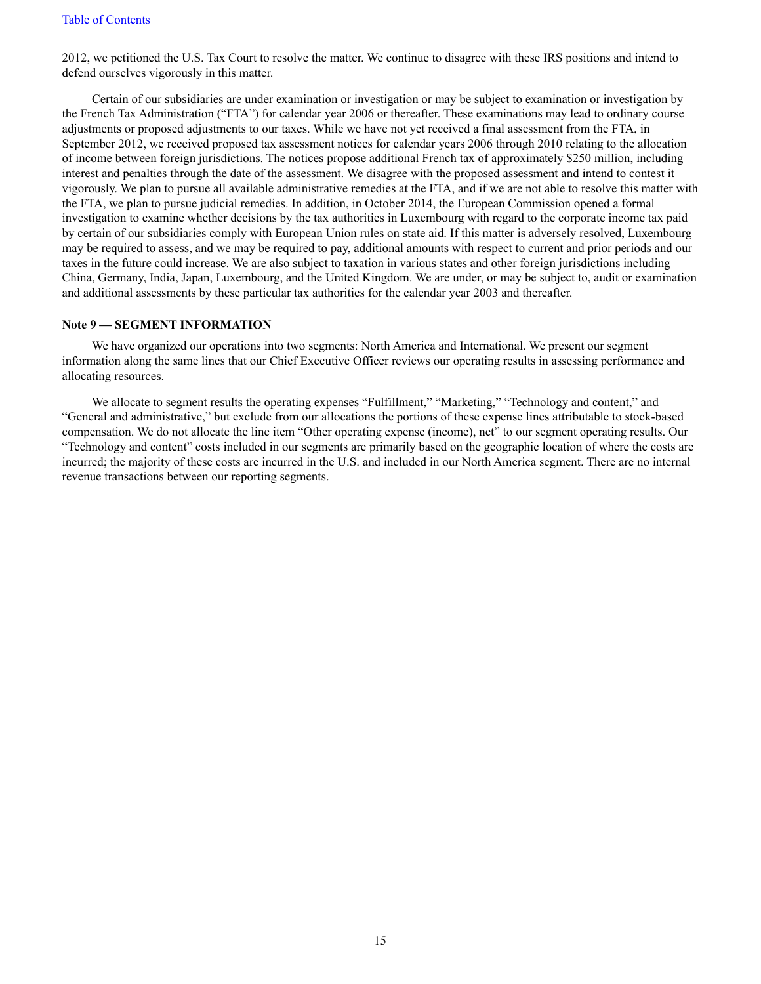2012, we petitioned the U.S. Tax Court to resolve the matter. We continue to disagree with these IRS positions and intend to defend ourselves vigorously in this matter.

Certain of our subsidiaries are under examination or investigation or may be subject to examination or investigation by the French Tax Administration ("FTA") for calendar year 2006 or thereafter. These examinations may lead to ordinary course adjustments or proposed adjustments to our taxes. While we have not yet received a final assessment from the FTA, in September 2012, we received proposed tax assessment notices for calendar years 2006 through 2010 relating to the allocation of income between foreign jurisdictions. The notices propose additional French tax of approximately \$250 million, including interest and penalties through the date of the assessment. We disagree with the proposed assessment and intend to contest it vigorously. We plan to pursue all available administrative remedies at the FTA, and if we are not able to resolve this matter with the FTA, we plan to pursue judicial remedies. In addition, in October 2014, the European Commission opened a formal investigation to examine whether decisions by the tax authorities in Luxembourg with regard to the corporate income tax paid by certain of our subsidiaries comply with European Union rules on state aid. If this matter is adversely resolved, Luxembourg may be required to assess, and we may be required to pay, additional amounts with respect to current and prior periods and our taxes in the future could increase. We are also subject to taxation in various states and other foreign jurisdictions including China, Germany, India, Japan, Luxembourg, and the United Kingdom. We are under, or may be subject to, audit or examination and additional assessments by these particular tax authorities for the calendar year 2003 and thereafter.

#### **Note 9 — SEGMENT INFORMATION**

We have organized our operations into two segments: North America and International. We present our segment information along the same lines that our Chief Executive Officer reviews our operating results in assessing performance and allocating resources.

We allocate to segment results the operating expenses "Fulfillment," "Marketing," "Technology and content," and "General and administrative," but exclude from our allocations the portions of these expense lines attributable to stock-based compensation. We do not allocate the line item "Other operating expense (income), net" to our segment operating results. Our "Technology and content" costs included in our segments are primarily based on the geographic location of where the costs are incurred; the majority of these costs are incurred in the U.S. and included in our North America segment. There are no internal revenue transactions between our reporting segments.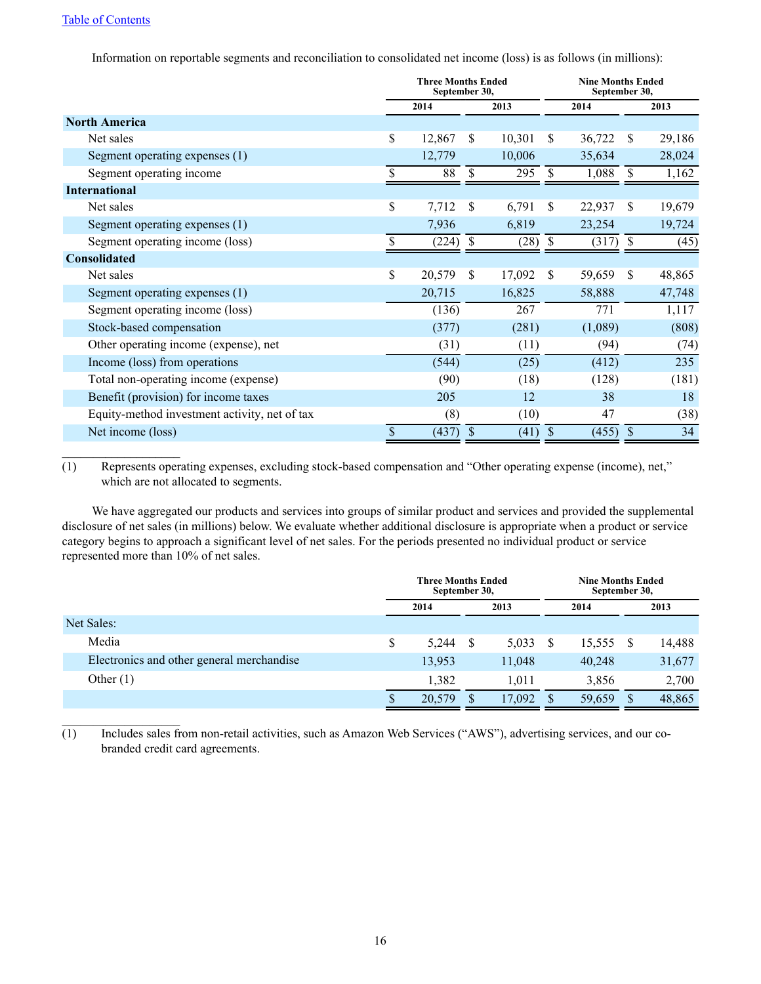Information on reportable segments and reconciliation to consolidated net income (loss) is as follows (in millions):

|                                               |      | <b>Three Months Ended</b><br>September 30, |              |        |               | <b>Nine Months Ended</b><br>September 30, |               |        |
|-----------------------------------------------|------|--------------------------------------------|--------------|--------|---------------|-------------------------------------------|---------------|--------|
|                                               | 2014 |                                            |              | 2013   |               | 2014                                      |               | 2013   |
| <b>North America</b>                          |      |                                            |              |        |               |                                           |               |        |
| Net sales                                     | \$   | 12,867                                     | \$           | 10,301 | \$.           | 36,722                                    | <sup>\$</sup> | 29,186 |
| Segment operating expenses (1)                |      | 12,779                                     |              | 10,006 |               | 35,634                                    |               | 28,024 |
| Segment operating income                      | \$   | 88                                         | \$           | 295    | <sup>\$</sup> | 1,088                                     | \$            | 1,162  |
| <b>International</b>                          |      |                                            |              |        |               |                                           |               |        |
| Net sales                                     | \$   | 7,712                                      | \$           | 6,791  | \$            | 22,937                                    | <sup>\$</sup> | 19,679 |
| Segment operating expenses (1)                |      | 7,936                                      |              | 6,819  |               | 23,254                                    |               | 19,724 |
| Segment operating income (loss)               |      | (224)                                      | \$           | (28)   | -S            | (317)                                     | -S            | (45)   |
| <b>Consolidated</b>                           |      |                                            |              |        |               |                                           |               |        |
| Net sales                                     | \$   | 20,579                                     | \$.          | 17,092 | -S            | 59,659                                    | <sup>\$</sup> | 48,865 |
| Segment operating expenses (1)                |      | 20,715                                     |              | 16,825 |               | 58,888                                    |               | 47,748 |
| Segment operating income (loss)               |      | (136)                                      |              | 267    |               | 771                                       |               | 1,117  |
| Stock-based compensation                      |      | (377)                                      |              | (281)  |               | (1,089)                                   |               | (808)  |
| Other operating income (expense), net         |      | (31)                                       |              | (11)   |               | (94)                                      |               | (74)   |
| Income (loss) from operations                 |      | (544)                                      |              | (25)   |               | (412)                                     |               | 235    |
| Total non-operating income (expense)          |      | (90)                                       |              | (18)   |               | (128)                                     |               | (181)  |
| Benefit (provision) for income taxes          |      | 205                                        |              | 12     |               | 38                                        |               | 18     |
| Equity-method investment activity, net of tax |      | (8)                                        |              | (10)   |               | 47                                        |               | (38)   |
| Net income (loss)                             | \$   | (437)                                      | $\mathbb{S}$ | (41)   | $\mathcal{S}$ | $(455)$ \$                                |               | 34     |
|                                               |      |                                            |              |        |               |                                           |               |        |

(1) Represents operating expenses, excluding stock-based compensation and "Other operating expense (income), net," which are not allocated to segments.

We have aggregated our products and services into groups of similar product and services and provided the supplemental disclosure of net sales (in millions) below. We evaluate whether additional disclosure is appropriate when a product or service category begins to approach a significant level of net sales. For the periods presented no individual product or service represented more than 10% of net sales.

|                                           |              | <b>Three Months Ended</b><br>September 30, |      |        |   |        | <b>Nine Months Ended</b><br>September 30, |        |  |  |
|-------------------------------------------|--------------|--------------------------------------------|------|--------|---|--------|-------------------------------------------|--------|--|--|
|                                           | 2014         |                                            |      | 2013   |   | 2014   |                                           | 2013   |  |  |
| Net Sales:                                |              |                                            |      |        |   |        |                                           |        |  |  |
| Media                                     | \$           | 5,244                                      | - \$ | 5,033  | S | 15,555 | - \$                                      | 14,488 |  |  |
| Electronics and other general merchandise |              | 13,953                                     |      | 11.048 |   | 40.248 |                                           | 31,677 |  |  |
| Other $(1)$                               |              | 1.382                                      |      | 1.011  |   | 3,856  |                                           | 2,700  |  |  |
|                                           | $\mathbf{D}$ | 20.579                                     | \$   | 17,092 |   | 59,659 |                                           | 48,865 |  |  |

(1) Includes sales from non-retail activities, such as Amazon Web Services ("AWS"), advertising services, and our cobranded credit card agreements.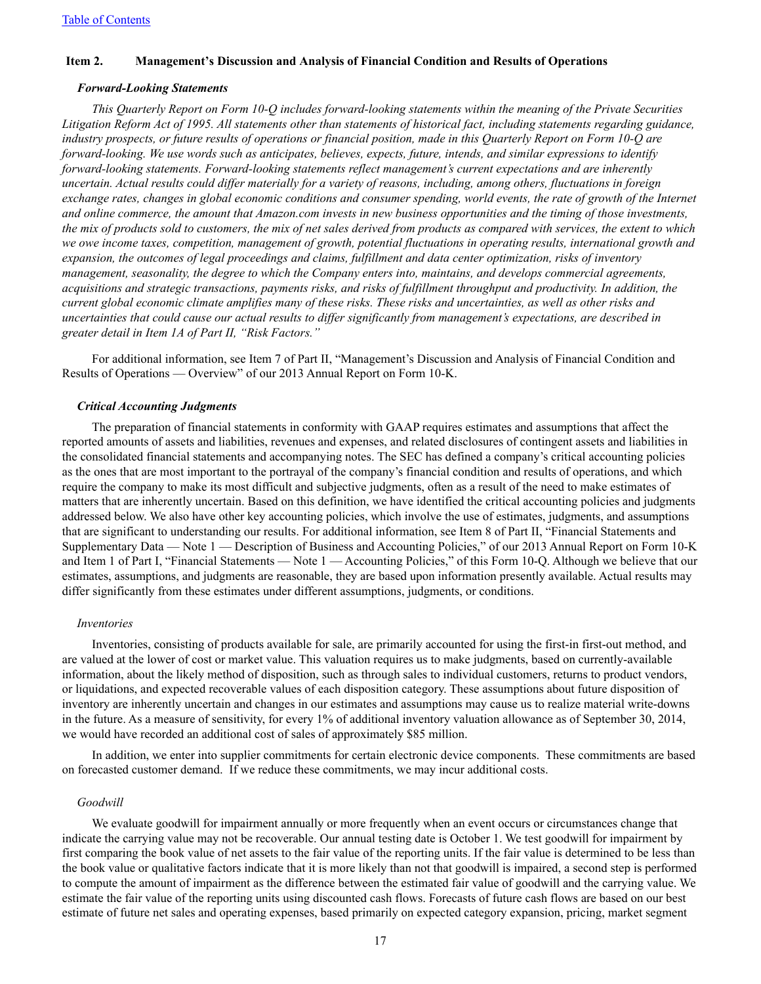# <span id="page-16-0"></span>**Item 2. Management's Discussion and Analysis of Financial Condition and Results of Operations**

#### *Forward-Looking Statements*

*This Quarterly Report on Form 10-Q includes forward-looking statements within the meaning of the Private Securities Litigation Reform Act of 1995. All statements other than statements of historical fact, including statements regarding guidance, industry prospects, or future results of operations or financial position, made in this Quarterly Report on Form 10-Q are forward-looking. We use words such as anticipates, believes, expects, future, intends, and similar expressions to identify forward-looking statements. Forward-looking statements reflect management's current expectations and are inherently uncertain. Actual results could differ materially for a variety of reasons, including, among others, fluctuations in foreign exchange rates, changes in global economic conditions and consumer spending, world events, the rate of growth of the Internet and online commerce, the amount that Amazon.com invests in new business opportunities and the timing of those investments, the mix of products sold to customers, the mix of net sales derived from products as compared with services, the extent to which we owe income taxes, competition, management of growth, potential fluctuations in operating results, international growth and expansion, the outcomes of legal proceedings and claims, fulfillment and data center optimization, risks of inventory management, seasonality, the degree to which the Company enters into, maintains, and develops commercial agreements, acquisitions and strategic transactions, payments risks, and risks of fulfillment throughput and productivity. In addition, the current global economic climate amplifies many of these risks. These risks and uncertainties, as well as other risks and uncertainties that could cause our actual results to differ significantly from management's expectations, are described in greater detail in Item 1A of Part II, "Risk Factors."*

For additional information, see Item 7 of Part II, "Management's Discussion and Analysis of Financial Condition and Results of Operations — Overview" of our 2013 Annual Report on Form 10-K.

#### *Critical Accounting Judgments*

The preparation of financial statements in conformity with GAAP requires estimates and assumptions that affect the reported amounts of assets and liabilities, revenues and expenses, and related disclosures of contingent assets and liabilities in the consolidated financial statements and accompanying notes. The SEC has defined a company's critical accounting policies as the ones that are most important to the portrayal of the company's financial condition and results of operations, and which require the company to make its most difficult and subjective judgments, often as a result of the need to make estimates of matters that are inherently uncertain. Based on this definition, we have identified the critical accounting policies and judgments addressed below. We also have other key accounting policies, which involve the use of estimates, judgments, and assumptions that are significant to understanding our results. For additional information, see Item 8 of Part II, "Financial Statements and Supplementary Data — Note 1 — Description of Business and Accounting Policies," of our 2013 Annual Report on Form 10-K and Item 1 of Part I, "Financial Statements — Note 1 — Accounting Policies," of this Form 10-Q. Although we believe that our estimates, assumptions, and judgments are reasonable, they are based upon information presently available. Actual results may differ significantly from these estimates under different assumptions, judgments, or conditions.

#### *Inventories*

Inventories, consisting of products available for sale, are primarily accounted for using the first-in first-out method, and are valued at the lower of cost or market value. This valuation requires us to make judgments, based on currently-available information, about the likely method of disposition, such as through sales to individual customers, returns to product vendors, or liquidations, and expected recoverable values of each disposition category. These assumptions about future disposition of inventory are inherently uncertain and changes in our estimates and assumptions may cause us to realize material write-downs in the future. As a measure of sensitivity, for every 1% of additional inventory valuation allowance as of September 30, 2014, we would have recorded an additional cost of sales of approximately \$85 million.

In addition, we enter into supplier commitments for certain electronic device components. These commitments are based on forecasted customer demand. If we reduce these commitments, we may incur additional costs.

#### *Goodwill*

We evaluate goodwill for impairment annually or more frequently when an event occurs or circumstances change that indicate the carrying value may not be recoverable. Our annual testing date is October 1. We test goodwill for impairment by first comparing the book value of net assets to the fair value of the reporting units. If the fair value is determined to be less than the book value or qualitative factors indicate that it is more likely than not that goodwill is impaired, a second step is performed to compute the amount of impairment as the difference between the estimated fair value of goodwill and the carrying value. We estimate the fair value of the reporting units using discounted cash flows. Forecasts of future cash flows are based on our best estimate of future net sales and operating expenses, based primarily on expected category expansion, pricing, market segment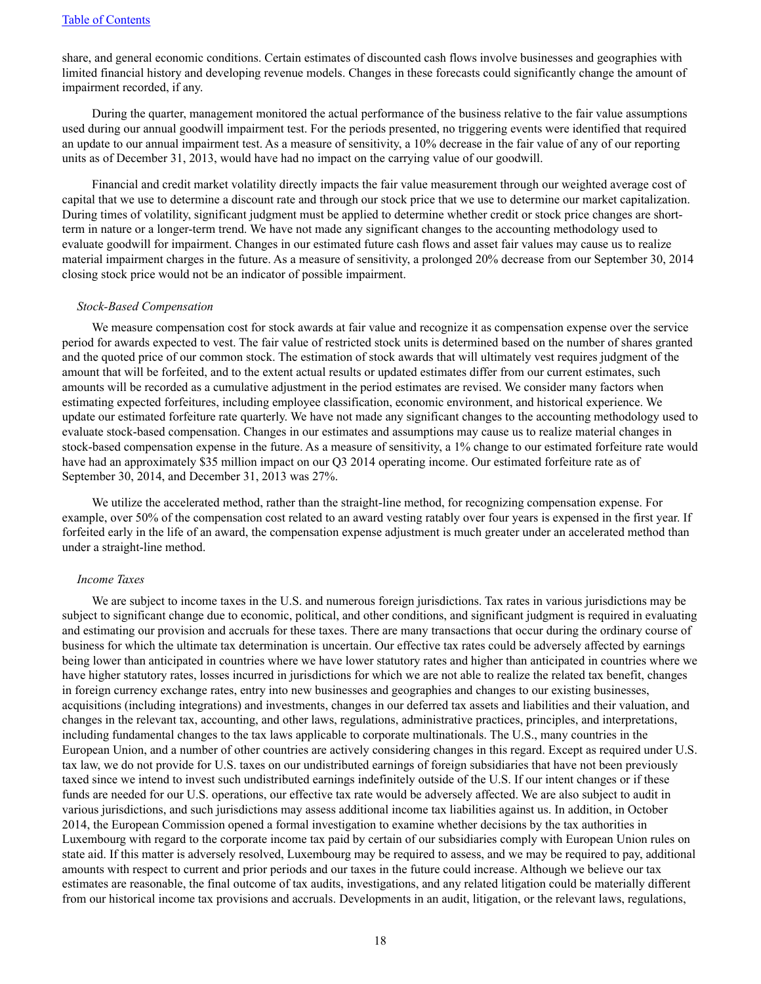share, and general economic conditions. Certain estimates of discounted cash flows involve businesses and geographies with limited financial history and developing revenue models. Changes in these forecasts could significantly change the amount of impairment recorded, if any.

During the quarter, management monitored the actual performance of the business relative to the fair value assumptions used during our annual goodwill impairment test. For the periods presented, no triggering events were identified that required an update to our annual impairment test. As a measure of sensitivity, a 10% decrease in the fair value of any of our reporting units as of December 31, 2013, would have had no impact on the carrying value of our goodwill.

Financial and credit market volatility directly impacts the fair value measurement through our weighted average cost of capital that we use to determine a discount rate and through our stock price that we use to determine our market capitalization. During times of volatility, significant judgment must be applied to determine whether credit or stock price changes are shortterm in nature or a longer-term trend. We have not made any significant changes to the accounting methodology used to evaluate goodwill for impairment. Changes in our estimated future cash flows and asset fair values may cause us to realize material impairment charges in the future. As a measure of sensitivity, a prolonged 20% decrease from our September 30, 2014 closing stock price would not be an indicator of possible impairment.

#### *Stock-Based Compensation*

We measure compensation cost for stock awards at fair value and recognize it as compensation expense over the service period for awards expected to vest. The fair value of restricted stock units is determined based on the number of shares granted and the quoted price of our common stock. The estimation of stock awards that will ultimately vest requires judgment of the amount that will be forfeited, and to the extent actual results or updated estimates differ from our current estimates, such amounts will be recorded as a cumulative adjustment in the period estimates are revised. We consider many factors when estimating expected forfeitures, including employee classification, economic environment, and historical experience. We update our estimated forfeiture rate quarterly. We have not made any significant changes to the accounting methodology used to evaluate stock-based compensation. Changes in our estimates and assumptions may cause us to realize material changes in stock-based compensation expense in the future. As a measure of sensitivity, a 1% change to our estimated forfeiture rate would have had an approximately \$35 million impact on our Q3 2014 operating income. Our estimated forfeiture rate as of September 30, 2014, and December 31, 2013 was 27%.

We utilize the accelerated method, rather than the straight-line method, for recognizing compensation expense. For example, over 50% of the compensation cost related to an award vesting ratably over four years is expensed in the first year. If forfeited early in the life of an award, the compensation expense adjustment is much greater under an accelerated method than under a straight-line method.

#### *Income Taxes*

We are subject to income taxes in the U.S. and numerous foreign jurisdictions. Tax rates in various jurisdictions may be subject to significant change due to economic, political, and other conditions, and significant judgment is required in evaluating and estimating our provision and accruals for these taxes. There are many transactions that occur during the ordinary course of business for which the ultimate tax determination is uncertain. Our effective tax rates could be adversely affected by earnings being lower than anticipated in countries where we have lower statutory rates and higher than anticipated in countries where we have higher statutory rates, losses incurred in jurisdictions for which we are not able to realize the related tax benefit, changes in foreign currency exchange rates, entry into new businesses and geographies and changes to our existing businesses, acquisitions (including integrations) and investments, changes in our deferred tax assets and liabilities and their valuation, and changes in the relevant tax, accounting, and other laws, regulations, administrative practices, principles, and interpretations, including fundamental changes to the tax laws applicable to corporate multinationals. The U.S., many countries in the European Union, and a number of other countries are actively considering changes in this regard. Except as required under U.S. tax law, we do not provide for U.S. taxes on our undistributed earnings of foreign subsidiaries that have not been previously taxed since we intend to invest such undistributed earnings indefinitely outside of the U.S. If our intent changes or if these funds are needed for our U.S. operations, our effective tax rate would be adversely affected. We are also subject to audit in various jurisdictions, and such jurisdictions may assess additional income tax liabilities against us. In addition, in October 2014, the European Commission opened a formal investigation to examine whether decisions by the tax authorities in Luxembourg with regard to the corporate income tax paid by certain of our subsidiaries comply with European Union rules on state aid. If this matter is adversely resolved, Luxembourg may be required to assess, and we may be required to pay, additional amounts with respect to current and prior periods and our taxes in the future could increase. Although we believe our tax estimates are reasonable, the final outcome of tax audits, investigations, and any related litigation could be materially different from our historical income tax provisions and accruals. Developments in an audit, litigation, or the relevant laws, regulations,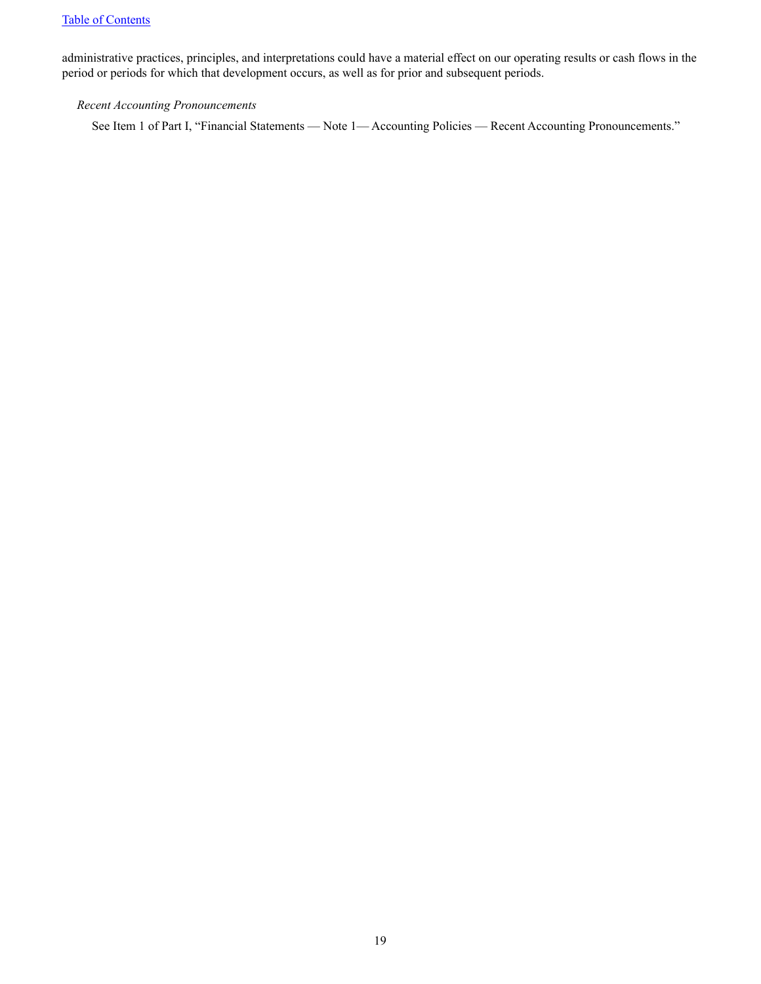administrative practices, principles, and interpretations could have a material effect on our operating results or cash flows in the period or periods for which that development occurs, as well as for prior and subsequent periods.

# *Recent Accounting Pronouncements*

See Item 1 of Part I, "Financial Statements — Note 1— Accounting Policies — Recent Accounting Pronouncements."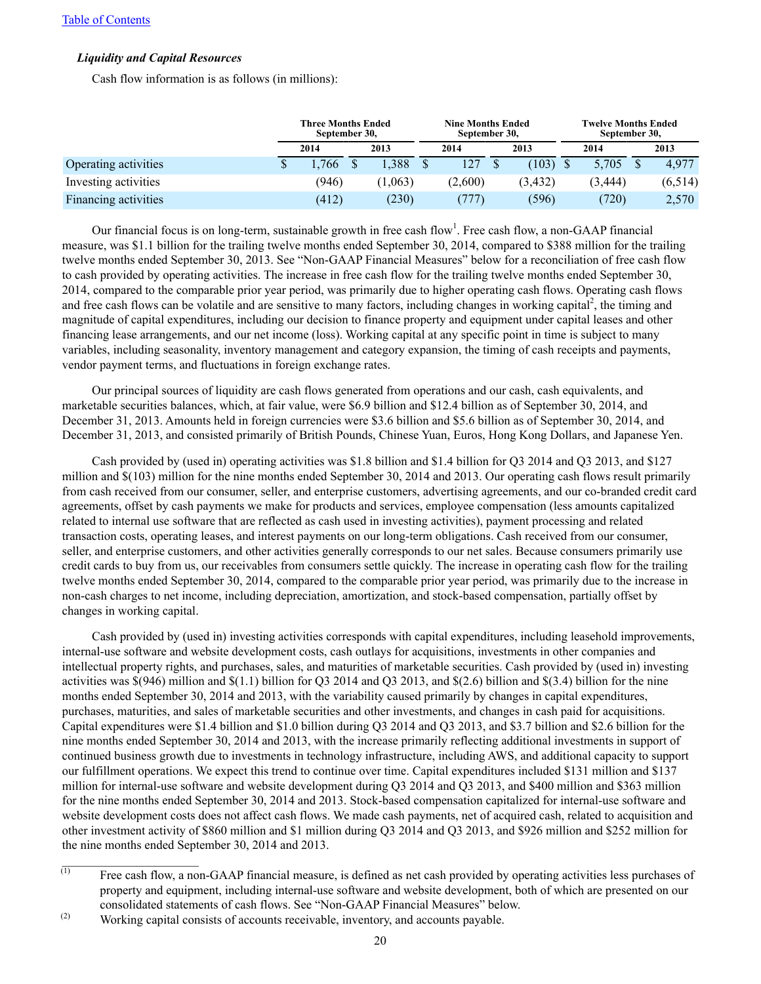# *Liquidity and Capital Resources*

Cash flow information is as follows (in millions):

|                      | <b>Three Months Ended</b><br><b>Nine Months Ended</b><br>September 30,<br>September 30, |  |         |  |         |  |          | <b>Twelve Months Ended</b><br>September 30, |          |  |          |  |
|----------------------|-----------------------------------------------------------------------------------------|--|---------|--|---------|--|----------|---------------------------------------------|----------|--|----------|--|
|                      | 2014                                                                                    |  | 2013    |  | 2014    |  | 2013     |                                             | 2014     |  | 2013     |  |
| Operating activities | .766                                                                                    |  | 1.388   |  | 127     |  | (103)    |                                             | 5.705    |  | 4,977    |  |
| Investing activities | (946)                                                                                   |  | (1,063) |  | (2,600) |  | (3, 432) |                                             | (3, 444) |  | (6, 514) |  |
| Financing activities | (412)                                                                                   |  | (230)   |  | (777)   |  | (596)    |                                             | (720)    |  | 2,570    |  |

Our financial focus is on long-term, sustainable growth in free cash flow<sup>1</sup>. Free cash flow, a non-GAAP financial measure, was \$1.1 billion for the trailing twelve months ended September 30, 2014, compared to \$388 million for the trailing twelve months ended September 30, 2013. See "Non-GAAP Financial Measures" below for a reconciliation of free cash flow to cash provided by operating activities. The increase in free cash flow for the trailing twelve months ended September 30, 2014, compared to the comparable prior year period, was primarily due to higher operating cash flows. Operating cash flows and free cash flows can be volatile and are sensitive to many factors, including changes in working capital<sup>2</sup>, the timing and magnitude of capital expenditures, including our decision to finance property and equipment under capital leases and other financing lease arrangements, and our net income (loss). Working capital at any specific point in time is subject to many variables, including seasonality, inventory management and category expansion, the timing of cash receipts and payments, vendor payment terms, and fluctuations in foreign exchange rates.

Our principal sources of liquidity are cash flows generated from operations and our cash, cash equivalents, and marketable securities balances, which, at fair value, were \$6.9 billion and \$12.4 billion as of September 30, 2014, and December 31, 2013. Amounts held in foreign currencies were \$3.6 billion and \$5.6 billion as of September 30, 2014, and December 31, 2013, and consisted primarily of British Pounds, Chinese Yuan, Euros, Hong Kong Dollars, and Japanese Yen.

Cash provided by (used in) operating activities was \$1.8 billion and \$1.4 billion for Q3 2014 and Q3 2013, and \$127 million and \$(103) million for the nine months ended September 30, 2014 and 2013. Our operating cash flows result primarily from cash received from our consumer, seller, and enterprise customers, advertising agreements, and our co-branded credit card agreements, offset by cash payments we make for products and services, employee compensation (less amounts capitalized related to internal use software that are reflected as cash used in investing activities), payment processing and related transaction costs, operating leases, and interest payments on our long-term obligations. Cash received from our consumer, seller, and enterprise customers, and other activities generally corresponds to our net sales. Because consumers primarily use credit cards to buy from us, our receivables from consumers settle quickly. The increase in operating cash flow for the trailing twelve months ended September 30, 2014, compared to the comparable prior year period, was primarily due to the increase in non-cash charges to net income, including depreciation, amortization, and stock-based compensation, partially offset by changes in working capital.

Cash provided by (used in) investing activities corresponds with capital expenditures, including leasehold improvements, internal-use software and website development costs, cash outlays for acquisitions, investments in other companies and intellectual property rights, and purchases, sales, and maturities of marketable securities. Cash provided by (used in) investing activities was  $\$(946)$  million and  $\$(1.1)$  billion for Q3 2014 and Q3 2013, and  $\$(2.6)$  billion and  $\$(3.4)$  billion for the nine months ended September 30, 2014 and 2013, with the variability caused primarily by changes in capital expenditures, purchases, maturities, and sales of marketable securities and other investments, and changes in cash paid for acquisitions. Capital expenditures were \$1.4 billion and \$1.0 billion during Q3 2014 and Q3 2013, and \$3.7 billion and \$2.6 billion for the nine months ended September 30, 2014 and 2013, with the increase primarily reflecting additional investments in support of continued business growth due to investments in technology infrastructure, including AWS, and additional capacity to support our fulfillment operations. We expect this trend to continue over time. Capital expenditures included \$131 million and \$137 million for internal-use software and website development during Q3 2014 and Q3 2013, and \$400 million and \$363 million for the nine months ended September 30, 2014 and 2013. Stock-based compensation capitalized for internal-use software and website development costs does not affect cash flows. We made cash payments, net of acquired cash, related to acquisition and other investment activity of \$860 million and \$1 million during Q3 2014 and Q3 2013, and \$926 million and \$252 million for the nine months ended September 30, 2014 and 2013.

 $\overline{p}$  Free cash flow, a non-GAAP financial measure, is defined as net cash provided by operating activities less purchases of property and equipment, including internal-use software and website development, both of which are presented on our consolidated statements of cash flows. See "Non-GAAP Financial Measures" below.

<sup>(2)</sup> Working capital consists of accounts receivable, inventory, and accounts payable.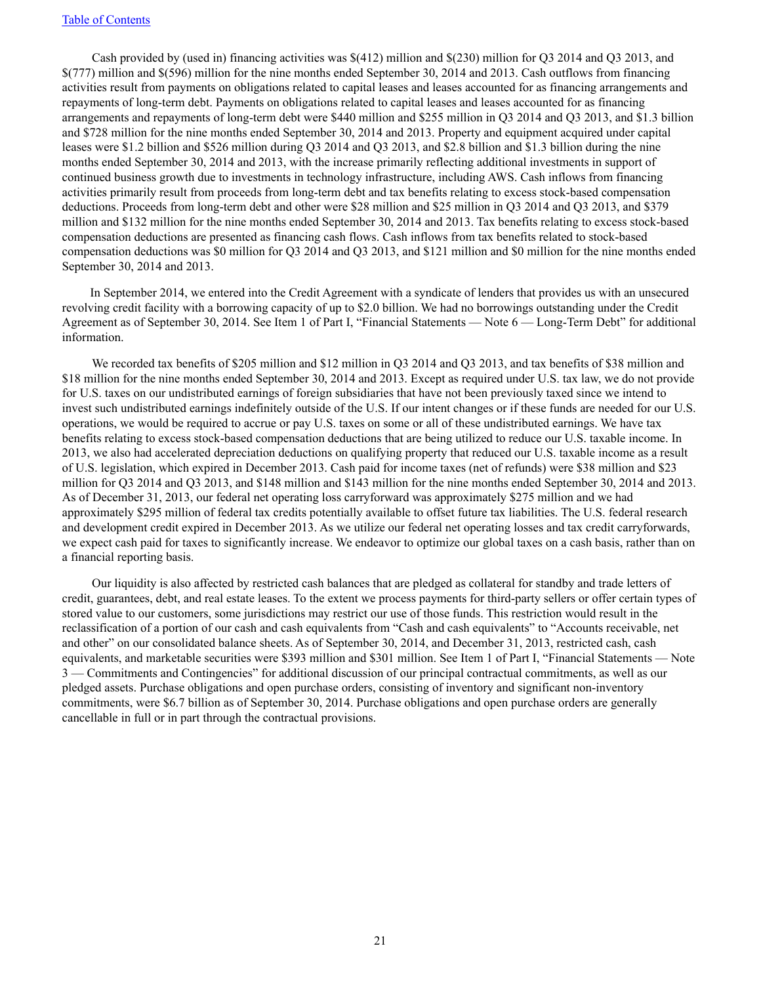Cash provided by (used in) financing activities was \$(412) million and \$(230) million for Q3 2014 and Q3 2013, and \$(777) million and \$(596) million for the nine months ended September 30, 2014 and 2013. Cash outflows from financing activities result from payments on obligations related to capital leases and leases accounted for as financing arrangements and repayments of long-term debt. Payments on obligations related to capital leases and leases accounted for as financing arrangements and repayments of long-term debt were \$440 million and \$255 million in Q3 2014 and Q3 2013, and \$1.3 billion and \$728 million for the nine months ended September 30, 2014 and 2013. Property and equipment acquired under capital leases were \$1.2 billion and \$526 million during Q3 2014 and Q3 2013, and \$2.8 billion and \$1.3 billion during the nine months ended September 30, 2014 and 2013, with the increase primarily reflecting additional investments in support of continued business growth due to investments in technology infrastructure, including AWS. Cash inflows from financing activities primarily result from proceeds from long-term debt and tax benefits relating to excess stock-based compensation deductions. Proceeds from long-term debt and other were \$28 million and \$25 million in Q3 2014 and Q3 2013, and \$379 million and \$132 million for the nine months ended September 30, 2014 and 2013. Tax benefits relating to excess stock-based compensation deductions are presented as financing cash flows. Cash inflows from tax benefits related to stock-based compensation deductions was \$0 million for Q3 2014 and Q3 2013, and \$121 million and \$0 million for the nine months ended September 30, 2014 and 2013.

In September 2014, we entered into the Credit Agreement with a syndicate of lenders that provides us with an unsecured revolving credit facility with a borrowing capacity of up to \$2.0 billion. We had no borrowings outstanding under the Credit Agreement as of September 30, 2014. See Item 1 of Part I, "Financial Statements — Note 6 — Long-Term Debt" for additional information.

We recorded tax benefits of \$205 million and \$12 million in Q3 2014 and Q3 2013, and tax benefits of \$38 million and \$18 million for the nine months ended September 30, 2014 and 2013. Except as required under U.S. tax law, we do not provide for U.S. taxes on our undistributed earnings of foreign subsidiaries that have not been previously taxed since we intend to invest such undistributed earnings indefinitely outside of the U.S. If our intent changes or if these funds are needed for our U.S. operations, we would be required to accrue or pay U.S. taxes on some or all of these undistributed earnings. We have tax benefits relating to excess stock-based compensation deductions that are being utilized to reduce our U.S. taxable income. In 2013, we also had accelerated depreciation deductions on qualifying property that reduced our U.S. taxable income as a result of U.S. legislation, which expired in December 2013. Cash paid for income taxes (net of refunds) were \$38 million and \$23 million for Q3 2014 and Q3 2013, and \$148 million and \$143 million for the nine months ended September 30, 2014 and 2013. As of December 31, 2013, our federal net operating loss carryforward was approximately \$275 million and we had approximately \$295 million of federal tax credits potentially available to offset future tax liabilities. The U.S. federal research and development credit expired in December 2013. As we utilize our federal net operating losses and tax credit carryforwards, we expect cash paid for taxes to significantly increase. We endeavor to optimize our global taxes on a cash basis, rather than on a financial reporting basis.

Our liquidity is also affected by restricted cash balances that are pledged as collateral for standby and trade letters of credit, guarantees, debt, and real estate leases. To the extent we process payments for third-party sellers or offer certain types of stored value to our customers, some jurisdictions may restrict our use of those funds. This restriction would result in the reclassification of a portion of our cash and cash equivalents from "Cash and cash equivalents" to "Accounts receivable, net and other" on our consolidated balance sheets. As of September 30, 2014, and December 31, 2013, restricted cash, cash equivalents, and marketable securities were \$393 million and \$301 million. See Item 1 of Part I, "Financial Statements — Note 3 — Commitments and Contingencies" for additional discussion of our principal contractual commitments, as well as our pledged assets. Purchase obligations and open purchase orders, consisting of inventory and significant non-inventory commitments, were \$6.7 billion as of September 30, 2014. Purchase obligations and open purchase orders are generally cancellable in full or in part through the contractual provisions.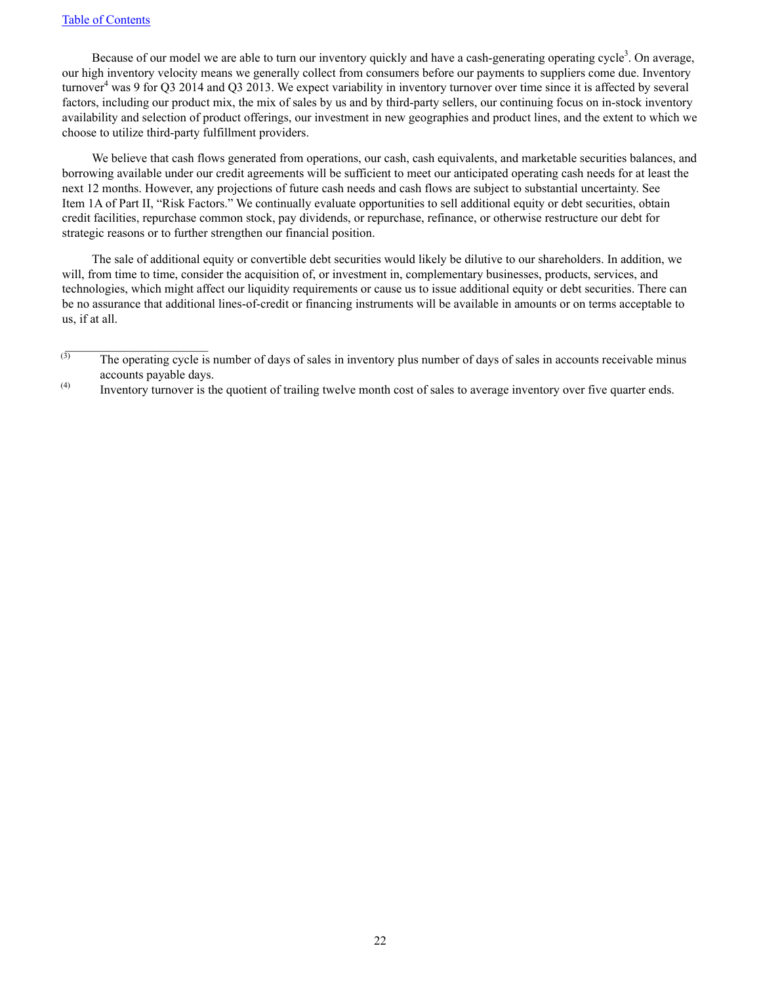Because of our model we are able to turn our inventory quickly and have a cash-generating operating cycle<sup>3</sup>. On average, our high inventory velocity means we generally collect from consumers before our payments to suppliers come due. Inventory turnover<sup>4</sup> was 9 for Q3 2014 and Q3 2013. We expect variability in inventory turnover over time since it is affected by several factors, including our product mix, the mix of sales by us and by third-party sellers, our continuing focus on in-stock inventory availability and selection of product offerings, our investment in new geographies and product lines, and the extent to which we choose to utilize third-party fulfillment providers.

We believe that cash flows generated from operations, our cash, cash equivalents, and marketable securities balances, and borrowing available under our credit agreements will be sufficient to meet our anticipated operating cash needs for at least the next 12 months. However, any projections of future cash needs and cash flows are subject to substantial uncertainty. See Item 1A of Part II, "Risk Factors." We continually evaluate opportunities to sell additional equity or debt securities, obtain credit facilities, repurchase common stock, pay dividends, or repurchase, refinance, or otherwise restructure our debt for strategic reasons or to further strengthen our financial position.

The sale of additional equity or convertible debt securities would likely be dilutive to our shareholders. In addition, we will, from time to time, consider the acquisition of, or investment in, complementary businesses, products, services, and technologies, which might affect our liquidity requirements or cause us to issue additional equity or debt securities. There can be no assurance that additional lines-of-credit or financing instruments will be available in amounts or on terms acceptable to us, if at all.

(4) Inventory turnover is the quotient of trailing twelve month cost of sales to average inventory over five quarter ends.

 $\overline{3}$  The operating cycle is number of days of sales in inventory plus number of days of sales in accounts receivable minus accounts payable days.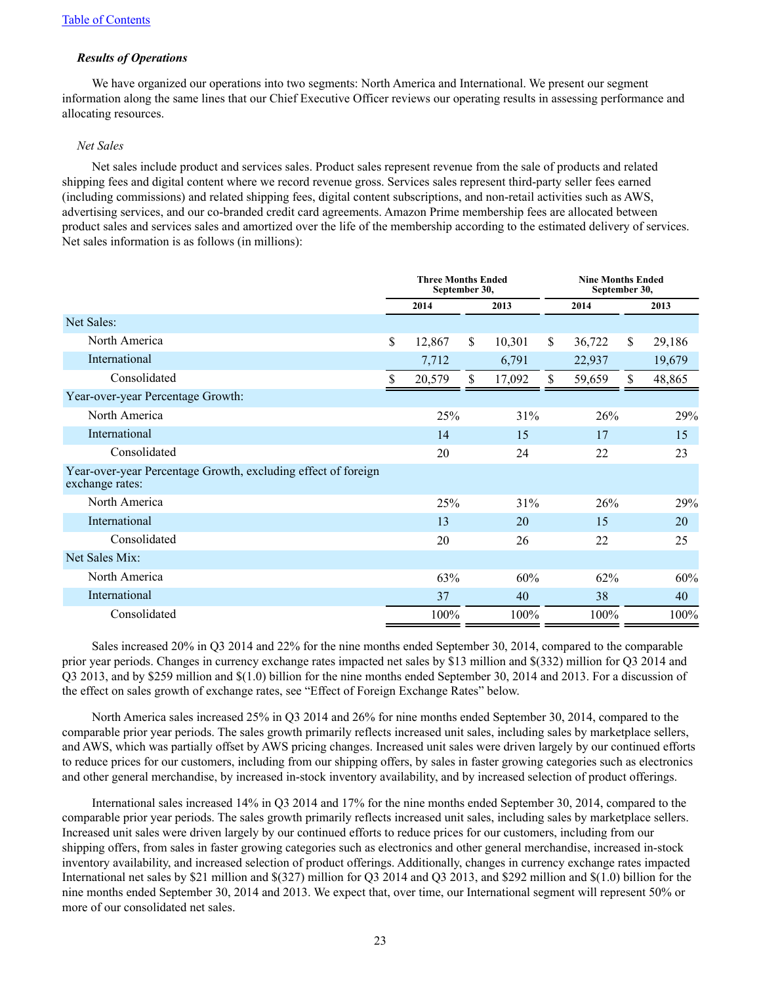# *Results of Operations*

We have organized our operations into two segments: North America and International. We present our segment information along the same lines that our Chief Executive Officer reviews our operating results in assessing performance and allocating resources.

# *Net Sales*

Net sales include product and services sales. Product sales represent revenue from the sale of products and related shipping fees and digital content where we record revenue gross. Services sales represent third-party seller fees earned (including commissions) and related shipping fees, digital content subscriptions, and non-retail activities such as AWS, advertising services, and our co-branded credit card agreements. Amazon Prime membership fees are allocated between product sales and services sales and amortized over the life of the membership according to the estimated delivery of services. Net sales information is as follows (in millions):

|                                                                                  | <b>Three Months Ended</b><br>September 30, |              |     | <b>Nine Months Ended</b><br>September 30, |               |        |  |
|----------------------------------------------------------------------------------|--------------------------------------------|--------------|-----|-------------------------------------------|---------------|--------|--|
|                                                                                  | 2014                                       | 2013         |     | 2014                                      |               | 2013   |  |
| Net Sales:                                                                       |                                            |              |     |                                           |               |        |  |
| North America                                                                    | \$<br>12,867                               | \$<br>10,301 | S.  | 36,722                                    | <sup>\$</sup> | 29,186 |  |
| International                                                                    | 7,712                                      | 6,791        |     | 22,937                                    |               | 19,679 |  |
| Consolidated                                                                     | \$<br>20,579                               | \$<br>17,092 | \$. | 59,659                                    | \$            | 48,865 |  |
| Year-over-year Percentage Growth:                                                |                                            |              |     |                                           |               |        |  |
| North America                                                                    | 25%                                        | 31%          |     | 26%                                       |               | 29%    |  |
| International                                                                    | 14                                         | 15           |     | 17                                        |               | 15     |  |
| Consolidated                                                                     | 20                                         | 24           |     | 22                                        |               | 23     |  |
| Year-over-year Percentage Growth, excluding effect of foreign<br>exchange rates: |                                            |              |     |                                           |               |        |  |
| North America                                                                    | 25%                                        | 31%          |     | 26%                                       |               | 29%    |  |
| International                                                                    | 13                                         | 20           |     | 15                                        |               | 20     |  |
| Consolidated                                                                     | 20                                         | 26           |     | 22                                        |               | 25     |  |
| Net Sales Mix:                                                                   |                                            |              |     |                                           |               |        |  |
| North America                                                                    | 63%                                        | 60%          |     | 62%                                       |               | 60%    |  |
| International                                                                    | 37                                         | 40           |     | 38                                        |               | 40     |  |
| Consolidated                                                                     | 100%                                       | 100%         |     | 100%                                      |               | 100%   |  |

Sales increased 20% in Q3 2014 and 22% for the nine months ended September 30, 2014, compared to the comparable prior year periods. Changes in currency exchange rates impacted net sales by \$13 million and \$(332) million for Q3 2014 and Q3 2013, and by \$259 million and \$(1.0) billion for the nine months ended September 30, 2014 and 2013. For a discussion of the effect on sales growth of exchange rates, see "Effect of Foreign Exchange Rates" below.

North America sales increased 25% in Q3 2014 and 26% for nine months ended September 30, 2014, compared to the comparable prior year periods. The sales growth primarily reflects increased unit sales, including sales by marketplace sellers, and AWS, which was partially offset by AWS pricing changes. Increased unit sales were driven largely by our continued efforts to reduce prices for our customers, including from our shipping offers, by sales in faster growing categories such as electronics and other general merchandise, by increased in-stock inventory availability, and by increased selection of product offerings.

International sales increased 14% in Q3 2014 and 17% for the nine months ended September 30, 2014, compared to the comparable prior year periods. The sales growth primarily reflects increased unit sales, including sales by marketplace sellers. Increased unit sales were driven largely by our continued efforts to reduce prices for our customers, including from our shipping offers, from sales in faster growing categories such as electronics and other general merchandise, increased in-stock inventory availability, and increased selection of product offerings. Additionally, changes in currency exchange rates impacted International net sales by \$21 million and \$(327) million for Q3 2014 and Q3 2013, and \$292 million and \$(1.0) billion for the nine months ended September 30, 2014 and 2013. We expect that, over time, our International segment will represent 50% or more of our consolidated net sales.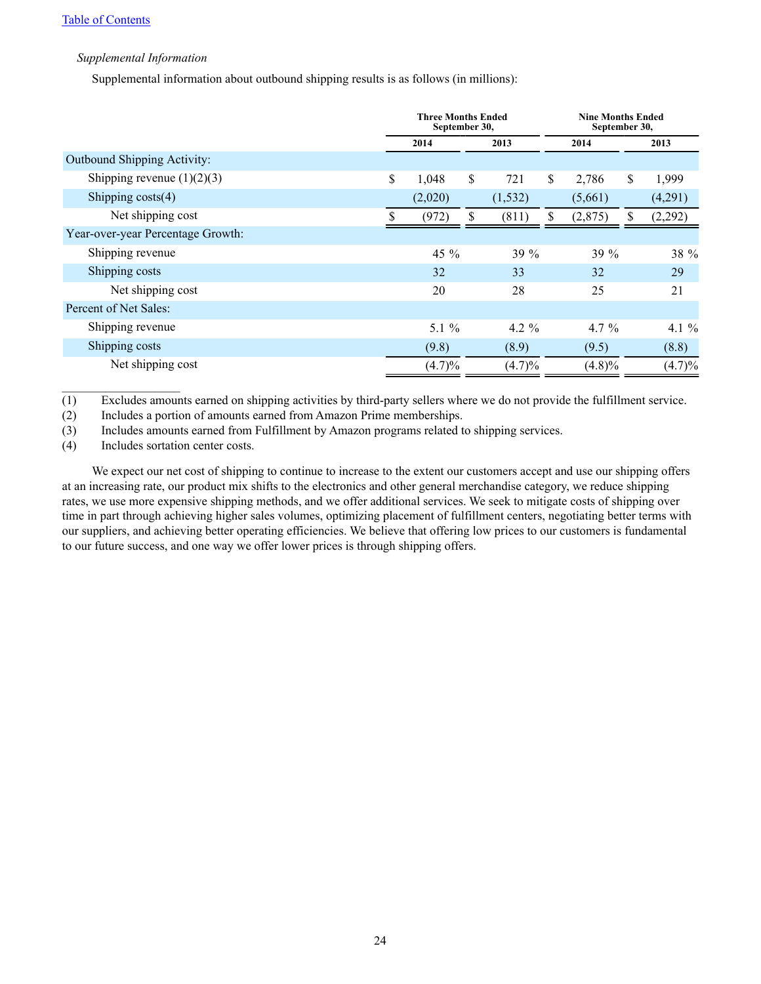# *Supplemental Information*

Supplemental information about outbound shipping results is as follows (in millions):

|                                   | <b>Three Months Ended</b><br>September 30, |    |           |    | <b>Nine Months Ended</b><br>September 30, |    |          |
|-----------------------------------|--------------------------------------------|----|-----------|----|-------------------------------------------|----|----------|
|                                   | 2014                                       |    | 2013      |    | 2014                                      |    | 2013     |
| Outbound Shipping Activity:       |                                            |    |           |    |                                           |    |          |
| Shipping revenue $(1)(2)(3)$      | \$<br>1,048                                | \$ | 721       | \$ | 2,786                                     | \$ | 1,999    |
| Shipping $costs(4)$               | (2,020)                                    |    | (1, 532)  |    | (5,661)                                   |    | (4,291)  |
| Net shipping cost                 | (972)                                      | \$ | (811)     | \$ | (2,875)                                   | \$ | (2,292)  |
| Year-over-year Percentage Growth: |                                            |    |           |    |                                           |    |          |
| Shipping revenue                  | 45 $%$                                     |    | $39\%$    |    | $39\%$                                    |    | 38 %     |
| Shipping costs                    | 32                                         |    | 33        |    | 32                                        |    | 29       |
| Net shipping cost                 | 20                                         |    | 28        |    | 25                                        |    | 21       |
| Percent of Net Sales:             |                                            |    |           |    |                                           |    |          |
| Shipping revenue                  | 5.1 $\%$                                   |    | $4.2 \%$  |    | $4.7\%$                                   |    | 4.1 $\%$ |
| Shipping costs                    | (9.8)                                      |    | (8.9)     |    | (9.5)                                     |    | (8.8)    |
| Net shipping cost                 | (4.7)%                                     |    | $(4.7)\%$ |    | $(4.8)\%$                                 |    | (4.7)%   |

 $\overline{(1)}$  Excludes amounts earned on shipping activities by third-party sellers where we do not provide the fulfillment service.

(2) Includes a portion of amounts earned from Amazon Prime memberships.

(3) Includes amounts earned from Fulfillment by Amazon programs related to shipping services.

(4) Includes sortation center costs.

 $\mathcal{L}_\text{max}$ 

We expect our net cost of shipping to continue to increase to the extent our customers accept and use our shipping offers at an increasing rate, our product mix shifts to the electronics and other general merchandise category, we reduce shipping rates, we use more expensive shipping methods, and we offer additional services. We seek to mitigate costs of shipping over time in part through achieving higher sales volumes, optimizing placement of fulfillment centers, negotiating better terms with our suppliers, and achieving better operating efficiencies. We believe that offering low prices to our customers is fundamental to our future success, and one way we offer lower prices is through shipping offers.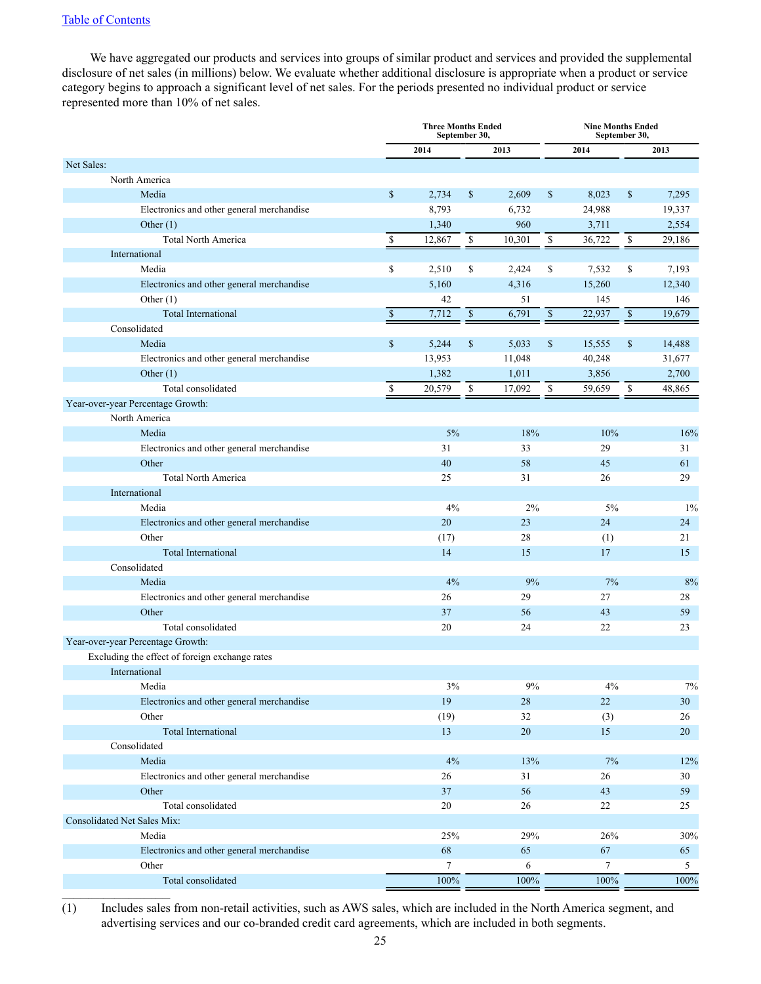We have aggregated our products and services into groups of similar product and services and provided the supplemental disclosure of net sales (in millions) below. We evaluate whether additional disclosure is appropriate when a product or service category begins to approach a significant level of net sales. For the periods presented no individual product or service represented more than 10% of net sales.

|                                                |               | <b>Three Months Ended</b><br>September 30, |              | <b>Nine Months Ended</b><br>September 30, |              |        |              |                |
|------------------------------------------------|---------------|--------------------------------------------|--------------|-------------------------------------------|--------------|--------|--------------|----------------|
|                                                |               | 2014                                       |              | 2013                                      |              | 2014   |              | 2013           |
| Net Sales:                                     |               |                                            |              |                                           |              |        |              |                |
| North America                                  |               |                                            |              |                                           |              |        |              |                |
| Media                                          | $\mathbb{S}$  | 2,734                                      | \$           | 2,609                                     | $\mathbb{S}$ | 8,023  | \$           | 7,295          |
| Electronics and other general merchandise      |               | 8,793                                      |              | 6,732                                     |              | 24,988 |              | 19,337         |
| Other $(1)$                                    |               | 1,340                                      |              | 960                                       |              | 3,711  |              | 2,554          |
| <b>Total North America</b>                     | \$            | 12,867                                     | $\mathbb{S}$ | 10,301                                    | \$           | 36,722 | $\mathbb{S}$ | 29,186         |
| International                                  |               |                                            |              |                                           |              |        |              |                |
| Media                                          | \$            | 2,510                                      | \$           | 2,424                                     | \$           | 7,532  | \$           | 7,193          |
| Electronics and other general merchandise      |               | 5,160                                      |              | 4,316                                     |              | 15,260 |              | 12,340         |
| Other $(1)$                                    |               | 42                                         |              | 51                                        |              | 145    |              | 146            |
| <b>Total International</b>                     | $\mathcal{S}$ | 7,712                                      | $\sqrt{\ }$  | 6,791                                     | $\mathbb{S}$ | 22,937 | $\mathbb{S}$ | 19,679         |
| Consolidated                                   |               |                                            |              |                                           |              |        |              |                |
| Media                                          | \$            | 5,244                                      | \$           | 5,033                                     | $\mathbb{S}$ | 15,555 | \$           | 14,488         |
| Electronics and other general merchandise      |               | 13,953                                     |              | 11,048                                    |              | 40,248 |              | 31,677         |
| Other $(1)$                                    |               | 1,382                                      |              | 1,011                                     |              | 3,856  |              | 2,700          |
| Total consolidated                             | \$            | 20,579                                     | $\mathbb{S}$ | 17,092                                    | \$           | 59,659 | \$           | 48,865         |
| Year-over-year Percentage Growth:              |               |                                            |              |                                           |              |        |              |                |
| North America                                  |               |                                            |              |                                           |              |        |              |                |
| Media                                          |               | $5\%$                                      |              | 18%                                       |              | 10%    |              | 16%            |
| Electronics and other general merchandise      |               | 31                                         |              | 33                                        |              | 29     |              | 31             |
| Other                                          |               | 40                                         |              | 58                                        |              | 45     |              | 61             |
| <b>Total North America</b>                     |               | 25                                         |              | 31                                        |              | 26     |              | 29             |
| International                                  |               |                                            |              |                                           |              |        |              |                |
| Media                                          |               | 4%                                         |              | $2\%$                                     |              | 5%     |              | 1%             |
| Electronics and other general merchandise      |               | 20                                         |              | 23                                        |              | 24     |              | 24             |
| Other                                          |               | (17)                                       |              | 28                                        |              | (1)    |              | 21             |
| <b>Total International</b>                     |               | 14                                         |              | 15                                        |              | 17     |              | 15             |
| Consolidated                                   |               |                                            |              |                                           |              |        |              |                |
| Media                                          |               | 4%                                         |              | 9%                                        |              | 7%     |              | 8%             |
| Electronics and other general merchandise      |               | 26                                         |              | 29                                        |              | 27     |              | 28             |
| Other                                          |               | 37                                         |              | 56                                        |              | 43     |              | 59             |
| Total consolidated                             |               | 20                                         |              | 24                                        |              | 22     |              | 23             |
| Year-over-year Percentage Growth:              |               |                                            |              |                                           |              |        |              |                |
| Excluding the effect of foreign exchange rates |               |                                            |              |                                           |              |        |              |                |
| International                                  |               |                                            |              |                                           |              |        |              |                |
| Media                                          |               | $3\%$                                      |              | $9\%$                                     |              | $4\%$  |              | $7\%$          |
| Electronics and other general merchandise      |               | 19                                         |              | $28\,$                                    |              | $22\,$ |              | 30             |
| Other                                          |               | (19)                                       |              | 32                                        |              | (3)    |              | 26             |
| Total International                            |               | 13                                         |              | $20\,$                                    |              | 15     |              | 20             |
| Consolidated                                   |               |                                            |              |                                           |              |        |              |                |
| Media                                          |               | $4\%$                                      |              | 13%                                       |              | $7\%$  |              | 12%            |
| Electronics and other general merchandise      |               | 26                                         |              | 31                                        |              | 26     |              | 30             |
| Other                                          |               | 37                                         |              | 56                                        |              | $43\,$ |              | 59             |
| Total consolidated                             |               | 20                                         |              | $26\,$                                    |              | $22\,$ |              | 25             |
| Consolidated Net Sales Mix:                    |               |                                            |              |                                           |              |        |              |                |
| Media                                          |               | 25%                                        |              | 29%                                       | $26\%$       |        |              | 30%            |
| Electronics and other general merchandise      |               | 68                                         |              | 65                                        |              | 67     |              | 65             |
| Other                                          |               | $\tau$                                     |              | 6                                         |              | 7      |              | 5 <sup>5</sup> |
| Total consolidated                             |               | 100%                                       |              | 100%                                      |              | 100%   |              | 100%           |

(1) Includes sales from non-retail activities, such as AWS sales, which are included in the North America segment, and advertising services and our co-branded credit card agreements, which are included in both segments.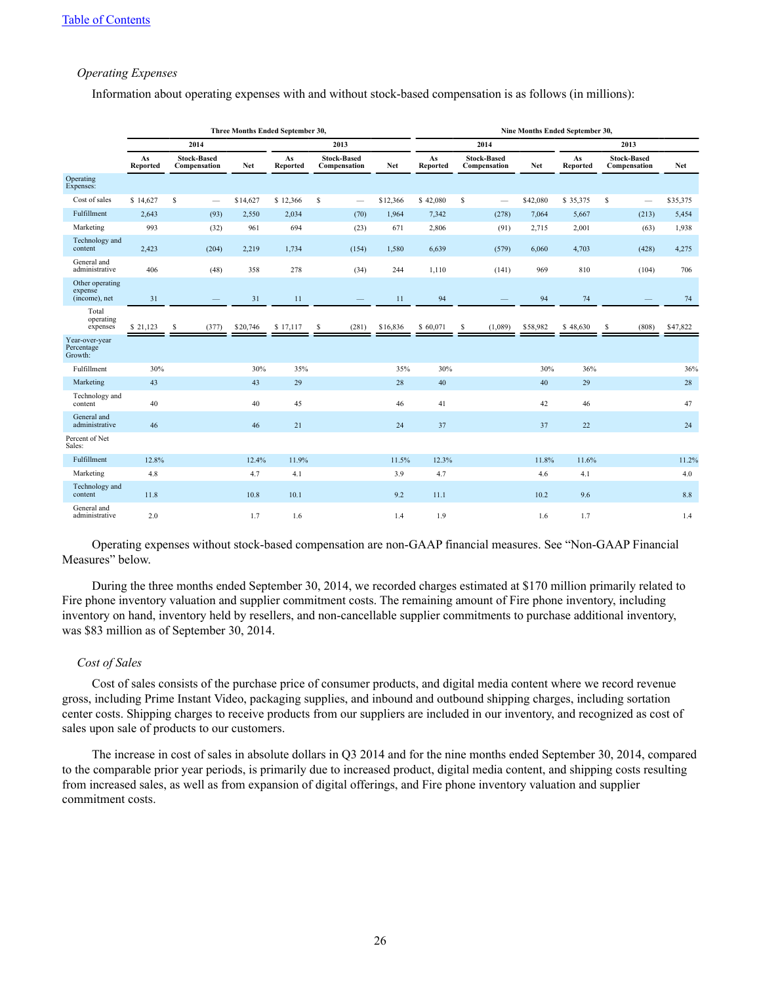# *Operating Expenses*

Information about operating expenses with and without stock-based compensation is as follows (in millions):

|                                             | Three Months Ended September 30, |                                    |            |                |    |                                    |            |                | Nine Months Ended September 30, |                                    |            |                |                                    |            |  |  |  |
|---------------------------------------------|----------------------------------|------------------------------------|------------|----------------|----|------------------------------------|------------|----------------|---------------------------------|------------------------------------|------------|----------------|------------------------------------|------------|--|--|--|
|                                             |                                  | 2014                               |            |                |    | 2013                               |            |                |                                 | 2014                               |            | 2013           |                                    |            |  |  |  |
|                                             | As<br>Reported                   | <b>Stock-Based</b><br>Compensation | <b>Net</b> | As<br>Reported |    | <b>Stock-Based</b><br>Compensation | <b>Net</b> | As<br>Reported |                                 | <b>Stock-Based</b><br>Compensation | <b>Net</b> | As<br>Reported | <b>Stock-Based</b><br>Compensation | <b>Net</b> |  |  |  |
| Operating<br>Expenses:                      |                                  |                                    |            |                |    |                                    |            |                |                                 |                                    |            |                |                                    |            |  |  |  |
| Cost of sales                               | \$14,627                         | \$<br>$\overline{\phantom{0}}$     | \$14,627   | \$12,366       | \$ |                                    | \$12,366   | \$42,080       | $\mathsf{s}$                    | $\overline{\phantom{0}}$           | \$42,080   | \$35,375       | $\mathbb{S}$                       | \$35,375   |  |  |  |
| Fulfillment                                 | 2,643                            | (93)                               | 2,550      | 2,034          |    | (70)                               | 1,964      | 7,342          |                                 | (278)                              | 7,064      | 5,667          | (213)                              | 5,454      |  |  |  |
| Marketing                                   | 993                              | (32)                               | 961        | 694            |    | (23)                               | 671        | 2,806          |                                 | (91)                               | 2,715      | 2,001          | (63)                               | 1,938      |  |  |  |
| Technology and<br>content                   | 2,423                            | (204)                              | 2,219      | 1,734          |    | (154)                              | 1,580      | 6,639          |                                 | (579)                              | 6,060      | 4,703          | (428)                              | 4,275      |  |  |  |
| General and<br>administrative               | 406                              | (48)                               | 358        | 278            |    | (34)                               | 244        | 1,110          |                                 | (141)                              | 969        | 810            | (104)                              | 706        |  |  |  |
| Other operating<br>expense<br>(income), net | 31                               |                                    | 31         | 11             |    |                                    | 11         | 94             |                                 |                                    | 94         | 74             |                                    | 74         |  |  |  |
| Total<br>operating<br>expenses              | \$21,123                         | S<br>(377)                         | \$20,746   | \$17,117       | s  | (281)                              | \$16,836   | \$60,071       | s                               | (1,089)                            | \$58,982   | \$48,630       | \$<br>(808)                        | \$47,822   |  |  |  |
| Year-over-year<br>Percentage<br>Growth:     |                                  |                                    |            |                |    |                                    |            |                |                                 |                                    |            |                |                                    |            |  |  |  |
| Fulfillment                                 | 30%                              |                                    | 30%        | 35%            |    |                                    | 35%        | 30%            |                                 |                                    | 30%        | 36%            |                                    | 36%        |  |  |  |
| Marketing                                   | 43                               |                                    | 43         | 29             |    |                                    | 28         | 40             |                                 |                                    | 40         | 29             |                                    | 28         |  |  |  |
| Technology and<br>content                   | 40                               |                                    | 40         | 45             |    |                                    | 46         | 41             |                                 |                                    | 42         | 46             |                                    | 47         |  |  |  |
| General and<br>administrative               | 46                               |                                    | 46         | 21             |    |                                    | 24         | 37             |                                 |                                    | 37         | 22             |                                    | 24         |  |  |  |
| Percent of Net<br>Sales:                    |                                  |                                    |            |                |    |                                    |            |                |                                 |                                    |            |                |                                    |            |  |  |  |
| Fulfillment                                 | 12.8%                            |                                    | 12.4%      | 11.9%          |    |                                    | 11.5%      | 12.3%          |                                 |                                    | 11.8%      | 11.6%          |                                    | 11.2%      |  |  |  |
| Marketing                                   | 4.8                              |                                    | 4.7        | 4.1            |    |                                    | 3.9        | 4.7            |                                 |                                    | 4.6        | 4.1            |                                    | $4.0\,$    |  |  |  |
| Technology and<br>content                   | 11.8                             |                                    | 10.8       | 10.1           |    |                                    | 9.2        | 11.1           |                                 |                                    | 10.2       | 9.6            |                                    | $8.8\,$    |  |  |  |
| General and<br>administrative               | 2.0                              |                                    | 1.7        | 1.6            |    |                                    | 1.4        | 1.9            |                                 |                                    | 1.6        | 1.7            |                                    | 1.4        |  |  |  |

Operating expenses without stock-based compensation are non-GAAP financial measures. See "Non-GAAP Financial Measures" below.

During the three months ended September 30, 2014, we recorded charges estimated at \$170 million primarily related to Fire phone inventory valuation and supplier commitment costs. The remaining amount of Fire phone inventory, including inventory on hand, inventory held by resellers, and non-cancellable supplier commitments to purchase additional inventory, was \$83 million as of September 30, 2014.

# *Cost of Sales*

Cost of sales consists of the purchase price of consumer products, and digital media content where we record revenue gross, including Prime Instant Video, packaging supplies, and inbound and outbound shipping charges, including sortation center costs. Shipping charges to receive products from our suppliers are included in our inventory, and recognized as cost of sales upon sale of products to our customers.

The increase in cost of sales in absolute dollars in Q3 2014 and for the nine months ended September 30, 2014, compared to the comparable prior year periods, is primarily due to increased product, digital media content, and shipping costs resulting from increased sales, as well as from expansion of digital offerings, and Fire phone inventory valuation and supplier commitment costs.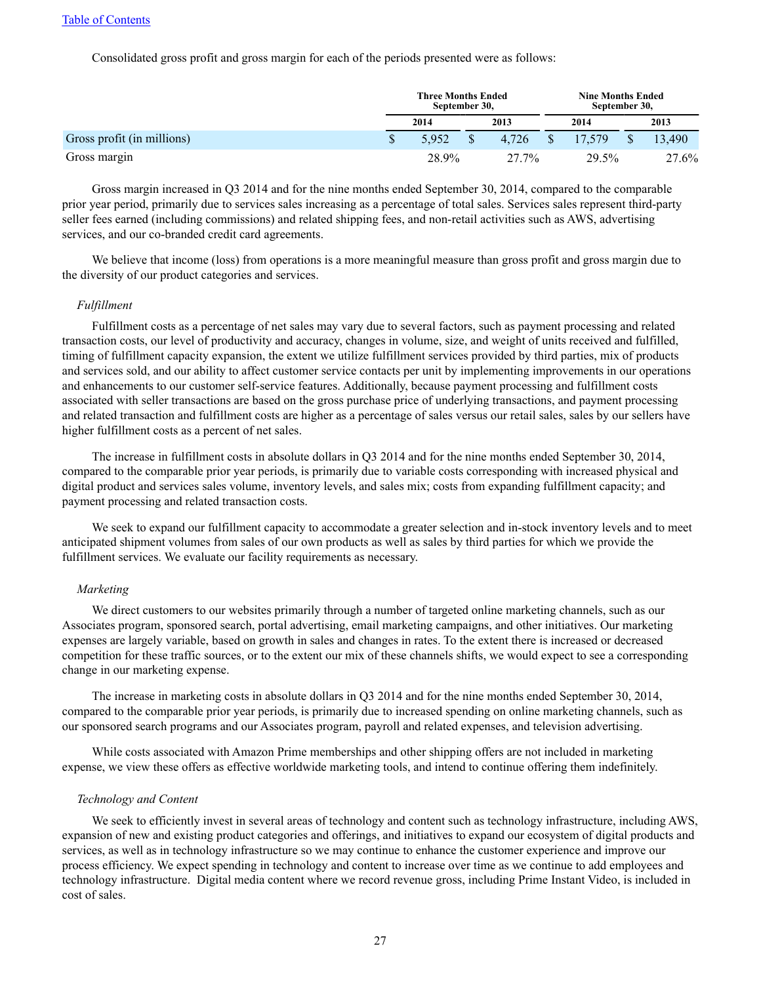Consolidated gross profit and gross margin for each of the periods presented were as follows:

|                            |  | <b>Three Months Ended</b><br>September 30, |          | <b>Nine Months Ended</b><br>September 30, |  |        |  |  |
|----------------------------|--|--------------------------------------------|----------|-------------------------------------------|--|--------|--|--|
|                            |  | 2014                                       | 2013     | 2014                                      |  | 2013   |  |  |
| Gross profit (in millions) |  | 5.952                                      | 4.726    | 17.579                                    |  | 13.490 |  |  |
| Gross margin               |  | 28.9%                                      | $27.7\%$ | 29.5%                                     |  | 27.6%  |  |  |

Gross margin increased in Q3 2014 and for the nine months ended September 30, 2014, compared to the comparable prior year period, primarily due to services sales increasing as a percentage of total sales. Services sales represent third-party seller fees earned (including commissions) and related shipping fees, and non-retail activities such as AWS, advertising services, and our co-branded credit card agreements.

We believe that income (loss) from operations is a more meaningful measure than gross profit and gross margin due to the diversity of our product categories and services.

# *Fulfillment*

Fulfillment costs as a percentage of net sales may vary due to several factors, such as payment processing and related transaction costs, our level of productivity and accuracy, changes in volume, size, and weight of units received and fulfilled, timing of fulfillment capacity expansion, the extent we utilize fulfillment services provided by third parties, mix of products and services sold, and our ability to affect customer service contacts per unit by implementing improvements in our operations and enhancements to our customer self-service features. Additionally, because payment processing and fulfillment costs associated with seller transactions are based on the gross purchase price of underlying transactions, and payment processing and related transaction and fulfillment costs are higher as a percentage of sales versus our retail sales, sales by our sellers have higher fulfillment costs as a percent of net sales.

The increase in fulfillment costs in absolute dollars in Q3 2014 and for the nine months ended September 30, 2014, compared to the comparable prior year periods, is primarily due to variable costs corresponding with increased physical and digital product and services sales volume, inventory levels, and sales mix; costs from expanding fulfillment capacity; and payment processing and related transaction costs.

We seek to expand our fulfillment capacity to accommodate a greater selection and in-stock inventory levels and to meet anticipated shipment volumes from sales of our own products as well as sales by third parties for which we provide the fulfillment services. We evaluate our facility requirements as necessary.

# *Marketing*

We direct customers to our websites primarily through a number of targeted online marketing channels, such as our Associates program, sponsored search, portal advertising, email marketing campaigns, and other initiatives. Our marketing expenses are largely variable, based on growth in sales and changes in rates. To the extent there is increased or decreased competition for these traffic sources, or to the extent our mix of these channels shifts, we would expect to see a corresponding change in our marketing expense.

The increase in marketing costs in absolute dollars in Q3 2014 and for the nine months ended September 30, 2014, compared to the comparable prior year periods, is primarily due to increased spending on online marketing channels, such as our sponsored search programs and our Associates program, payroll and related expenses, and television advertising.

While costs associated with Amazon Prime memberships and other shipping offers are not included in marketing expense, we view these offers as effective worldwide marketing tools, and intend to continue offering them indefinitely.

# *Technology and Content*

We seek to efficiently invest in several areas of technology and content such as technology infrastructure, including AWS, expansion of new and existing product categories and offerings, and initiatives to expand our ecosystem of digital products and services, as well as in technology infrastructure so we may continue to enhance the customer experience and improve our process efficiency. We expect spending in technology and content to increase over time as we continue to add employees and technology infrastructure. Digital media content where we record revenue gross, including Prime Instant Video, is included in cost of sales.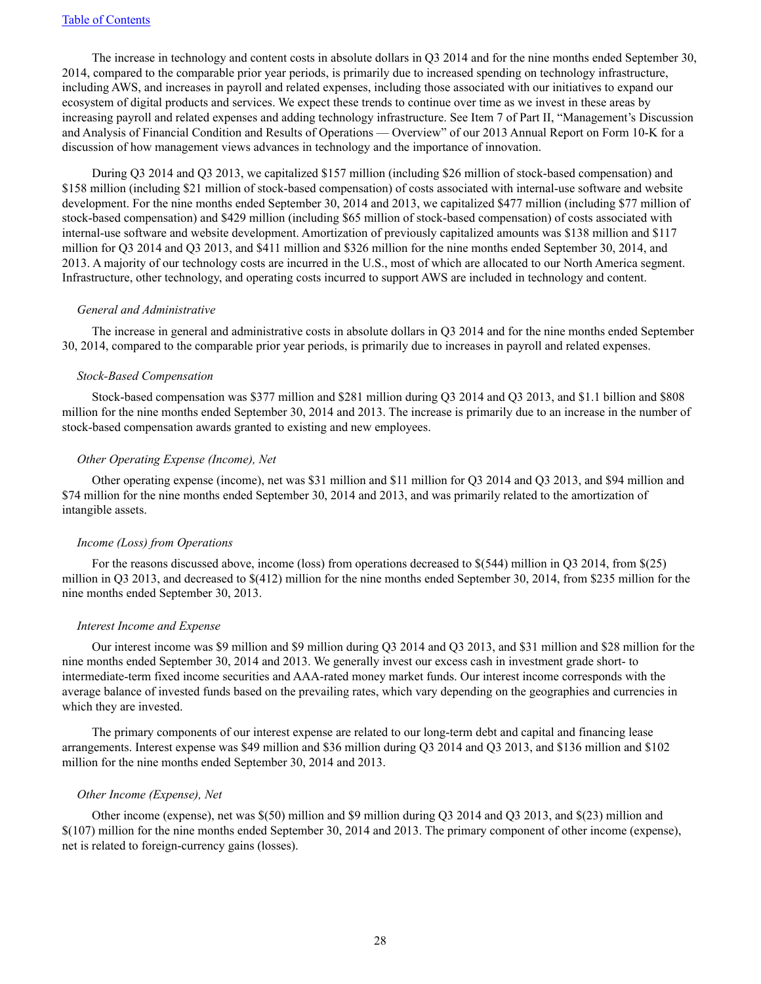The increase in technology and content costs in absolute dollars in Q3 2014 and for the nine months ended September 30, 2014, compared to the comparable prior year periods, is primarily due to increased spending on technology infrastructure, including AWS, and increases in payroll and related expenses, including those associated with our initiatives to expand our ecosystem of digital products and services. We expect these trends to continue over time as we invest in these areas by increasing payroll and related expenses and adding technology infrastructure. See Item 7 of Part II, "Management's Discussion and Analysis of Financial Condition and Results of Operations — Overview" of our 2013 Annual Report on Form 10-K for a discussion of how management views advances in technology and the importance of innovation.

During Q3 2014 and Q3 2013, we capitalized \$157 million (including \$26 million of stock-based compensation) and \$158 million (including \$21 million of stock-based compensation) of costs associated with internal-use software and website development. For the nine months ended September 30, 2014 and 2013, we capitalized \$477 million (including \$77 million of stock-based compensation) and \$429 million (including \$65 million of stock-based compensation) of costs associated with internal-use software and website development. Amortization of previously capitalized amounts was \$138 million and \$117 million for Q3 2014 and Q3 2013, and \$411 million and \$326 million for the nine months ended September 30, 2014, and 2013. A majority of our technology costs are incurred in the U.S., most of which are allocated to our North America segment. Infrastructure, other technology, and operating costs incurred to support AWS are included in technology and content.

# *General and Administrative*

The increase in general and administrative costs in absolute dollars in Q3 2014 and for the nine months ended September 30, 2014, compared to the comparable prior year periods, is primarily due to increases in payroll and related expenses.

#### *Stock-Based Compensation*

Stock-based compensation was \$377 million and \$281 million during Q3 2014 and Q3 2013, and \$1.1 billion and \$808 million for the nine months ended September 30, 2014 and 2013. The increase is primarily due to an increase in the number of stock-based compensation awards granted to existing and new employees.

#### *Other Operating Expense (Income), Net*

Other operating expense (income), net was \$31 million and \$11 million for Q3 2014 and Q3 2013, and \$94 million and \$74 million for the nine months ended September 30, 2014 and 2013, and was primarily related to the amortization of intangible assets.

#### *Income (Loss) from Operations*

For the reasons discussed above, income (loss) from operations decreased to \$(544) million in Q3 2014, from \$(25) million in Q3 2013, and decreased to \$(412) million for the nine months ended September 30, 2014, from \$235 million for the nine months ended September 30, 2013.

#### *Interest Income and Expense*

Our interest income was \$9 million and \$9 million during Q3 2014 and Q3 2013, and \$31 million and \$28 million for the nine months ended September 30, 2014 and 2013. We generally invest our excess cash in investment grade short- to intermediate-term fixed income securities and AAA-rated money market funds. Our interest income corresponds with the average balance of invested funds based on the prevailing rates, which vary depending on the geographies and currencies in which they are invested.

The primary components of our interest expense are related to our long-term debt and capital and financing lease arrangements. Interest expense was \$49 million and \$36 million during Q3 2014 and Q3 2013, and \$136 million and \$102 million for the nine months ended September 30, 2014 and 2013.

#### *Other Income (Expense), Net*

Other income (expense), net was \$(50) million and \$9 million during Q3 2014 and Q3 2013, and \$(23) million and \$(107) million for the nine months ended September 30, 2014 and 2013. The primary component of other income (expense), net is related to foreign-currency gains (losses).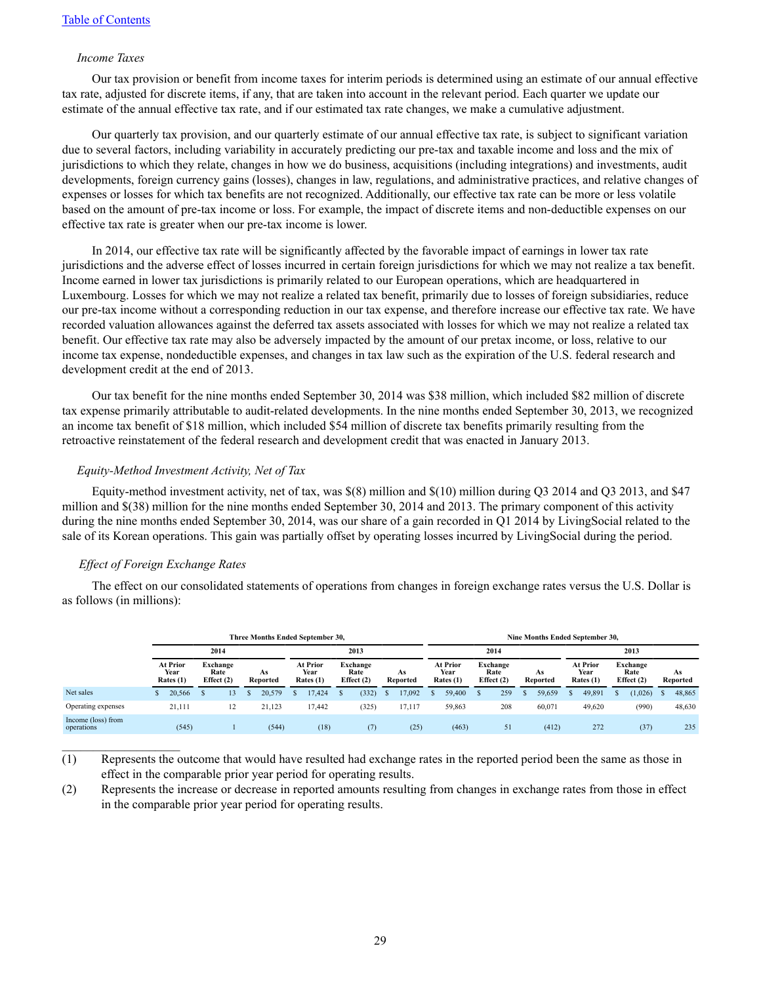# *Income Taxes*

Our tax provision or benefit from income taxes for interim periods is determined using an estimate of our annual effective tax rate, adjusted for discrete items, if any, that are taken into account in the relevant period. Each quarter we update our estimate of the annual effective tax rate, and if our estimated tax rate changes, we make a cumulative adjustment.

Our quarterly tax provision, and our quarterly estimate of our annual effective tax rate, is subject to significant variation due to several factors, including variability in accurately predicting our pre-tax and taxable income and loss and the mix of jurisdictions to which they relate, changes in how we do business, acquisitions (including integrations) and investments, audit developments, foreign currency gains (losses), changes in law, regulations, and administrative practices, and relative changes of expenses or losses for which tax benefits are not recognized. Additionally, our effective tax rate can be more or less volatile based on the amount of pre-tax income or loss. For example, the impact of discrete items and non-deductible expenses on our effective tax rate is greater when our pre-tax income is lower.

In 2014, our effective tax rate will be significantly affected by the favorable impact of earnings in lower tax rate jurisdictions and the adverse effect of losses incurred in certain foreign jurisdictions for which we may not realize a tax benefit. Income earned in lower tax jurisdictions is primarily related to our European operations, which are headquartered in Luxembourg. Losses for which we may not realize a related tax benefit, primarily due to losses of foreign subsidiaries, reduce our pre-tax income without a corresponding reduction in our tax expense, and therefore increase our effective tax rate. We have recorded valuation allowances against the deferred tax assets associated with losses for which we may not realize a related tax benefit. Our effective tax rate may also be adversely impacted by the amount of our pretax income, or loss, relative to our income tax expense, nondeductible expenses, and changes in tax law such as the expiration of the U.S. federal research and development credit at the end of 2013.

Our tax benefit for the nine months ended September 30, 2014 was \$38 million, which included \$82 million of discrete tax expense primarily attributable to audit-related developments. In the nine months ended September 30, 2013, we recognized an income tax benefit of \$18 million, which included \$54 million of discrete tax benefits primarily resulting from the retroactive reinstatement of the federal research and development credit that was enacted in January 2013.

# *Equity-Method Investment Activity, Net of Tax*

Equity-method investment activity, net of tax, was \$(8) million and \$(10) million during Q3 2014 and Q3 2013, and \$47 million and \$(38) million for the nine months ended September 30, 2014 and 2013. The primary component of this activity during the nine months ended September 30, 2014, was our share of a gain recorded in Q1 2014 by LivingSocial related to the sale of its Korean operations. This gain was partially offset by operating losses incurred by LivingSocial during the period.

# *Effect of Foreign Exchange Rates*

 $\mathcal{L}_\text{max}$ 

The effect on our consolidated statements of operations from changes in foreign exchange rates versus the U.S. Dollar is as follows (in millions):

|                                  | Three Months Ended September 30, |                                  |    |                |  |                                        |              |                                  |  |                | Nine Months Ended September 30, |                                        |                                  |     |                |        |                                        |        |                                  |         |                |        |
|----------------------------------|----------------------------------|----------------------------------|----|----------------|--|----------------------------------------|--------------|----------------------------------|--|----------------|---------------------------------|----------------------------------------|----------------------------------|-----|----------------|--------|----------------------------------------|--------|----------------------------------|---------|----------------|--------|
|                                  | 2013<br>2014                     |                                  |    |                |  |                                        | 2013<br>2014 |                                  |  |                |                                 |                                        |                                  |     |                |        |                                        |        |                                  |         |                |        |
|                                  | At Prior<br>Year<br>Rates $(1)$  | Exchange<br>Rate<br>Effect $(2)$ |    | As<br>Reported |  | <b>At Prior</b><br>Year<br>Rates $(1)$ |              | Exchange<br>Rate<br>Effect $(2)$ |  | As<br>Reported |                                 | <b>At Prior</b><br>Year<br>Rates $(1)$ | Exchange<br>Rate<br>Effect $(2)$ |     | As<br>Reported |        | <b>At Prior</b><br>Year<br>Rates $(1)$ |        | Exchange<br>Rate<br>Effect $(2)$ |         | As<br>Reported |        |
| Net sales                        | 20,566                           |                                  | 13 | 20,579         |  | 17,424                                 |              | (332)                            |  | 17,092         | 59,400                          |                                        |                                  | 259 |                | 59,659 |                                        | 49,891 |                                  | (1,026) |                | 48,865 |
| Operating expenses               | 21.111                           |                                  | 12 | 21,123         |  | 17.442                                 |              | (325)                            |  | 17,117         |                                 | 59,863                                 |                                  | 208 |                | 60,071 |                                        | 49,620 |                                  | (990)   |                | 48,630 |
| Income (loss) from<br>operations | (545)                            |                                  |    | (544)          |  | (18)                                   |              | (7)                              |  | (25)           |                                 | (463)                                  |                                  | 51  |                | (412)  |                                        | 272    |                                  | (37)    |                | 235    |

(1) Represents the outcome that would have resulted had exchange rates in the reported period been the same as those in effect in the comparable prior year period for operating results.

(2) Represents the increase or decrease in reported amounts resulting from changes in exchange rates from those in effect in the comparable prior year period for operating results.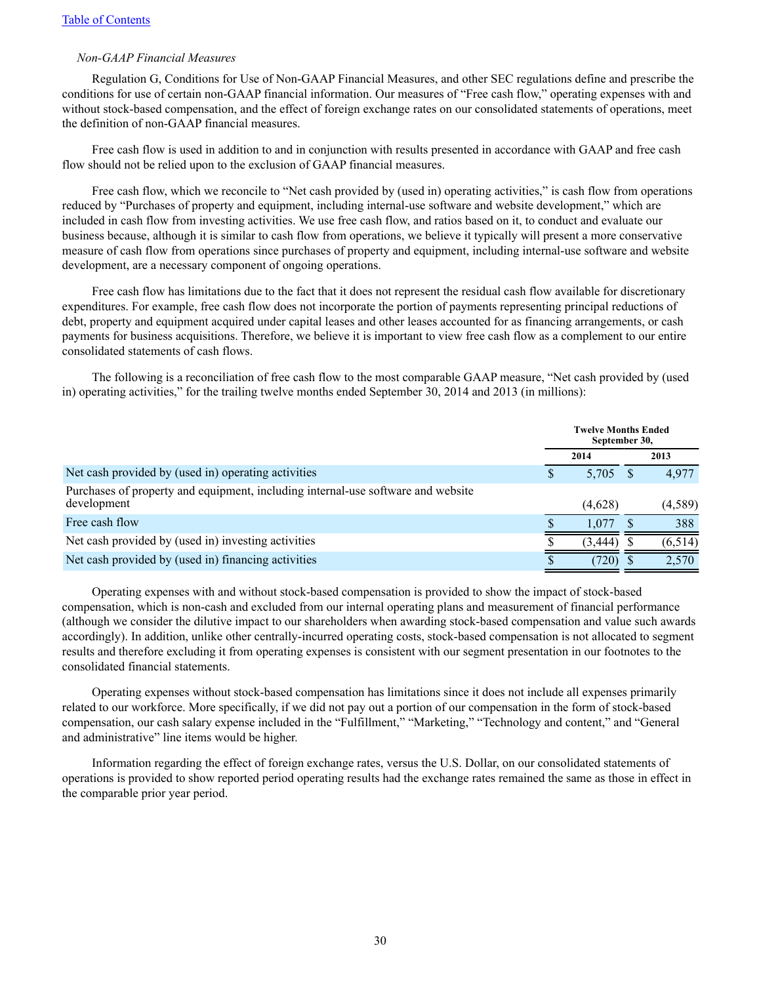# *Non-GAAP Financial Measures*

Regulation G, Conditions for Use of Non-GAAP Financial Measures, and other SEC regulations define and prescribe the conditions for use of certain non-GAAP financial information. Our measures of "Free cash flow," operating expenses with and without stock-based compensation, and the effect of foreign exchange rates on our consolidated statements of operations, meet the definition of non-GAAP financial measures.

Free cash flow is used in addition to and in conjunction with results presented in accordance with GAAP and free cash flow should not be relied upon to the exclusion of GAAP financial measures.

Free cash flow, which we reconcile to "Net cash provided by (used in) operating activities," is cash flow from operations reduced by "Purchases of property and equipment, including internal-use software and website development," which are included in cash flow from investing activities. We use free cash flow, and ratios based on it, to conduct and evaluate our business because, although it is similar to cash flow from operations, we believe it typically will present a more conservative measure of cash flow from operations since purchases of property and equipment, including internal-use software and website development, are a necessary component of ongoing operations.

Free cash flow has limitations due to the fact that it does not represent the residual cash flow available for discretionary expenditures. For example, free cash flow does not incorporate the portion of payments representing principal reductions of debt, property and equipment acquired under capital leases and other leases accounted for as financing arrangements, or cash payments for business acquisitions. Therefore, we believe it is important to view free cash flow as a complement to our entire consolidated statements of cash flows.

The following is a reconciliation of free cash flow to the most comparable GAAP measure, "Net cash provided by (used in) operating activities," for the trailing twelve months ended September 30, 2014 and 2013 (in millions):

|                                                                                                 | <b>Twelve Months Ended</b><br>September 30, |         |  |         |  |
|-------------------------------------------------------------------------------------------------|---------------------------------------------|---------|--|---------|--|
|                                                                                                 | 2014                                        |         |  | 2013    |  |
| Net cash provided by (used in) operating activities                                             | S                                           | 5,705   |  | 4,977   |  |
| Purchases of property and equipment, including internal-use software and website<br>development |                                             | (4,628) |  | (4,589) |  |
| Free cash flow                                                                                  |                                             | 1.077   |  | 388     |  |
| Net cash provided by (used in) investing activities                                             |                                             | (3,444) |  | (6,514) |  |
| Net cash provided by (used in) financing activities                                             |                                             | (720)   |  | 2,570   |  |

Operating expenses with and without stock-based compensation is provided to show the impact of stock-based compensation, which is non-cash and excluded from our internal operating plans and measurement of financial performance (although we consider the dilutive impact to our shareholders when awarding stock-based compensation and value such awards accordingly). In addition, unlike other centrally-incurred operating costs, stock-based compensation is not allocated to segment results and therefore excluding it from operating expenses is consistent with our segment presentation in our footnotes to the consolidated financial statements.

Operating expenses without stock-based compensation has limitations since it does not include all expenses primarily related to our workforce. More specifically, if we did not pay out a portion of our compensation in the form of stock-based compensation, our cash salary expense included in the "Fulfillment," "Marketing," "Technology and content," and "General and administrative" line items would be higher.

Information regarding the effect of foreign exchange rates, versus the U.S. Dollar, on our consolidated statements of operations is provided to show reported period operating results had the exchange rates remained the same as those in effect in the comparable prior year period.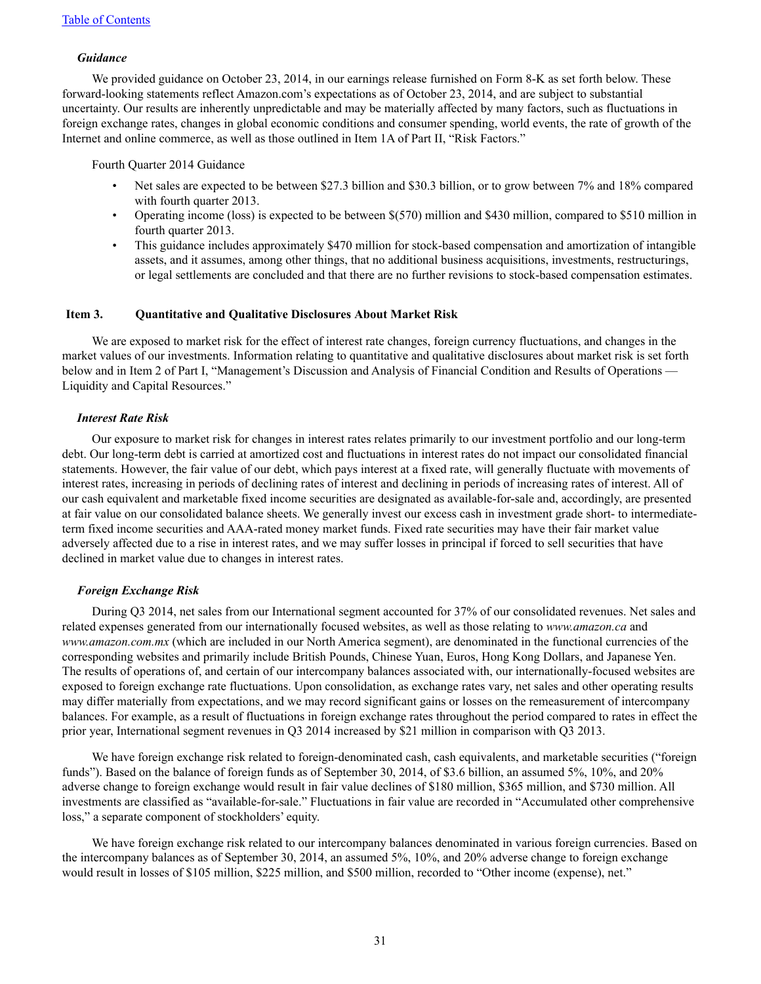# *Guidance*

We provided guidance on October 23, 2014, in our earnings release furnished on Form 8-K as set forth below. These forward-looking statements reflect Amazon.com's expectations as of October 23, 2014, and are subject to substantial uncertainty. Our results are inherently unpredictable and may be materially affected by many factors, such as fluctuations in foreign exchange rates, changes in global economic conditions and consumer spending, world events, the rate of growth of the Internet and online commerce, as well as those outlined in Item 1A of Part II, "Risk Factors."

Fourth Quarter 2014 Guidance

- Net sales are expected to be between \$27.3 billion and \$30.3 billion, or to grow between 7% and 18% compared with fourth quarter 2013.
- Operating income (loss) is expected to be between \$(570) million and \$430 million, compared to \$510 million in fourth quarter 2013.
- This guidance includes approximately \$470 million for stock-based compensation and amortization of intangible assets, and it assumes, among other things, that no additional business acquisitions, investments, restructurings, or legal settlements are concluded and that there are no further revisions to stock-based compensation estimates.

#### <span id="page-30-0"></span>**Item 3. Quantitative and Qualitative Disclosures About Market Risk**

We are exposed to market risk for the effect of interest rate changes, foreign currency fluctuations, and changes in the market values of our investments. Information relating to quantitative and qualitative disclosures about market risk is set forth below and in Item 2 of Part I, "Management's Discussion and Analysis of Financial Condition and Results of Operations — Liquidity and Capital Resources."

# *Interest Rate Risk*

Our exposure to market risk for changes in interest rates relates primarily to our investment portfolio and our long-term debt. Our long-term debt is carried at amortized cost and fluctuations in interest rates do not impact our consolidated financial statements. However, the fair value of our debt, which pays interest at a fixed rate, will generally fluctuate with movements of interest rates, increasing in periods of declining rates of interest and declining in periods of increasing rates of interest. All of our cash equivalent and marketable fixed income securities are designated as available-for-sale and, accordingly, are presented at fair value on our consolidated balance sheets. We generally invest our excess cash in investment grade short- to intermediateterm fixed income securities and AAA-rated money market funds. Fixed rate securities may have their fair market value adversely affected due to a rise in interest rates, and we may suffer losses in principal if forced to sell securities that have declined in market value due to changes in interest rates.

# *Foreign Exchange Risk*

During Q3 2014, net sales from our International segment accounted for 37% of our consolidated revenues. Net sales and related expenses generated from our internationally focused websites, as well as those relating to *www.amazon.ca* and *www.amazon.com.mx* (which are included in our North America segment), are denominated in the functional currencies of the corresponding websites and primarily include British Pounds, Chinese Yuan, Euros, Hong Kong Dollars, and Japanese Yen. The results of operations of, and certain of our intercompany balances associated with, our internationally-focused websites are exposed to foreign exchange rate fluctuations. Upon consolidation, as exchange rates vary, net sales and other operating results may differ materially from expectations, and we may record significant gains or losses on the remeasurement of intercompany balances. For example, as a result of fluctuations in foreign exchange rates throughout the period compared to rates in effect the prior year, International segment revenues in Q3 2014 increased by \$21 million in comparison with Q3 2013.

We have foreign exchange risk related to foreign-denominated cash, cash equivalents, and marketable securities ("foreign funds"). Based on the balance of foreign funds as of September 30, 2014, of \$3.6 billion, an assumed 5%, 10%, and 20% adverse change to foreign exchange would result in fair value declines of \$180 million, \$365 million, and \$730 million. All investments are classified as "available-for-sale." Fluctuations in fair value are recorded in "Accumulated other comprehensive loss," a separate component of stockholders' equity.

We have foreign exchange risk related to our intercompany balances denominated in various foreign currencies. Based on the intercompany balances as of September 30, 2014, an assumed 5%, 10%, and 20% adverse change to foreign exchange would result in losses of \$105 million, \$225 million, and \$500 million, recorded to "Other income (expense), net."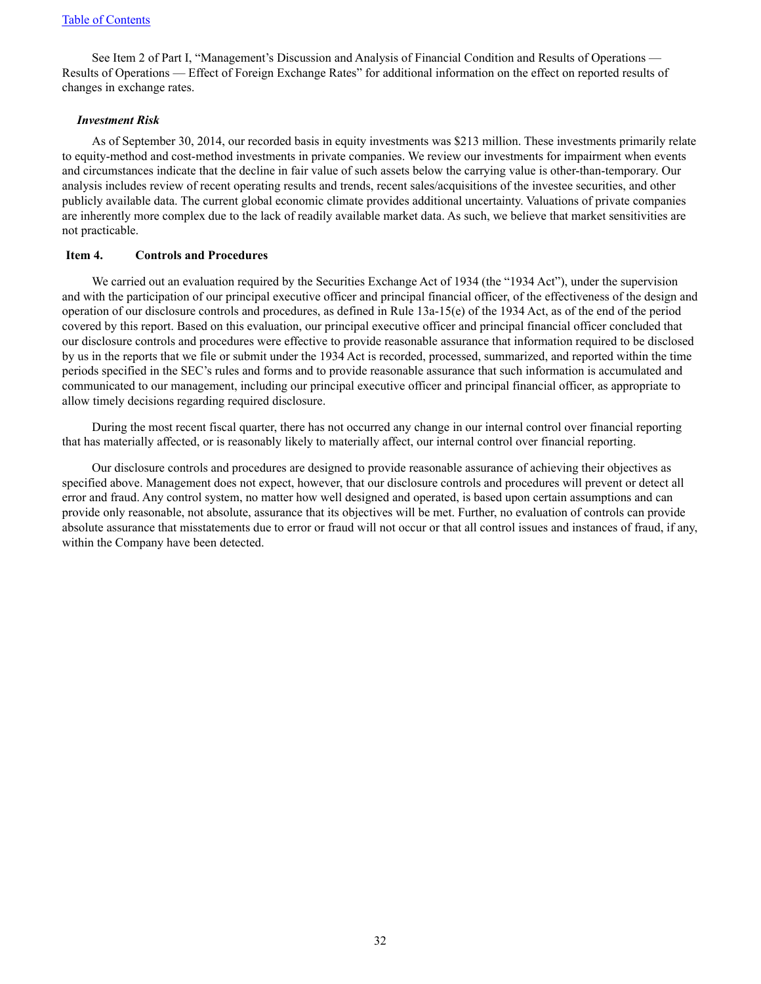See Item 2 of Part I, "Management's Discussion and Analysis of Financial Condition and Results of Operations — Results of Operations — Effect of Foreign Exchange Rates" for additional information on the effect on reported results of changes in exchange rates.

# *Investment Risk*

As of September 30, 2014, our recorded basis in equity investments was \$213 million. These investments primarily relate to equity-method and cost-method investments in private companies. We review our investments for impairment when events and circumstances indicate that the decline in fair value of such assets below the carrying value is other-than-temporary. Our analysis includes review of recent operating results and trends, recent sales/acquisitions of the investee securities, and other publicly available data. The current global economic climate provides additional uncertainty. Valuations of private companies are inherently more complex due to the lack of readily available market data. As such, we believe that market sensitivities are not practicable.

#### <span id="page-31-0"></span>**Item 4. Controls and Procedures**

We carried out an evaluation required by the Securities Exchange Act of 1934 (the "1934 Act"), under the supervision and with the participation of our principal executive officer and principal financial officer, of the effectiveness of the design and operation of our disclosure controls and procedures, as defined in Rule 13a-15(e) of the 1934 Act, as of the end of the period covered by this report. Based on this evaluation, our principal executive officer and principal financial officer concluded that our disclosure controls and procedures were effective to provide reasonable assurance that information required to be disclosed by us in the reports that we file or submit under the 1934 Act is recorded, processed, summarized, and reported within the time periods specified in the SEC's rules and forms and to provide reasonable assurance that such information is accumulated and communicated to our management, including our principal executive officer and principal financial officer, as appropriate to allow timely decisions regarding required disclosure.

During the most recent fiscal quarter, there has not occurred any change in our internal control over financial reporting that has materially affected, or is reasonably likely to materially affect, our internal control over financial reporting.

Our disclosure controls and procedures are designed to provide reasonable assurance of achieving their objectives as specified above. Management does not expect, however, that our disclosure controls and procedures will prevent or detect all error and fraud. Any control system, no matter how well designed and operated, is based upon certain assumptions and can provide only reasonable, not absolute, assurance that its objectives will be met. Further, no evaluation of controls can provide absolute assurance that misstatements due to error or fraud will not occur or that all control issues and instances of fraud, if any, within the Company have been detected.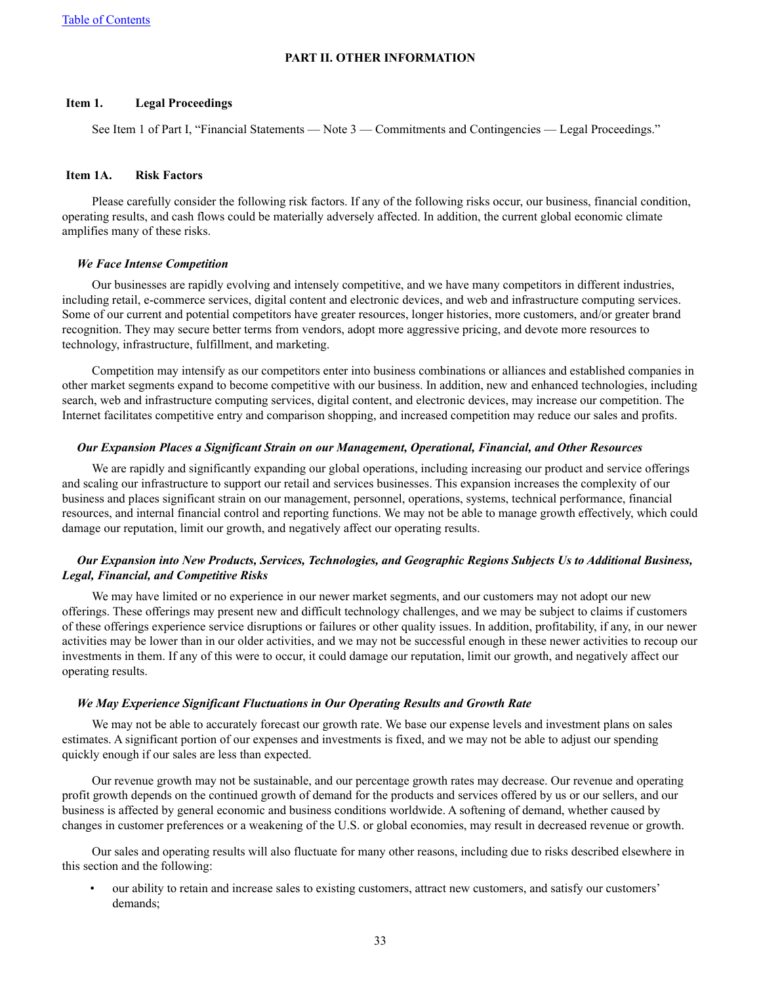# **PART II. OTHER INFORMATION**

# <span id="page-32-0"></span>**Item 1. Legal Proceedings**

See Item 1 of Part I, "Financial Statements — Note 3 — Commitments and Contingencies — Legal Proceedings."

#### <span id="page-32-1"></span>**Item 1A. Risk Factors**

Please carefully consider the following risk factors. If any of the following risks occur, our business, financial condition, operating results, and cash flows could be materially adversely affected. In addition, the current global economic climate amplifies many of these risks.

#### *We Face Intense Competition*

Our businesses are rapidly evolving and intensely competitive, and we have many competitors in different industries, including retail, e-commerce services, digital content and electronic devices, and web and infrastructure computing services. Some of our current and potential competitors have greater resources, longer histories, more customers, and/or greater brand recognition. They may secure better terms from vendors, adopt more aggressive pricing, and devote more resources to technology, infrastructure, fulfillment, and marketing.

Competition may intensify as our competitors enter into business combinations or alliances and established companies in other market segments expand to become competitive with our business. In addition, new and enhanced technologies, including search, web and infrastructure computing services, digital content, and electronic devices, may increase our competition. The Internet facilitates competitive entry and comparison shopping, and increased competition may reduce our sales and profits.

#### *Our Expansion Places a Significant Strain on our Management, Operational, Financial, and Other Resources*

We are rapidly and significantly expanding our global operations, including increasing our product and service offerings and scaling our infrastructure to support our retail and services businesses. This expansion increases the complexity of our business and places significant strain on our management, personnel, operations, systems, technical performance, financial resources, and internal financial control and reporting functions. We may not be able to manage growth effectively, which could damage our reputation, limit our growth, and negatively affect our operating results.

# *Our Expansion into New Products, Services, Technologies, and Geographic Regions Subjects Us to Additional Business, Legal, Financial, and Competitive Risks*

We may have limited or no experience in our newer market segments, and our customers may not adopt our new offerings. These offerings may present new and difficult technology challenges, and we may be subject to claims if customers of these offerings experience service disruptions or failures or other quality issues. In addition, profitability, if any, in our newer activities may be lower than in our older activities, and we may not be successful enough in these newer activities to recoup our investments in them. If any of this were to occur, it could damage our reputation, limit our growth, and negatively affect our operating results.

#### *We May Experience Significant Fluctuations in Our Operating Results and Growth Rate*

We may not be able to accurately forecast our growth rate. We base our expense levels and investment plans on sales estimates. A significant portion of our expenses and investments is fixed, and we may not be able to adjust our spending quickly enough if our sales are less than expected.

Our revenue growth may not be sustainable, and our percentage growth rates may decrease. Our revenue and operating profit growth depends on the continued growth of demand for the products and services offered by us or our sellers, and our business is affected by general economic and business conditions worldwide. A softening of demand, whether caused by changes in customer preferences or a weakening of the U.S. or global economies, may result in decreased revenue or growth.

Our sales and operating results will also fluctuate for many other reasons, including due to risks described elsewhere in this section and the following:

• our ability to retain and increase sales to existing customers, attract new customers, and satisfy our customers' demands;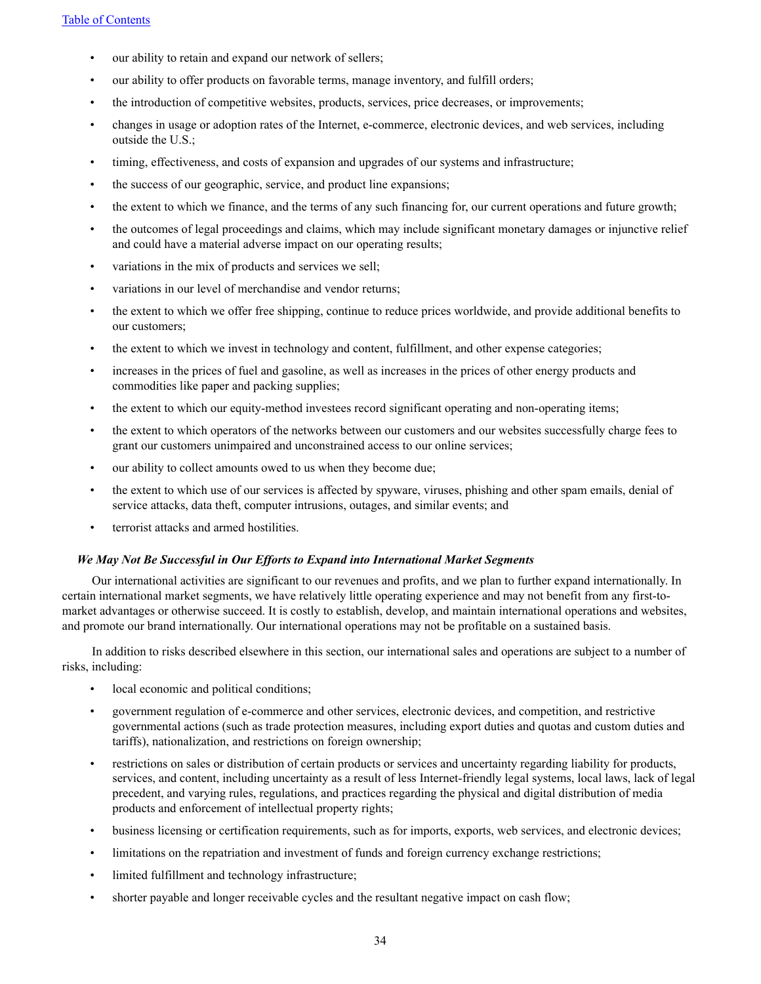- our ability to retain and expand our network of sellers;
- our ability to offer products on favorable terms, manage inventory, and fulfill orders;
- the introduction of competitive websites, products, services, price decreases, or improvements;
- changes in usage or adoption rates of the Internet, e-commerce, electronic devices, and web services, including outside the U.S.;
- timing, effectiveness, and costs of expansion and upgrades of our systems and infrastructure;
- the success of our geographic, service, and product line expansions;
- the extent to which we finance, and the terms of any such financing for, our current operations and future growth;
- the outcomes of legal proceedings and claims, which may include significant monetary damages or injunctive relief and could have a material adverse impact on our operating results;
- variations in the mix of products and services we sell;
- variations in our level of merchandise and vendor returns;
- the extent to which we offer free shipping, continue to reduce prices worldwide, and provide additional benefits to our customers;
- the extent to which we invest in technology and content, fulfillment, and other expense categories;
- increases in the prices of fuel and gasoline, as well as increases in the prices of other energy products and commodities like paper and packing supplies;
- the extent to which our equity-method investees record significant operating and non-operating items;
- the extent to which operators of the networks between our customers and our websites successfully charge fees to grant our customers unimpaired and unconstrained access to our online services;
- our ability to collect amounts owed to us when they become due;
- the extent to which use of our services is affected by spyware, viruses, phishing and other spam emails, denial of service attacks, data theft, computer intrusions, outages, and similar events; and
- terrorist attacks and armed hostilities.

# *We May Not Be Successful in Our Efforts to Expand into International Market Segments*

Our international activities are significant to our revenues and profits, and we plan to further expand internationally. In certain international market segments, we have relatively little operating experience and may not benefit from any first-tomarket advantages or otherwise succeed. It is costly to establish, develop, and maintain international operations and websites, and promote our brand internationally. Our international operations may not be profitable on a sustained basis.

In addition to risks described elsewhere in this section, our international sales and operations are subject to a number of risks, including:

- local economic and political conditions;
- government regulation of e-commerce and other services, electronic devices, and competition, and restrictive governmental actions (such as trade protection measures, including export duties and quotas and custom duties and tariffs), nationalization, and restrictions on foreign ownership;
- restrictions on sales or distribution of certain products or services and uncertainty regarding liability for products, services, and content, including uncertainty as a result of less Internet-friendly legal systems, local laws, lack of legal precedent, and varying rules, regulations, and practices regarding the physical and digital distribution of media products and enforcement of intellectual property rights;
- business licensing or certification requirements, such as for imports, exports, web services, and electronic devices;
- limitations on the repatriation and investment of funds and foreign currency exchange restrictions;
- limited fulfillment and technology infrastructure;
- shorter payable and longer receivable cycles and the resultant negative impact on cash flow;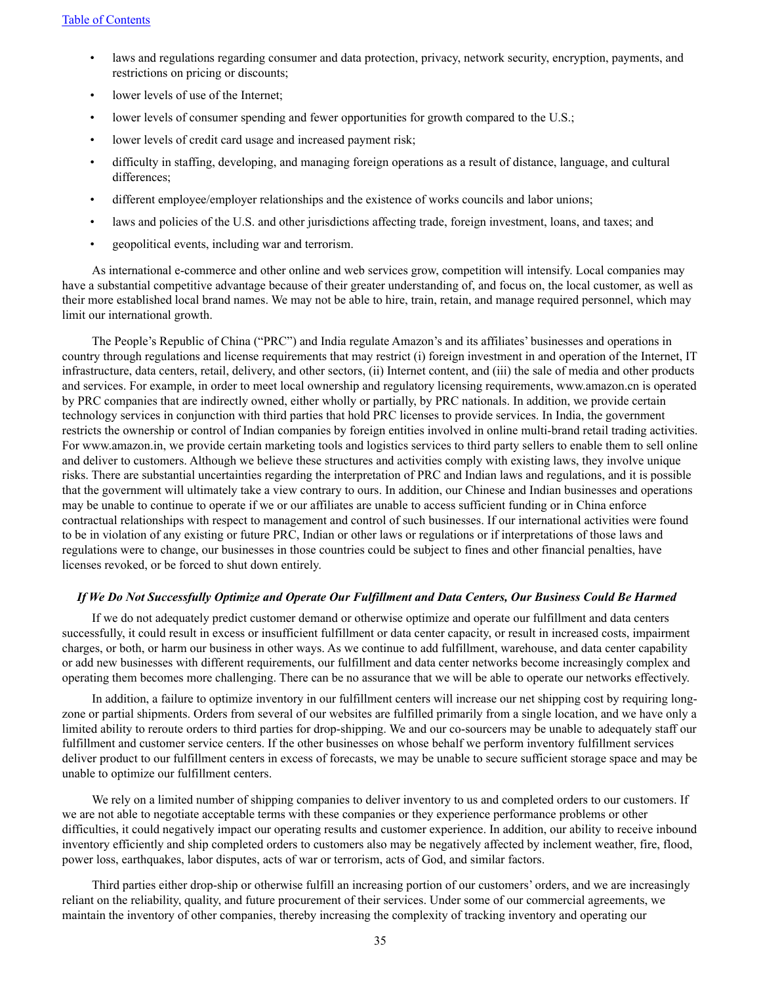- laws and regulations regarding consumer and data protection, privacy, network security, encryption, payments, and restrictions on pricing or discounts;
- lower levels of use of the Internet;
- lower levels of consumer spending and fewer opportunities for growth compared to the U.S.;
- lower levels of credit card usage and increased payment risk;
- difficulty in staffing, developing, and managing foreign operations as a result of distance, language, and cultural differences;
- different employee/employer relationships and the existence of works councils and labor unions;
- laws and policies of the U.S. and other jurisdictions affecting trade, foreign investment, loans, and taxes; and
- geopolitical events, including war and terrorism.

As international e-commerce and other online and web services grow, competition will intensify. Local companies may have a substantial competitive advantage because of their greater understanding of, and focus on, the local customer, as well as their more established local brand names. We may not be able to hire, train, retain, and manage required personnel, which may limit our international growth.

The People's Republic of China ("PRC") and India regulate Amazon's and its affiliates' businesses and operations in country through regulations and license requirements that may restrict (i) foreign investment in and operation of the Internet, IT infrastructure, data centers, retail, delivery, and other sectors, (ii) Internet content, and (iii) the sale of media and other products and services. For example, in order to meet local ownership and regulatory licensing requirements, www.amazon.cn is operated by PRC companies that are indirectly owned, either wholly or partially, by PRC nationals. In addition, we provide certain technology services in conjunction with third parties that hold PRC licenses to provide services. In India, the government restricts the ownership or control of Indian companies by foreign entities involved in online multi-brand retail trading activities. For www.amazon.in, we provide certain marketing tools and logistics services to third party sellers to enable them to sell online and deliver to customers. Although we believe these structures and activities comply with existing laws, they involve unique risks. There are substantial uncertainties regarding the interpretation of PRC and Indian laws and regulations, and it is possible that the government will ultimately take a view contrary to ours. In addition, our Chinese and Indian businesses and operations may be unable to continue to operate if we or our affiliates are unable to access sufficient funding or in China enforce contractual relationships with respect to management and control of such businesses. If our international activities were found to be in violation of any existing or future PRC, Indian or other laws or regulations or if interpretations of those laws and regulations were to change, our businesses in those countries could be subject to fines and other financial penalties, have licenses revoked, or be forced to shut down entirely.

#### *If We Do Not Successfully Optimize and Operate Our Fulfillment and Data Centers, Our Business Could Be Harmed*

If we do not adequately predict customer demand or otherwise optimize and operate our fulfillment and data centers successfully, it could result in excess or insufficient fulfillment or data center capacity, or result in increased costs, impairment charges, or both, or harm our business in other ways. As we continue to add fulfillment, warehouse, and data center capability or add new businesses with different requirements, our fulfillment and data center networks become increasingly complex and operating them becomes more challenging. There can be no assurance that we will be able to operate our networks effectively.

In addition, a failure to optimize inventory in our fulfillment centers will increase our net shipping cost by requiring longzone or partial shipments. Orders from several of our websites are fulfilled primarily from a single location, and we have only a limited ability to reroute orders to third parties for drop-shipping. We and our co-sourcers may be unable to adequately staff our fulfillment and customer service centers. If the other businesses on whose behalf we perform inventory fulfillment services deliver product to our fulfillment centers in excess of forecasts, we may be unable to secure sufficient storage space and may be unable to optimize our fulfillment centers.

We rely on a limited number of shipping companies to deliver inventory to us and completed orders to our customers. If we are not able to negotiate acceptable terms with these companies or they experience performance problems or other difficulties, it could negatively impact our operating results and customer experience. In addition, our ability to receive inbound inventory efficiently and ship completed orders to customers also may be negatively affected by inclement weather, fire, flood, power loss, earthquakes, labor disputes, acts of war or terrorism, acts of God, and similar factors.

Third parties either drop-ship or otherwise fulfill an increasing portion of our customers' orders, and we are increasingly reliant on the reliability, quality, and future procurement of their services. Under some of our commercial agreements, we maintain the inventory of other companies, thereby increasing the complexity of tracking inventory and operating our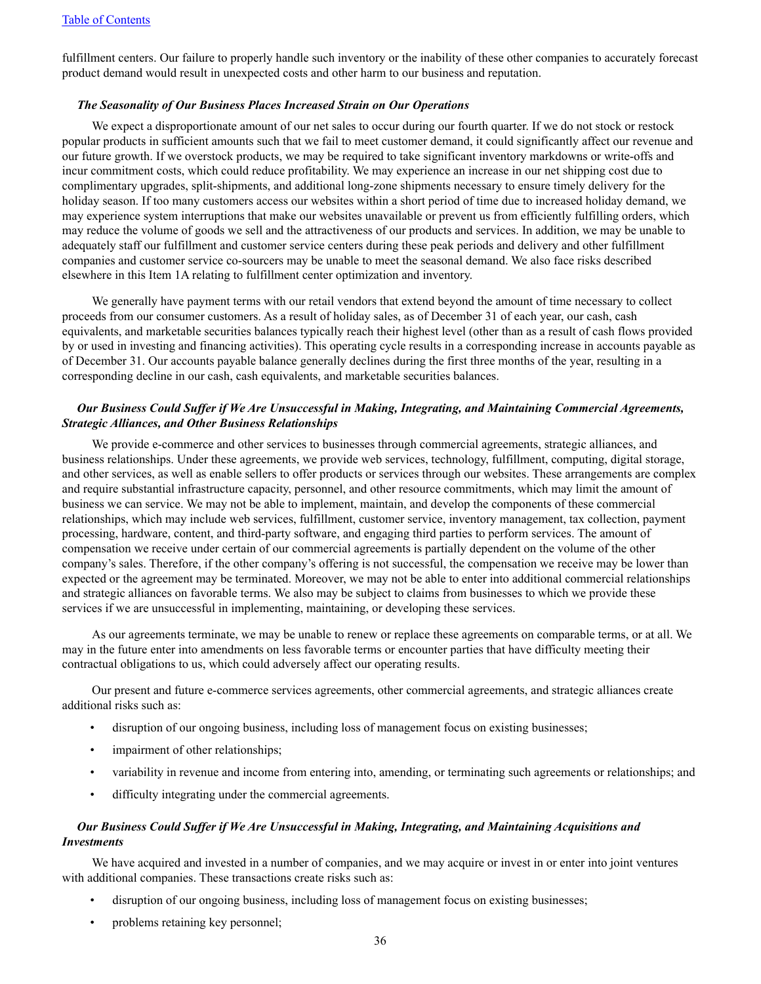fulfillment centers. Our failure to properly handle such inventory or the inability of these other companies to accurately forecast product demand would result in unexpected costs and other harm to our business and reputation.

#### *The Seasonality of Our Business Places Increased Strain on Our Operations*

We expect a disproportionate amount of our net sales to occur during our fourth quarter. If we do not stock or restock popular products in sufficient amounts such that we fail to meet customer demand, it could significantly affect our revenue and our future growth. If we overstock products, we may be required to take significant inventory markdowns or write-offs and incur commitment costs, which could reduce profitability. We may experience an increase in our net shipping cost due to complimentary upgrades, split-shipments, and additional long-zone shipments necessary to ensure timely delivery for the holiday season. If too many customers access our websites within a short period of time due to increased holiday demand, we may experience system interruptions that make our websites unavailable or prevent us from efficiently fulfilling orders, which may reduce the volume of goods we sell and the attractiveness of our products and services. In addition, we may be unable to adequately staff our fulfillment and customer service centers during these peak periods and delivery and other fulfillment companies and customer service co-sourcers may be unable to meet the seasonal demand. We also face risks described elsewhere in this Item 1A relating to fulfillment center optimization and inventory.

We generally have payment terms with our retail vendors that extend beyond the amount of time necessary to collect proceeds from our consumer customers. As a result of holiday sales, as of December 31 of each year, our cash, cash equivalents, and marketable securities balances typically reach their highest level (other than as a result of cash flows provided by or used in investing and financing activities). This operating cycle results in a corresponding increase in accounts payable as of December 31. Our accounts payable balance generally declines during the first three months of the year, resulting in a corresponding decline in our cash, cash equivalents, and marketable securities balances.

# *Our Business Could Suffer if We Are Unsuccessful in Making, Integrating, and Maintaining Commercial Agreements, Strategic Alliances, and Other Business Relationships*

We provide e-commerce and other services to businesses through commercial agreements, strategic alliances, and business relationships. Under these agreements, we provide web services, technology, fulfillment, computing, digital storage, and other services, as well as enable sellers to offer products or services through our websites. These arrangements are complex and require substantial infrastructure capacity, personnel, and other resource commitments, which may limit the amount of business we can service. We may not be able to implement, maintain, and develop the components of these commercial relationships, which may include web services, fulfillment, customer service, inventory management, tax collection, payment processing, hardware, content, and third-party software, and engaging third parties to perform services. The amount of compensation we receive under certain of our commercial agreements is partially dependent on the volume of the other company's sales. Therefore, if the other company's offering is not successful, the compensation we receive may be lower than expected or the agreement may be terminated. Moreover, we may not be able to enter into additional commercial relationships and strategic alliances on favorable terms. We also may be subject to claims from businesses to which we provide these services if we are unsuccessful in implementing, maintaining, or developing these services.

As our agreements terminate, we may be unable to renew or replace these agreements on comparable terms, or at all. We may in the future enter into amendments on less favorable terms or encounter parties that have difficulty meeting their contractual obligations to us, which could adversely affect our operating results.

Our present and future e-commerce services agreements, other commercial agreements, and strategic alliances create additional risks such as:

- disruption of our ongoing business, including loss of management focus on existing businesses;
- impairment of other relationships;
- variability in revenue and income from entering into, amending, or terminating such agreements or relationships; and
- difficulty integrating under the commercial agreements.

# *Our Business Could Suffer if We Are Unsuccessful in Making, Integrating, and Maintaining Acquisitions and Investments*

We have acquired and invested in a number of companies, and we may acquire or invest in or enter into joint ventures with additional companies. These transactions create risks such as:

- disruption of our ongoing business, including loss of management focus on existing businesses;
- problems retaining key personnel;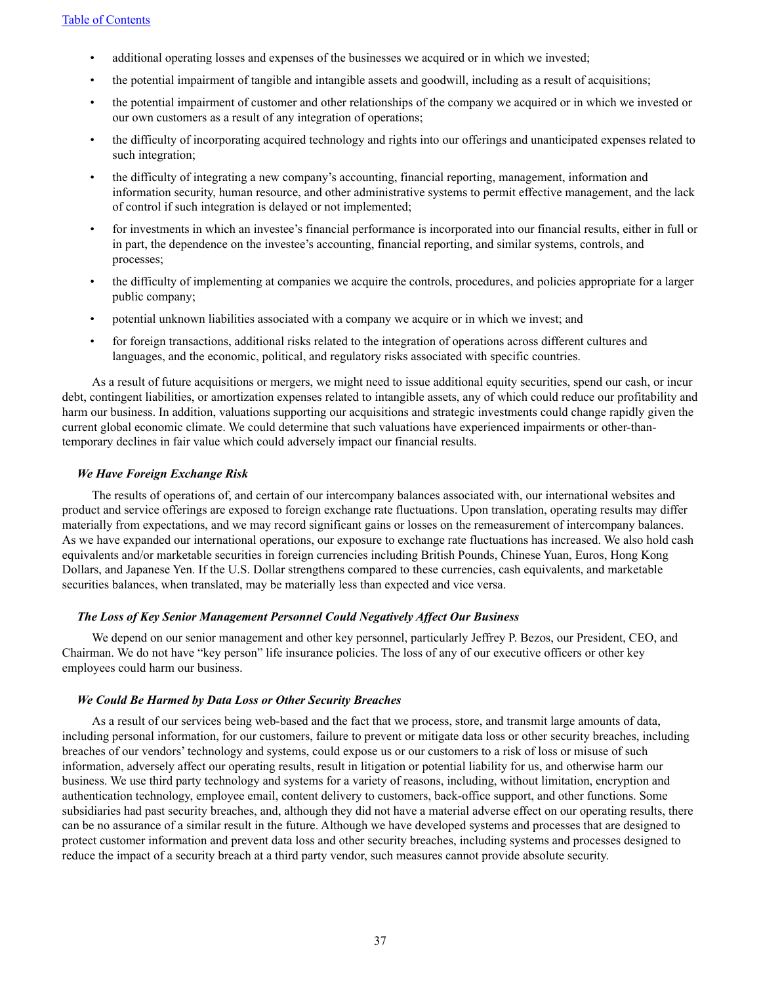- additional operating losses and expenses of the businesses we acquired or in which we invested;
- the potential impairment of tangible and intangible assets and goodwill, including as a result of acquisitions;
- the potential impairment of customer and other relationships of the company we acquired or in which we invested or our own customers as a result of any integration of operations;
- the difficulty of incorporating acquired technology and rights into our offerings and unanticipated expenses related to such integration;
- the difficulty of integrating a new company's accounting, financial reporting, management, information and information security, human resource, and other administrative systems to permit effective management, and the lack of control if such integration is delayed or not implemented;
- for investments in which an investee's financial performance is incorporated into our financial results, either in full or in part, the dependence on the investee's accounting, financial reporting, and similar systems, controls, and processes;
- the difficulty of implementing at companies we acquire the controls, procedures, and policies appropriate for a larger public company;
- potential unknown liabilities associated with a company we acquire or in which we invest; and
- for foreign transactions, additional risks related to the integration of operations across different cultures and languages, and the economic, political, and regulatory risks associated with specific countries.

As a result of future acquisitions or mergers, we might need to issue additional equity securities, spend our cash, or incur debt, contingent liabilities, or amortization expenses related to intangible assets, any of which could reduce our profitability and harm our business. In addition, valuations supporting our acquisitions and strategic investments could change rapidly given the current global economic climate. We could determine that such valuations have experienced impairments or other-thantemporary declines in fair value which could adversely impact our financial results.

#### *We Have Foreign Exchange Risk*

The results of operations of, and certain of our intercompany balances associated with, our international websites and product and service offerings are exposed to foreign exchange rate fluctuations. Upon translation, operating results may differ materially from expectations, and we may record significant gains or losses on the remeasurement of intercompany balances. As we have expanded our international operations, our exposure to exchange rate fluctuations has increased. We also hold cash equivalents and/or marketable securities in foreign currencies including British Pounds, Chinese Yuan, Euros, Hong Kong Dollars, and Japanese Yen. If the U.S. Dollar strengthens compared to these currencies, cash equivalents, and marketable securities balances, when translated, may be materially less than expected and vice versa.

#### *The Loss of Key Senior Management Personnel Could Negatively Affect Our Business*

We depend on our senior management and other key personnel, particularly Jeffrey P. Bezos, our President, CEO, and Chairman. We do not have "key person" life insurance policies. The loss of any of our executive officers or other key employees could harm our business.

#### *We Could Be Harmed by Data Loss or Other Security Breaches*

As a result of our services being web-based and the fact that we process, store, and transmit large amounts of data, including personal information, for our customers, failure to prevent or mitigate data loss or other security breaches, including breaches of our vendors' technology and systems, could expose us or our customers to a risk of loss or misuse of such information, adversely affect our operating results, result in litigation or potential liability for us, and otherwise harm our business. We use third party technology and systems for a variety of reasons, including, without limitation, encryption and authentication technology, employee email, content delivery to customers, back-office support, and other functions. Some subsidiaries had past security breaches, and, although they did not have a material adverse effect on our operating results, there can be no assurance of a similar result in the future. Although we have developed systems and processes that are designed to protect customer information and prevent data loss and other security breaches, including systems and processes designed to reduce the impact of a security breach at a third party vendor, such measures cannot provide absolute security.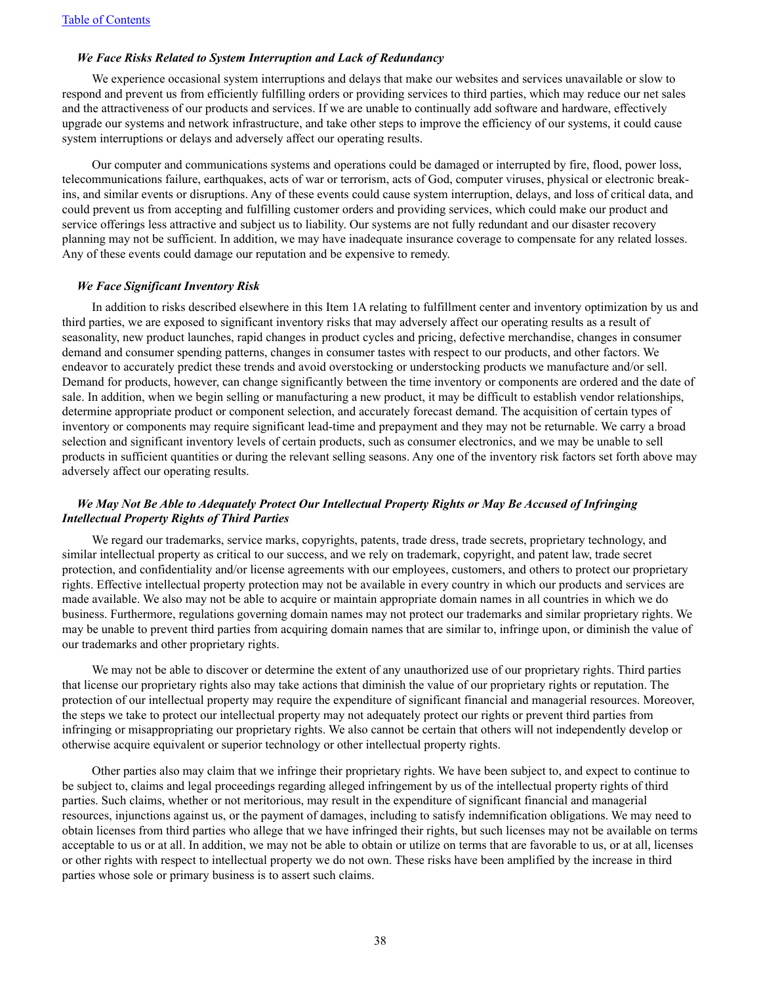#### *We Face Risks Related to System Interruption and Lack of Redundancy*

We experience occasional system interruptions and delays that make our websites and services unavailable or slow to respond and prevent us from efficiently fulfilling orders or providing services to third parties, which may reduce our net sales and the attractiveness of our products and services. If we are unable to continually add software and hardware, effectively upgrade our systems and network infrastructure, and take other steps to improve the efficiency of our systems, it could cause system interruptions or delays and adversely affect our operating results.

Our computer and communications systems and operations could be damaged or interrupted by fire, flood, power loss, telecommunications failure, earthquakes, acts of war or terrorism, acts of God, computer viruses, physical or electronic breakins, and similar events or disruptions. Any of these events could cause system interruption, delays, and loss of critical data, and could prevent us from accepting and fulfilling customer orders and providing services, which could make our product and service offerings less attractive and subject us to liability. Our systems are not fully redundant and our disaster recovery planning may not be sufficient. In addition, we may have inadequate insurance coverage to compensate for any related losses. Any of these events could damage our reputation and be expensive to remedy.

# *We Face Significant Inventory Risk*

In addition to risks described elsewhere in this Item 1A relating to fulfillment center and inventory optimization by us and third parties, we are exposed to significant inventory risks that may adversely affect our operating results as a result of seasonality, new product launches, rapid changes in product cycles and pricing, defective merchandise, changes in consumer demand and consumer spending patterns, changes in consumer tastes with respect to our products, and other factors. We endeavor to accurately predict these trends and avoid overstocking or understocking products we manufacture and/or sell. Demand for products, however, can change significantly between the time inventory or components are ordered and the date of sale. In addition, when we begin selling or manufacturing a new product, it may be difficult to establish vendor relationships, determine appropriate product or component selection, and accurately forecast demand. The acquisition of certain types of inventory or components may require significant lead-time and prepayment and they may not be returnable. We carry a broad selection and significant inventory levels of certain products, such as consumer electronics, and we may be unable to sell products in sufficient quantities or during the relevant selling seasons. Any one of the inventory risk factors set forth above may adversely affect our operating results.

# *We May Not Be Able to Adequately Protect Our Intellectual Property Rights or May Be Accused of Infringing Intellectual Property Rights of Third Parties*

We regard our trademarks, service marks, copyrights, patents, trade dress, trade secrets, proprietary technology, and similar intellectual property as critical to our success, and we rely on trademark, copyright, and patent law, trade secret protection, and confidentiality and/or license agreements with our employees, customers, and others to protect our proprietary rights. Effective intellectual property protection may not be available in every country in which our products and services are made available. We also may not be able to acquire or maintain appropriate domain names in all countries in which we do business. Furthermore, regulations governing domain names may not protect our trademarks and similar proprietary rights. We may be unable to prevent third parties from acquiring domain names that are similar to, infringe upon, or diminish the value of our trademarks and other proprietary rights.

We may not be able to discover or determine the extent of any unauthorized use of our proprietary rights. Third parties that license our proprietary rights also may take actions that diminish the value of our proprietary rights or reputation. The protection of our intellectual property may require the expenditure of significant financial and managerial resources. Moreover, the steps we take to protect our intellectual property may not adequately protect our rights or prevent third parties from infringing or misappropriating our proprietary rights. We also cannot be certain that others will not independently develop or otherwise acquire equivalent or superior technology or other intellectual property rights.

Other parties also may claim that we infringe their proprietary rights. We have been subject to, and expect to continue to be subject to, claims and legal proceedings regarding alleged infringement by us of the intellectual property rights of third parties. Such claims, whether or not meritorious, may result in the expenditure of significant financial and managerial resources, injunctions against us, or the payment of damages, including to satisfy indemnification obligations. We may need to obtain licenses from third parties who allege that we have infringed their rights, but such licenses may not be available on terms acceptable to us or at all. In addition, we may not be able to obtain or utilize on terms that are favorable to us, or at all, licenses or other rights with respect to intellectual property we do not own. These risks have been amplified by the increase in third parties whose sole or primary business is to assert such claims.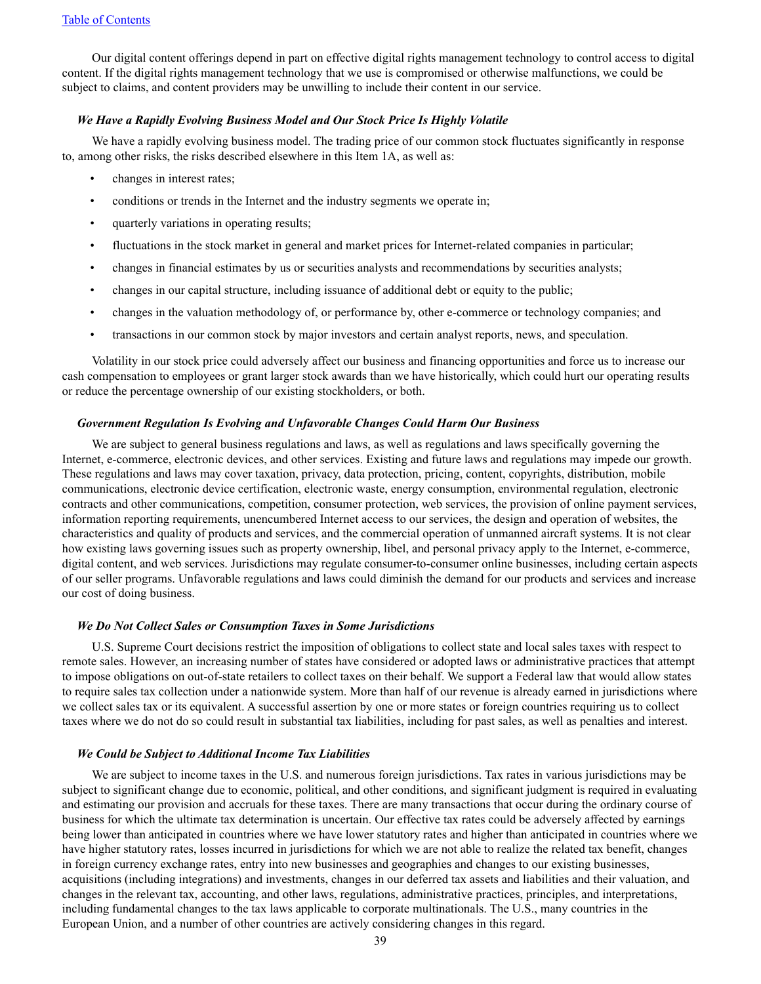Our digital content offerings depend in part on effective digital rights management technology to control access to digital content. If the digital rights management technology that we use is compromised or otherwise malfunctions, we could be subject to claims, and content providers may be unwilling to include their content in our service.

#### *We Have a Rapidly Evolving Business Model and Our Stock Price Is Highly Volatile*

We have a rapidly evolving business model. The trading price of our common stock fluctuates significantly in response to, among other risks, the risks described elsewhere in this Item 1A, as well as:

- changes in interest rates;
- conditions or trends in the Internet and the industry segments we operate in;
- quarterly variations in operating results;
- fluctuations in the stock market in general and market prices for Internet-related companies in particular;
- changes in financial estimates by us or securities analysts and recommendations by securities analysts;
- changes in our capital structure, including issuance of additional debt or equity to the public;
- changes in the valuation methodology of, or performance by, other e-commerce or technology companies; and
- transactions in our common stock by major investors and certain analyst reports, news, and speculation.

Volatility in our stock price could adversely affect our business and financing opportunities and force us to increase our cash compensation to employees or grant larger stock awards than we have historically, which could hurt our operating results or reduce the percentage ownership of our existing stockholders, or both.

#### *Government Regulation Is Evolving and Unfavorable Changes Could Harm Our Business*

We are subject to general business regulations and laws, as well as regulations and laws specifically governing the Internet, e-commerce, electronic devices, and other services. Existing and future laws and regulations may impede our growth. These regulations and laws may cover taxation, privacy, data protection, pricing, content, copyrights, distribution, mobile communications, electronic device certification, electronic waste, energy consumption, environmental regulation, electronic contracts and other communications, competition, consumer protection, web services, the provision of online payment services, information reporting requirements, unencumbered Internet access to our services, the design and operation of websites, the characteristics and quality of products and services, and the commercial operation of unmanned aircraft systems. It is not clear how existing laws governing issues such as property ownership, libel, and personal privacy apply to the Internet, e-commerce, digital content, and web services. Jurisdictions may regulate consumer-to-consumer online businesses, including certain aspects of our seller programs. Unfavorable regulations and laws could diminish the demand for our products and services and increase our cost of doing business.

#### *We Do Not Collect Sales or Consumption Taxes in Some Jurisdictions*

U.S. Supreme Court decisions restrict the imposition of obligations to collect state and local sales taxes with respect to remote sales. However, an increasing number of states have considered or adopted laws or administrative practices that attempt to impose obligations on out-of-state retailers to collect taxes on their behalf. We support a Federal law that would allow states to require sales tax collection under a nationwide system. More than half of our revenue is already earned in jurisdictions where we collect sales tax or its equivalent. A successful assertion by one or more states or foreign countries requiring us to collect taxes where we do not do so could result in substantial tax liabilities, including for past sales, as well as penalties and interest.

#### *We Could be Subject to Additional Income Tax Liabilities*

We are subject to income taxes in the U.S. and numerous foreign jurisdictions. Tax rates in various jurisdictions may be subject to significant change due to economic, political, and other conditions, and significant judgment is required in evaluating and estimating our provision and accruals for these taxes. There are many transactions that occur during the ordinary course of business for which the ultimate tax determination is uncertain. Our effective tax rates could be adversely affected by earnings being lower than anticipated in countries where we have lower statutory rates and higher than anticipated in countries where we have higher statutory rates, losses incurred in jurisdictions for which we are not able to realize the related tax benefit, changes in foreign currency exchange rates, entry into new businesses and geographies and changes to our existing businesses, acquisitions (including integrations) and investments, changes in our deferred tax assets and liabilities and their valuation, and changes in the relevant tax, accounting, and other laws, regulations, administrative practices, principles, and interpretations, including fundamental changes to the tax laws applicable to corporate multinationals. The U.S., many countries in the European Union, and a number of other countries are actively considering changes in this regard.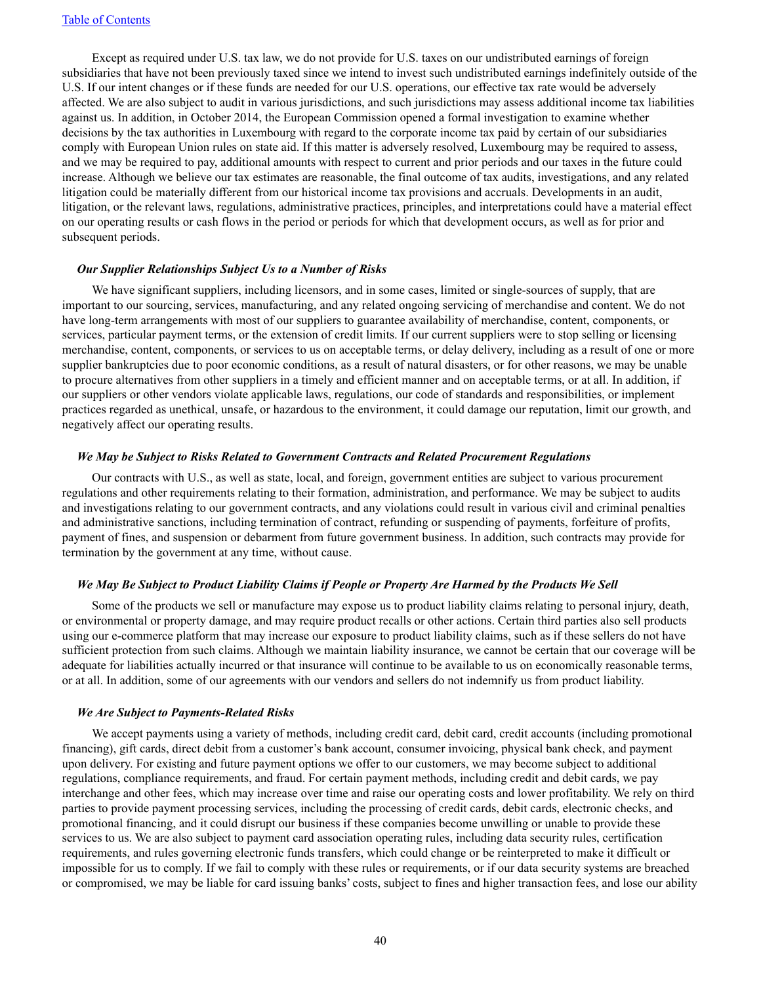Except as required under U.S. tax law, we do not provide for U.S. taxes on our undistributed earnings of foreign subsidiaries that have not been previously taxed since we intend to invest such undistributed earnings indefinitely outside of the U.S. If our intent changes or if these funds are needed for our U.S. operations, our effective tax rate would be adversely affected. We are also subject to audit in various jurisdictions, and such jurisdictions may assess additional income tax liabilities against us. In addition, in October 2014, the European Commission opened a formal investigation to examine whether decisions by the tax authorities in Luxembourg with regard to the corporate income tax paid by certain of our subsidiaries comply with European Union rules on state aid. If this matter is adversely resolved, Luxembourg may be required to assess, and we may be required to pay, additional amounts with respect to current and prior periods and our taxes in the future could increase. Although we believe our tax estimates are reasonable, the final outcome of tax audits, investigations, and any related litigation could be materially different from our historical income tax provisions and accruals. Developments in an audit, litigation, or the relevant laws, regulations, administrative practices, principles, and interpretations could have a material effect on our operating results or cash flows in the period or periods for which that development occurs, as well as for prior and subsequent periods.

#### *Our Supplier Relationships Subject Us to a Number of Risks*

We have significant suppliers, including licensors, and in some cases, limited or single-sources of supply, that are important to our sourcing, services, manufacturing, and any related ongoing servicing of merchandise and content. We do not have long-term arrangements with most of our suppliers to guarantee availability of merchandise, content, components, or services, particular payment terms, or the extension of credit limits. If our current suppliers were to stop selling or licensing merchandise, content, components, or services to us on acceptable terms, or delay delivery, including as a result of one or more supplier bankruptcies due to poor economic conditions, as a result of natural disasters, or for other reasons, we may be unable to procure alternatives from other suppliers in a timely and efficient manner and on acceptable terms, or at all. In addition, if our suppliers or other vendors violate applicable laws, regulations, our code of standards and responsibilities, or implement practices regarded as unethical, unsafe, or hazardous to the environment, it could damage our reputation, limit our growth, and negatively affect our operating results.

#### *We May be Subject to Risks Related to Government Contracts and Related Procurement Regulations*

Our contracts with U.S., as well as state, local, and foreign, government entities are subject to various procurement regulations and other requirements relating to their formation, administration, and performance. We may be subject to audits and investigations relating to our government contracts, and any violations could result in various civil and criminal penalties and administrative sanctions, including termination of contract, refunding or suspending of payments, forfeiture of profits, payment of fines, and suspension or debarment from future government business. In addition, such contracts may provide for termination by the government at any time, without cause.

#### *We May Be Subject to Product Liability Claims if People or Property Are Harmed by the Products We Sell*

Some of the products we sell or manufacture may expose us to product liability claims relating to personal injury, death, or environmental or property damage, and may require product recalls or other actions. Certain third parties also sell products using our e-commerce platform that may increase our exposure to product liability claims, such as if these sellers do not have sufficient protection from such claims. Although we maintain liability insurance, we cannot be certain that our coverage will be adequate for liabilities actually incurred or that insurance will continue to be available to us on economically reasonable terms, or at all. In addition, some of our agreements with our vendors and sellers do not indemnify us from product liability.

#### *We Are Subject to Payments-Related Risks*

We accept payments using a variety of methods, including credit card, debit card, credit accounts (including promotional financing), gift cards, direct debit from a customer's bank account, consumer invoicing, physical bank check, and payment upon delivery. For existing and future payment options we offer to our customers, we may become subject to additional regulations, compliance requirements, and fraud. For certain payment methods, including credit and debit cards, we pay interchange and other fees, which may increase over time and raise our operating costs and lower profitability. We rely on third parties to provide payment processing services, including the processing of credit cards, debit cards, electronic checks, and promotional financing, and it could disrupt our business if these companies become unwilling or unable to provide these services to us. We are also subject to payment card association operating rules, including data security rules, certification requirements, and rules governing electronic funds transfers, which could change or be reinterpreted to make it difficult or impossible for us to comply. If we fail to comply with these rules or requirements, or if our data security systems are breached or compromised, we may be liable for card issuing banks' costs, subject to fines and higher transaction fees, and lose our ability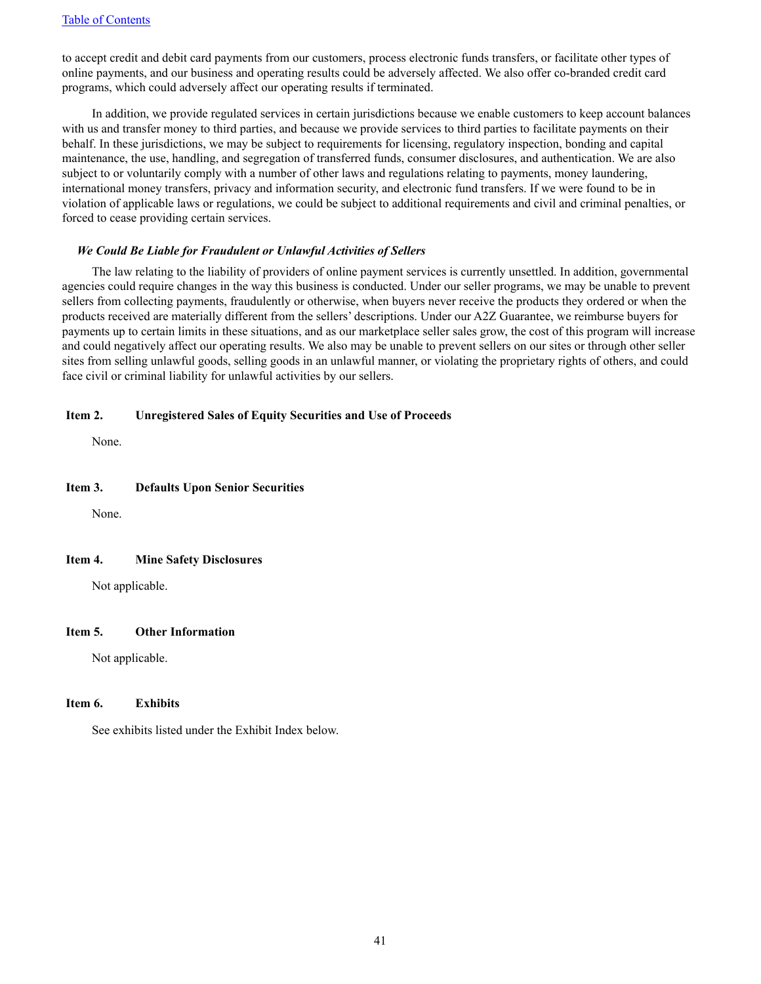to accept credit and debit card payments from our customers, process electronic funds transfers, or facilitate other types of online payments, and our business and operating results could be adversely affected. We also offer co-branded credit card programs, which could adversely affect our operating results if terminated.

In addition, we provide regulated services in certain jurisdictions because we enable customers to keep account balances with us and transfer money to third parties, and because we provide services to third parties to facilitate payments on their behalf. In these jurisdictions, we may be subject to requirements for licensing, regulatory inspection, bonding and capital maintenance, the use, handling, and segregation of transferred funds, consumer disclosures, and authentication. We are also subject to or voluntarily comply with a number of other laws and regulations relating to payments, money laundering, international money transfers, privacy and information security, and electronic fund transfers. If we were found to be in violation of applicable laws or regulations, we could be subject to additional requirements and civil and criminal penalties, or forced to cease providing certain services.

# *We Could Be Liable for Fraudulent or Unlawful Activities of Sellers*

The law relating to the liability of providers of online payment services is currently unsettled. In addition, governmental agencies could require changes in the way this business is conducted. Under our seller programs, we may be unable to prevent sellers from collecting payments, fraudulently or otherwise, when buyers never receive the products they ordered or when the products received are materially different from the sellers' descriptions. Under our A2Z Guarantee, we reimburse buyers for payments up to certain limits in these situations, and as our marketplace seller sales grow, the cost of this program will increase and could negatively affect our operating results. We also may be unable to prevent sellers on our sites or through other seller sites from selling unlawful goods, selling goods in an unlawful manner, or violating the proprietary rights of others, and could face civil or criminal liability for unlawful activities by our sellers.

# <span id="page-40-0"></span>**Item 2. Unregistered Sales of Equity Securities and Use of Proceeds**

None.

# <span id="page-40-1"></span>**Item 3. Defaults Upon Senior Securities**

None.

# <span id="page-40-2"></span>**Item 4. Mine Safety Disclosures**

Not applicable.

# <span id="page-40-3"></span>**Item 5. Other Information**

Not applicable.

# <span id="page-40-4"></span>**Item 6. Exhibits**

See exhibits listed under the Exhibit Index below.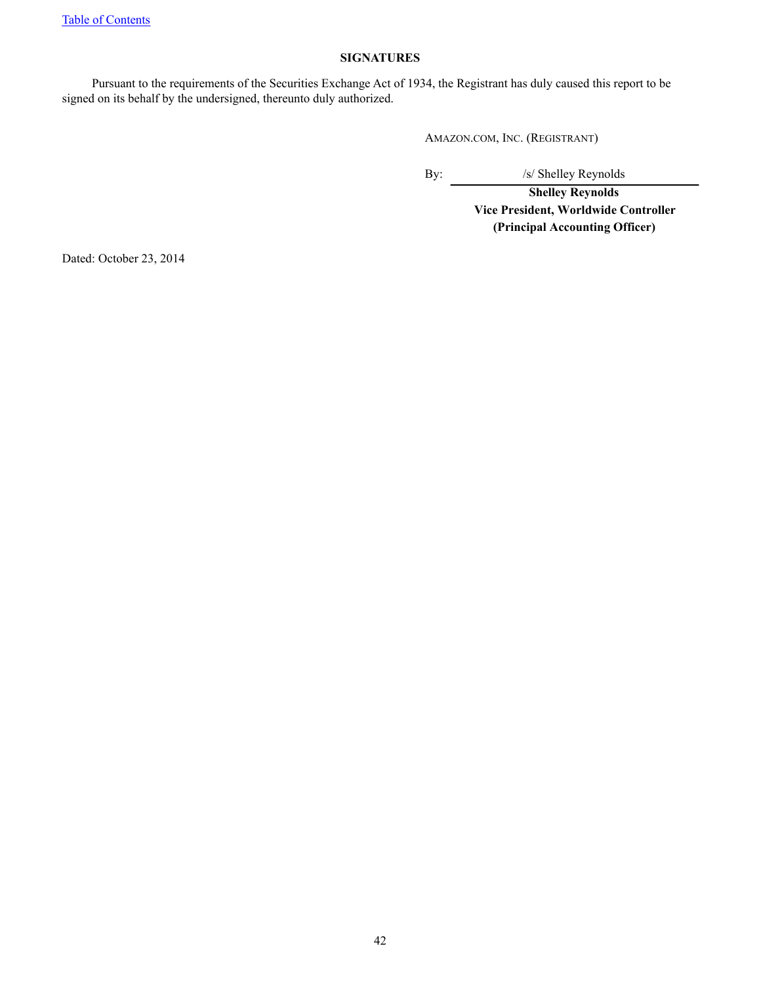# **SIGNATURES**

<span id="page-41-0"></span>Pursuant to the requirements of the Securities Exchange Act of 1934, the Registrant has duly caused this report to be signed on its behalf by the undersigned, thereunto duly authorized.

AMAZON.COM, INC. (REGISTRANT)

By: /s/ Shelley Reynolds

**Shelley Reynolds Vice President, Worldwide Controller (Principal Accounting Officer)**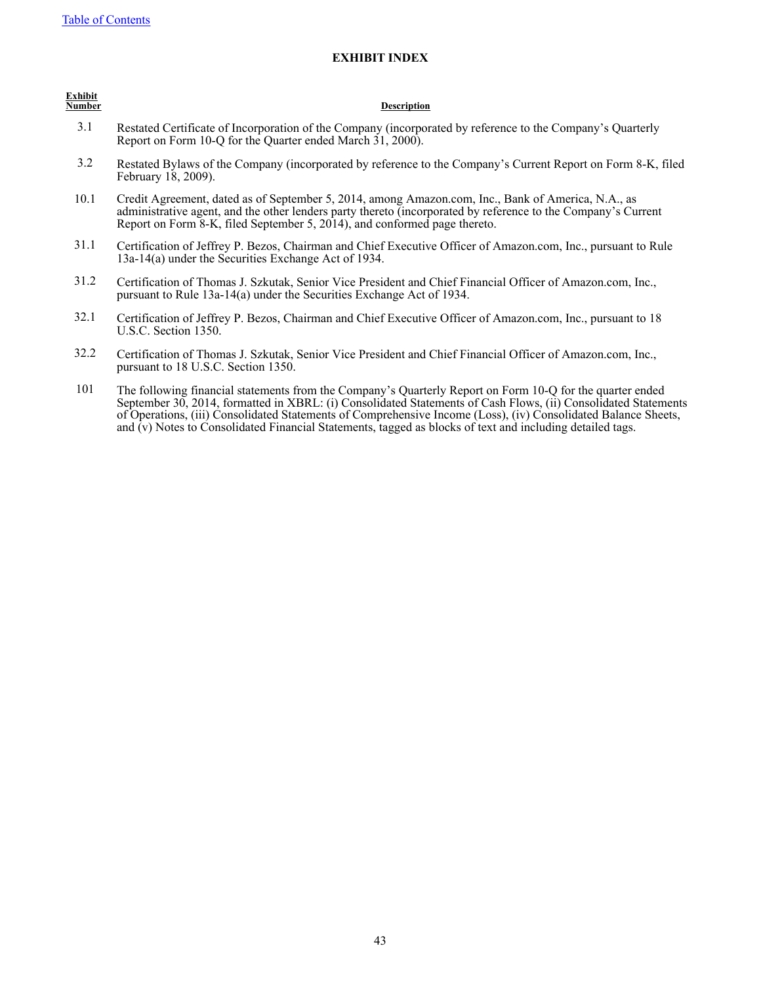# **EXHIBIT INDEX**

| Exhibit<br><b>Number</b> | <b>Description</b>                                                                                                                                                                                                                                                                                                                                                                                                                                                              |
|--------------------------|---------------------------------------------------------------------------------------------------------------------------------------------------------------------------------------------------------------------------------------------------------------------------------------------------------------------------------------------------------------------------------------------------------------------------------------------------------------------------------|
| 3.1                      | Restated Certificate of Incorporation of the Company (incorporated by reference to the Company's Quarterly<br>Report on Form 10-Q for the Quarter ended March 31, 2000).                                                                                                                                                                                                                                                                                                        |
| 3.2                      | Restated Bylaws of the Company (incorporated by reference to the Company's Current Report on Form 8-K, filed<br>February 18, 2009).                                                                                                                                                                                                                                                                                                                                             |
| 10.1                     | Credit Agreement, dated as of September 5, 2014, among Amazon.com, Inc., Bank of America, N.A., as<br>administrative agent, and the other lenders party thereto (incorporated by reference to the Company's Current<br>Report on Form 8-K, filed September 5, 2014), and conformed page thereto.                                                                                                                                                                                |
| 31.1                     | Certification of Jeffrey P. Bezos, Chairman and Chief Executive Officer of Amazon.com, Inc., pursuant to Rule<br>13a-14(a) under the Securities Exchange Act of 1934.                                                                                                                                                                                                                                                                                                           |
| 31.2                     | Certification of Thomas J. Szkutak, Senior Vice President and Chief Financial Officer of Amazon.com, Inc.,<br>pursuant to Rule 13a-14(a) under the Securities Exchange Act of 1934.                                                                                                                                                                                                                                                                                             |
| 32.1                     | Certification of Jeffrey P. Bezos, Chairman and Chief Executive Officer of Amazon.com, Inc., pursuant to 18<br>U.S.C. Section 1350.                                                                                                                                                                                                                                                                                                                                             |
| 32.2                     | Certification of Thomas J. Szkutak, Senior Vice President and Chief Financial Officer of Amazon.com, Inc.,<br>pursuant to 18 U.S.C. Section 1350.                                                                                                                                                                                                                                                                                                                               |
| 101                      | The following financial statements from the Company's Quarterly Report on Form 10-Q for the quarter ended<br>$\overline{1}$ $\overline{20}$ $\overline{20110}$ $\overline{1}$ $\overline{37001}$ $\overline{10}$ $\overline{1}$ $\overline{11}$ $\overline{10}$ $\overline{1}$ $\overline{10}$ $\overline{1}$ $\overline{10}$ $\overline{1}$ $\overline{10}$ $\overline{1}$ $\overline{10}$ $\overline{10}$ $\overline{10}$ $\overline{10}$ $\overline{10}$ $\overline{10}$ $\$ |

September 30, 2014, formatted in XBRL: (i) Consolidated Statements of Cash Flows, (ii) Consolidated Statements of Operations, (iii) Consolidated Statements of Comprehensive Income (Loss), (iv) Consolidated Balance Sheets, and (v) Notes to Consolidated Financial Statements, tagged as blocks of text and including detailed tags.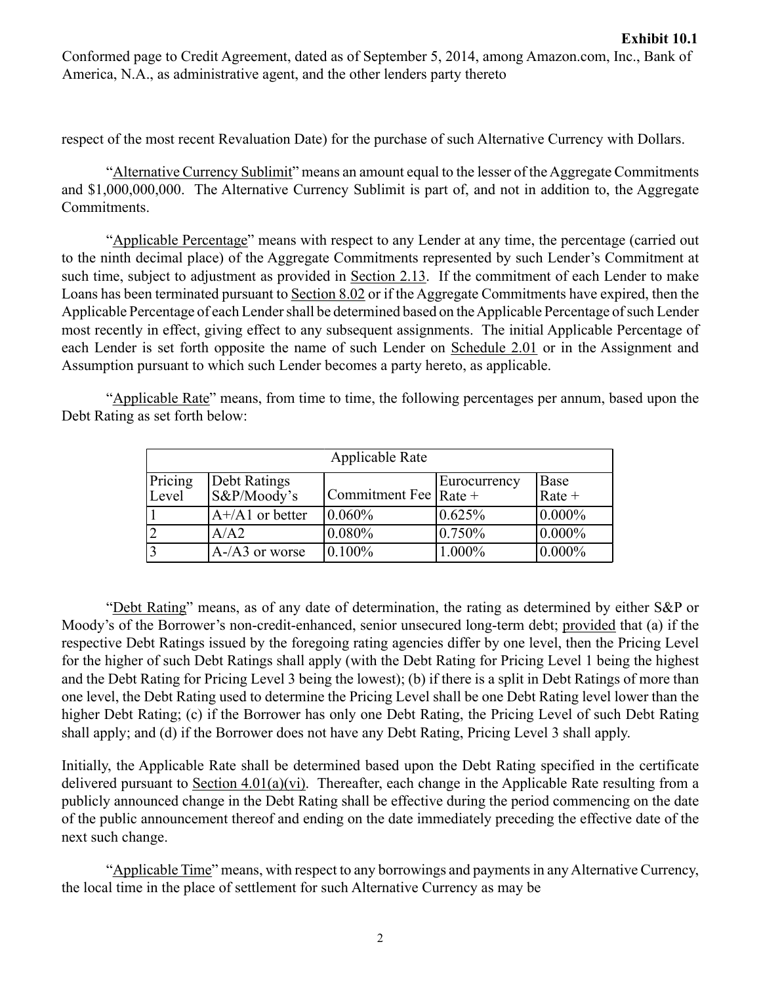Conformed page to Credit Agreement, dated as of September 5, 2014, among Amazon.com, Inc., Bank of America, N.A., as administrative agent, and the other lenders party thereto

respect of the most recent Revaluation Date) for the purchase of such Alternative Currency with Dollars.

"Alternative Currency Sublimit" means an amount equal to the lesser of the Aggregate Commitments and \$1,000,000,000. The Alternative Currency Sublimit is part of, and not in addition to, the Aggregate Commitments.

"Applicable Percentage" means with respect to any Lender at any time, the percentage (carried out to the ninth decimal place) of the Aggregate Commitments represented by such Lender's Commitment at such time, subject to adjustment as provided in Section 2.13. If the commitment of each Lender to make Loans has been terminated pursuant to Section 8.02 or if the Aggregate Commitments have expired, then the Applicable Percentage of each Lender shall be determined based on the Applicable Percentage of such Lender most recently in effect, giving effect to any subsequent assignments. The initial Applicable Percentage of each Lender is set forth opposite the name of such Lender on Schedule 2.01 or in the Assignment and Assumption pursuant to which such Lender becomes a party hereto, as applicable.

"Applicable Rate" means, from time to time, the following percentages per annum, based upon the Debt Rating as set forth below:

| Applicable Rate               |                                |                         |                     |                  |  |  |  |  |  |  |
|-------------------------------|--------------------------------|-------------------------|---------------------|------------------|--|--|--|--|--|--|
| Pricing<br>Level <sup>1</sup> | Debt Ratings<br>$S\&P/Moody's$ | Commitment Fee   Rate + | <b>Eurocurrency</b> | Base<br>$Rate +$ |  |  |  |  |  |  |
|                               | $A + / A1$ or better           | $0.060\%$               | 0.625%              | $0.000\%$        |  |  |  |  |  |  |
| $\mathcal{D}$                 | A/A2                           | 0.080%                  | 0.750%              | $0.000\%$        |  |  |  |  |  |  |
|                               | $A-A3$ or worse                | $0.100\%$               | 1.000%              | $0.000\%$        |  |  |  |  |  |  |

"Debt Rating" means, as of any date of determination, the rating as determined by either S&P or Moody's of the Borrower's non-credit-enhanced, senior unsecured long-term debt; provided that (a) if the respective Debt Ratings issued by the foregoing rating agencies differ by one level, then the Pricing Level for the higher of such Debt Ratings shall apply (with the Debt Rating for Pricing Level 1 being the highest and the Debt Rating for Pricing Level 3 being the lowest); (b) if there is a split in Debt Ratings of more than one level, the Debt Rating used to determine the Pricing Level shall be one Debt Rating level lower than the higher Debt Rating; (c) if the Borrower has only one Debt Rating, the Pricing Level of such Debt Rating shall apply; and (d) if the Borrower does not have any Debt Rating, Pricing Level 3 shall apply.

Initially, the Applicable Rate shall be determined based upon the Debt Rating specified in the certificate delivered pursuant to Section 4.01(a)(vi). Thereafter, each change in the Applicable Rate resulting from a publicly announced change in the Debt Rating shall be effective during the period commencing on the date of the public announcement thereof and ending on the date immediately preceding the effective date of the next such change.

"Applicable Time" means, with respect to any borrowings and payments in any Alternative Currency, the local time in the place of settlement for such Alternative Currency as may be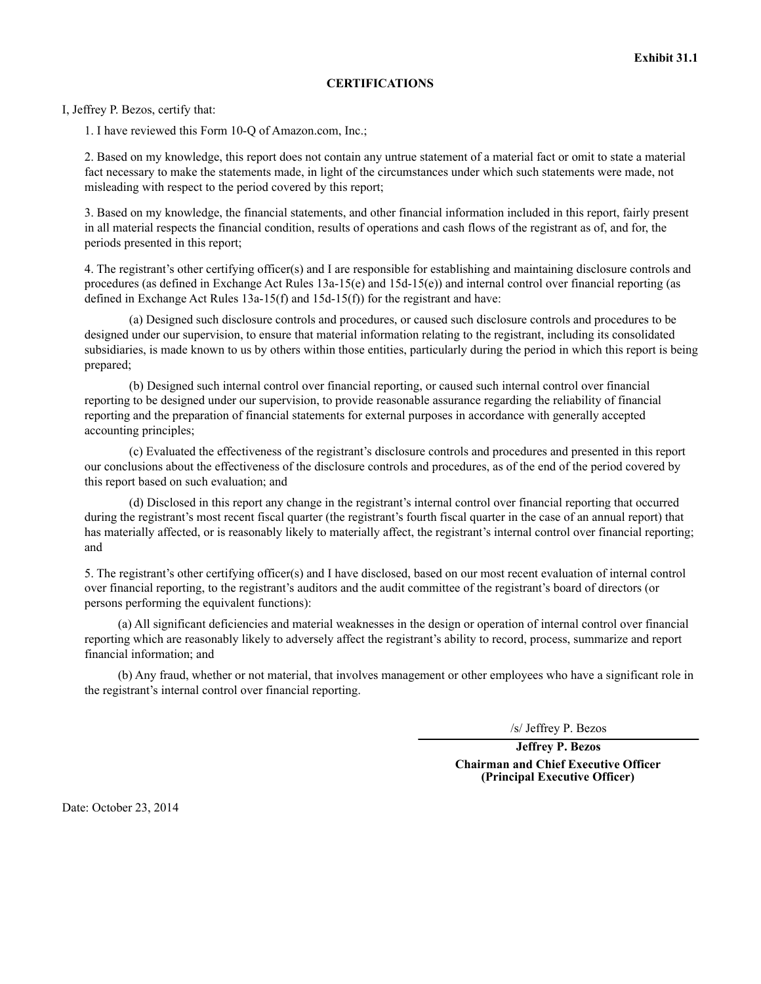# **CERTIFICATIONS**

I, Jeffrey P. Bezos, certify that:

1. I have reviewed this Form 10-Q of Amazon.com, Inc.;

2. Based on my knowledge, this report does not contain any untrue statement of a material fact or omit to state a material fact necessary to make the statements made, in light of the circumstances under which such statements were made, not misleading with respect to the period covered by this report;

3. Based on my knowledge, the financial statements, and other financial information included in this report, fairly present in all material respects the financial condition, results of operations and cash flows of the registrant as of, and for, the periods presented in this report;

4. The registrant's other certifying officer(s) and I are responsible for establishing and maintaining disclosure controls and procedures (as defined in Exchange Act Rules 13a-15(e) and 15d-15(e)) and internal control over financial reporting (as defined in Exchange Act Rules 13a-15(f) and 15d-15(f)) for the registrant and have:

(a) Designed such disclosure controls and procedures, or caused such disclosure controls and procedures to be designed under our supervision, to ensure that material information relating to the registrant, including its consolidated subsidiaries, is made known to us by others within those entities, particularly during the period in which this report is being prepared;

(b) Designed such internal control over financial reporting, or caused such internal control over financial reporting to be designed under our supervision, to provide reasonable assurance regarding the reliability of financial reporting and the preparation of financial statements for external purposes in accordance with generally accepted accounting principles;

(c) Evaluated the effectiveness of the registrant's disclosure controls and procedures and presented in this report our conclusions about the effectiveness of the disclosure controls and procedures, as of the end of the period covered by this report based on such evaluation; and

(d) Disclosed in this report any change in the registrant's internal control over financial reporting that occurred during the registrant's most recent fiscal quarter (the registrant's fourth fiscal quarter in the case of an annual report) that has materially affected, or is reasonably likely to materially affect, the registrant's internal control over financial reporting; and

5. The registrant's other certifying officer(s) and I have disclosed, based on our most recent evaluation of internal control over financial reporting, to the registrant's auditors and the audit committee of the registrant's board of directors (or persons performing the equivalent functions):

(a) All significant deficiencies and material weaknesses in the design or operation of internal control over financial reporting which are reasonably likely to adversely affect the registrant's ability to record, process, summarize and report financial information; and

(b) Any fraud, whether or not material, that involves management or other employees who have a significant role in the registrant's internal control over financial reporting.

/s/ Jeffrey P. Bezos

**Jeffrey P. Bezos Chairman and Chief Executive Officer (Principal Executive Officer)**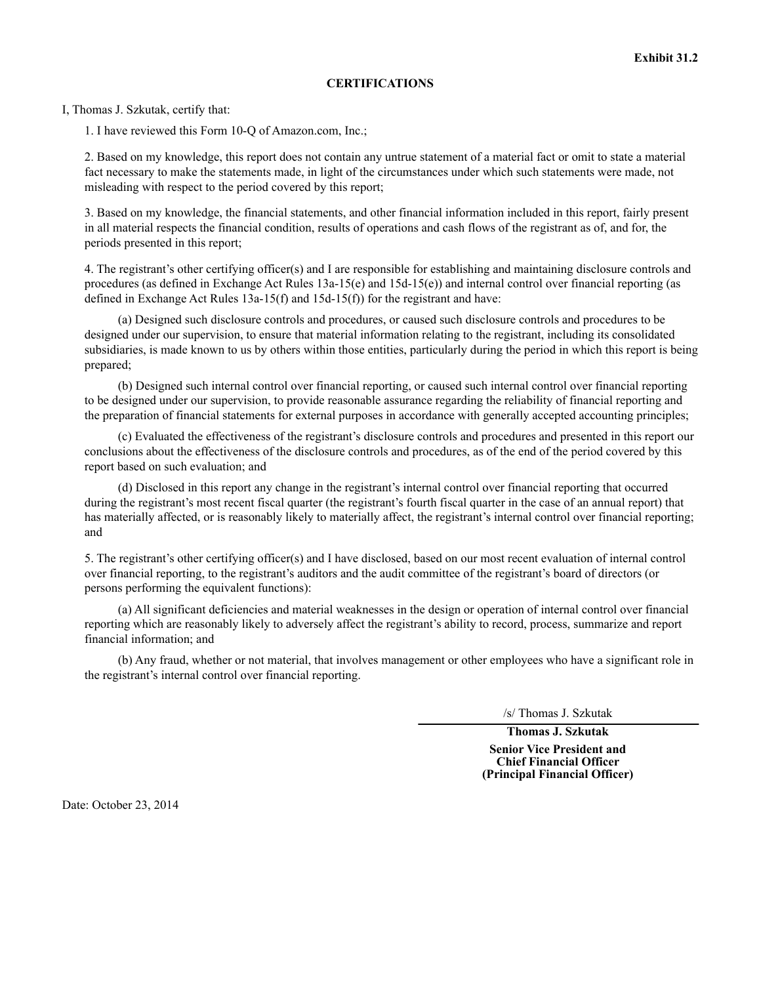# **CERTIFICATIONS**

I, Thomas J. Szkutak, certify that:

1. I have reviewed this Form 10-Q of Amazon.com, Inc.;

2. Based on my knowledge, this report does not contain any untrue statement of a material fact or omit to state a material fact necessary to make the statements made, in light of the circumstances under which such statements were made, not misleading with respect to the period covered by this report;

3. Based on my knowledge, the financial statements, and other financial information included in this report, fairly present in all material respects the financial condition, results of operations and cash flows of the registrant as of, and for, the periods presented in this report;

4. The registrant's other certifying officer(s) and I are responsible for establishing and maintaining disclosure controls and procedures (as defined in Exchange Act Rules 13a-15(e) and 15d-15(e)) and internal control over financial reporting (as defined in Exchange Act Rules 13a-15(f) and 15d-15(f)) for the registrant and have:

(a) Designed such disclosure controls and procedures, or caused such disclosure controls and procedures to be designed under our supervision, to ensure that material information relating to the registrant, including its consolidated subsidiaries, is made known to us by others within those entities, particularly during the period in which this report is being prepared;

(b) Designed such internal control over financial reporting, or caused such internal control over financial reporting to be designed under our supervision, to provide reasonable assurance regarding the reliability of financial reporting and the preparation of financial statements for external purposes in accordance with generally accepted accounting principles;

(c) Evaluated the effectiveness of the registrant's disclosure controls and procedures and presented in this report our conclusions about the effectiveness of the disclosure controls and procedures, as of the end of the period covered by this report based on such evaluation; and

(d) Disclosed in this report any change in the registrant's internal control over financial reporting that occurred during the registrant's most recent fiscal quarter (the registrant's fourth fiscal quarter in the case of an annual report) that has materially affected, or is reasonably likely to materially affect, the registrant's internal control over financial reporting; and

5. The registrant's other certifying officer(s) and I have disclosed, based on our most recent evaluation of internal control over financial reporting, to the registrant's auditors and the audit committee of the registrant's board of directors (or persons performing the equivalent functions):

(a) All significant deficiencies and material weaknesses in the design or operation of internal control over financial reporting which are reasonably likely to adversely affect the registrant's ability to record, process, summarize and report financial information; and

(b) Any fraud, whether or not material, that involves management or other employees who have a significant role in the registrant's internal control over financial reporting.

/s/ Thomas J. Szkutak

**Thomas J. Szkutak Senior Vice President and Chief Financial Officer (Principal Financial Officer)**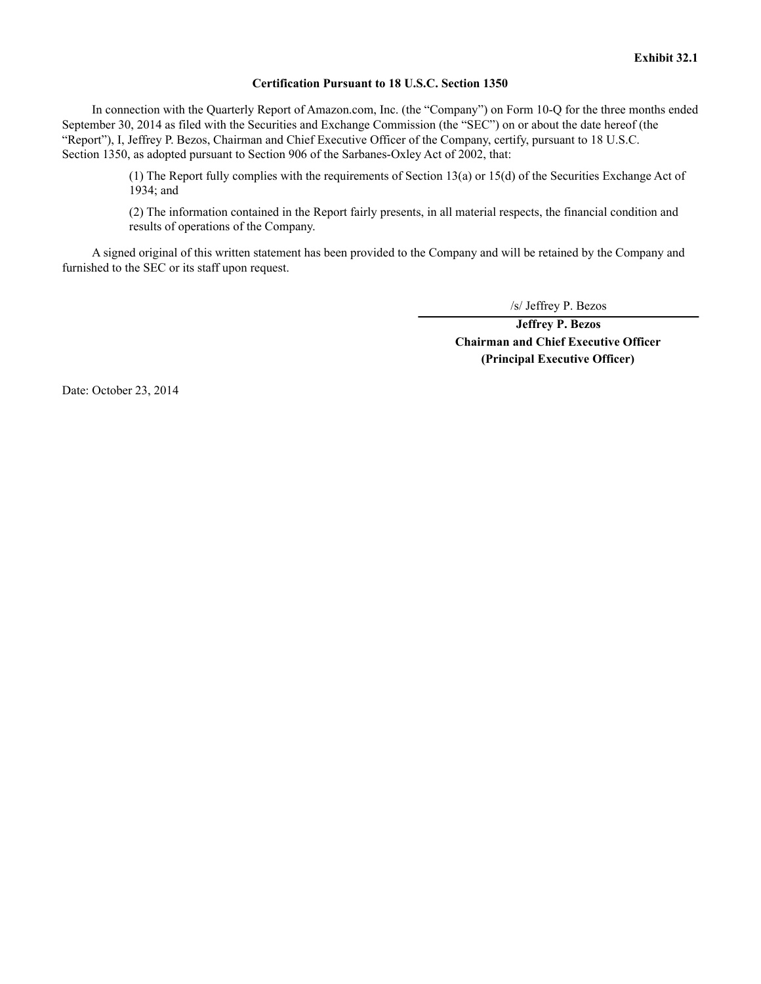# **Certification Pursuant to 18 U.S.C. Section 1350**

In connection with the Quarterly Report of Amazon.com, Inc. (the "Company") on Form 10-Q for the three months ended September 30, 2014 as filed with the Securities and Exchange Commission (the "SEC") on or about the date hereof (the "Report"), I, Jeffrey P. Bezos, Chairman and Chief Executive Officer of the Company, certify, pursuant to 18 U.S.C. Section 1350, as adopted pursuant to Section 906 of the Sarbanes-Oxley Act of 2002, that:

> (1) The Report fully complies with the requirements of Section 13(a) or 15(d) of the Securities Exchange Act of 1934; and

(2) The information contained in the Report fairly presents, in all material respects, the financial condition and results of operations of the Company.

A signed original of this written statement has been provided to the Company and will be retained by the Company and furnished to the SEC or its staff upon request.

/s/ Jeffrey P. Bezos

**Jeffrey P. Bezos Chairman and Chief Executive Officer (Principal Executive Officer)**